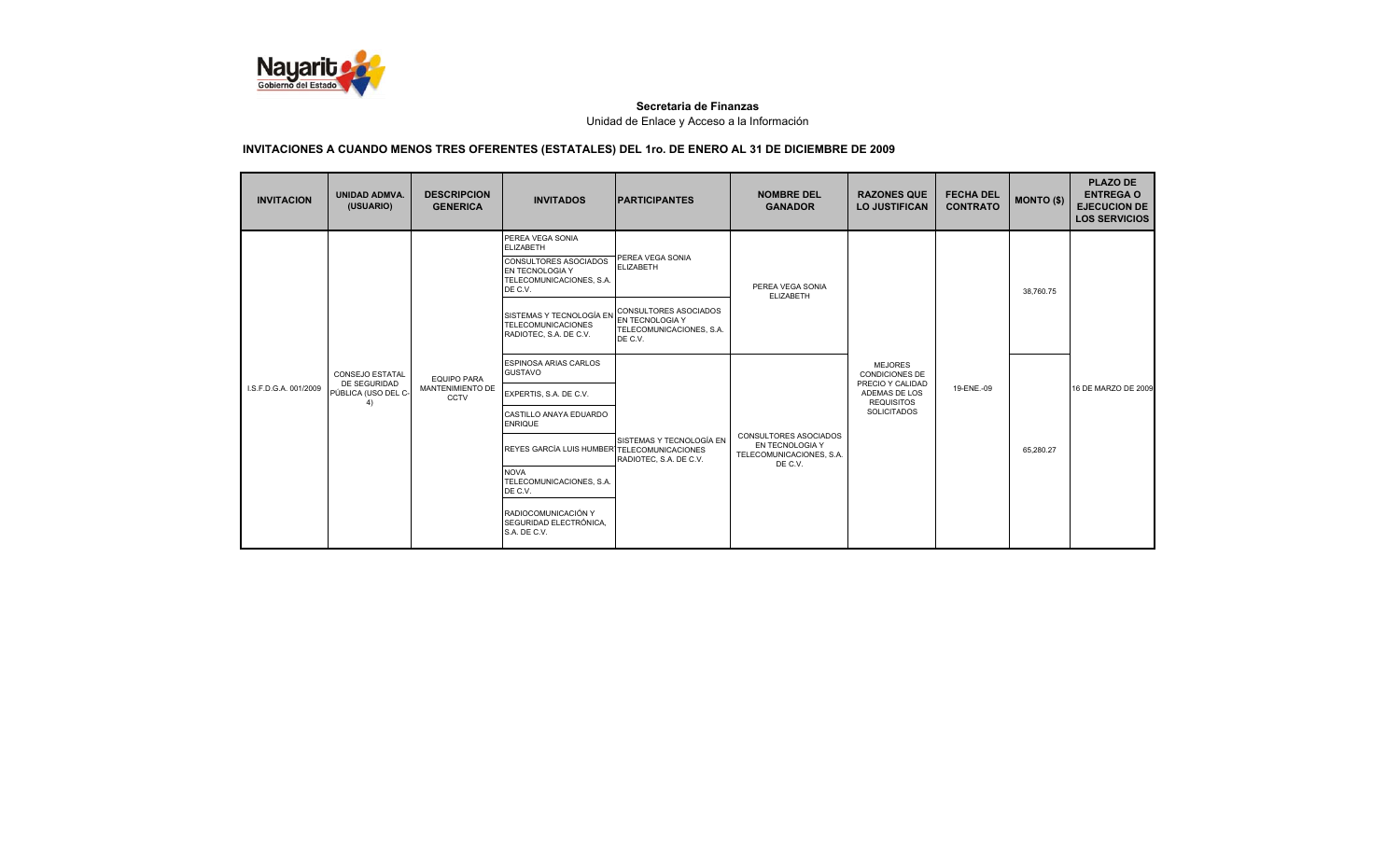

| <b>INVITACION</b>     | <b>UNIDAD ADMVA.</b><br>(USUARIO)      | <b>DESCRIPCION</b><br><b>GENERICA</b>  | <b>INVITADOS</b>                                                                                                        | <b>IPARTICIPANTES</b>                | <b>NOMBRE DEL</b><br><b>GANADOR</b>                    | <b>RAZONES QUE</b><br><b>LO JUSTIFICAN</b>                  | <b>FECHA DEL</b><br><b>CONTRATO</b> | <b>MONTO (\$)</b> | <b>PLAZO DE</b><br><b>ENTREGA O</b><br><b>EJECUCION DE</b><br><b>LOS SERVICIOS</b> |
|-----------------------|----------------------------------------|----------------------------------------|-------------------------------------------------------------------------------------------------------------------------|--------------------------------------|--------------------------------------------------------|-------------------------------------------------------------|-------------------------------------|-------------------|------------------------------------------------------------------------------------|
|                       |                                        |                                        | PEREA VEGA SONIA<br><b>ELIZABETH</b><br>CONSULTORES ASOCIADOS<br>EN TECNOLOGIA Y<br>TELECOMUNICACIONES, S.A.<br>DE C.V. | PEREA VEGA SONIA<br><b>ELIZABETH</b> | PEREA VEGA SONIA<br><b>ELIZABETH</b>                   |                                                             |                                     | 38.760.75         |                                                                                    |
| I.S.F.D.G.A. 001/2009 |                                        |                                        | SISTEMAS Y TECNOLOGÍA EN CONSULTORES ASOCIADOS<br><b>TELECOMUNICACIONES</b><br>RADIOTEC, S.A. DE C.V.                   | TELECOMUNICACIONES, S.A.<br>DE C.V.  |                                                        |                                                             | 19-ENE.-09                          |                   |                                                                                    |
|                       | <b>CONSEJO ESTATAL</b><br>DE SEGURIDAD | <b>EQUIPO PARA</b><br>MANTENIMIENTO DE | <b>ESPINOSA ARIAS CARLOS</b><br><b>GUSTAVO</b>                                                                          |                                      |                                                        | <b>MEJORES</b><br><b>CONDICIONES DE</b><br>PRECIO Y CALIDAD |                                     |                   | 16 DE MARZO DE 2009                                                                |
|                       | PÚBLICA (USO DEL C-<br>4)              | CCTV                                   | EXPERTIS, S.A. DE C.V.<br>CASTILLO ANAYA EDUARDO                                                                        |                                      |                                                        | ADEMAS DE LOS<br><b>REQUISITOS</b><br><b>SOLICITADOS</b>    |                                     |                   |                                                                                    |
|                       |                                        |                                        | <b>ENRIQUE</b>                                                                                                          | SISTEMAS Y TECNOLOGÍA EN             | CONSULTORES ASOCIADOS                                  |                                                             |                                     |                   |                                                                                    |
|                       |                                        |                                        | REYES GARCÍA LUIS HUMBER TELECOMUNICACIONES                                                                             | RADIOTEC, S.A. DE C.V.               | EN TECNOLOGIA Y<br>TELECOMUNICACIONES, S.A.<br>DE C.V. |                                                             |                                     | 65.280.27         |                                                                                    |
|                       |                                        |                                        | <b>NOVA</b><br>TELECOMUNICACIONES, S.A.<br>DE C.V.                                                                      |                                      |                                                        |                                                             |                                     |                   |                                                                                    |
|                       |                                        |                                        | RADIOCOMUNICACIÓN Y<br>SEGURIDAD ELECTRÓNICA,<br>S.A. DE C.V.                                                           |                                      |                                                        |                                                             |                                     |                   |                                                                                    |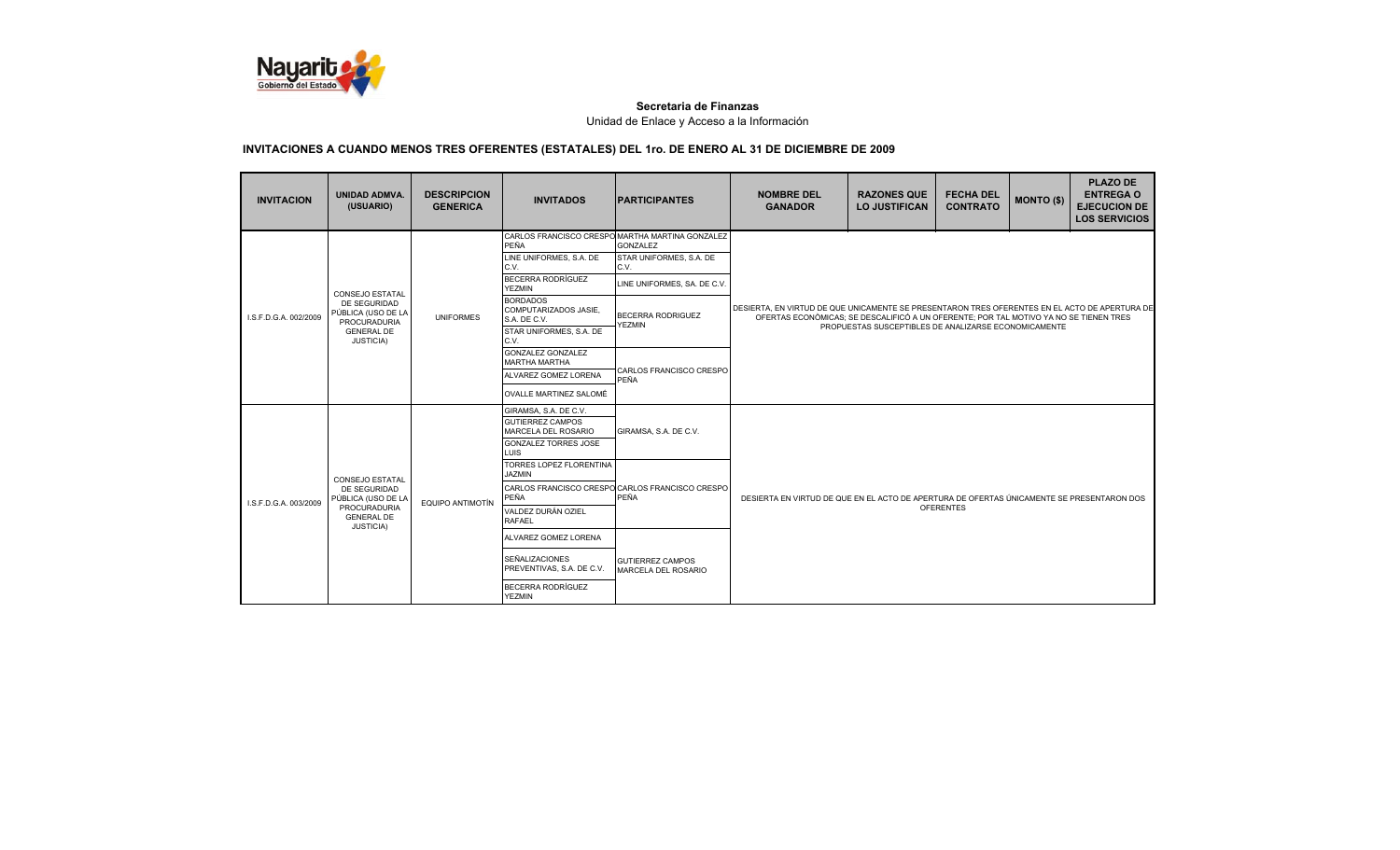

| <b>INVITACION</b>     | <b>UNIDAD ADMVA.</b><br>(USUARIO)                                                                                            | <b>DESCRIPCION</b><br><b>GENERICA</b> | <b>INVITADOS</b>                                                                                                                                                                                                                                            | <b>PARTICIPANTES</b>                                                                                                    | <b>NOMBRE DEL</b><br><b>GANADOR</b>                                                                                                                                                                                                            | <b>RAZONES QUE</b><br><b>LO JUSTIFICAN</b> | <b>FECHA DEL</b><br><b>CONTRATO</b> | <b>MONTO (\$)</b> | <b>PLAZO DE</b><br><b>ENTREGA O</b><br><b>EJECUCION DE</b><br><b>LOS SERVICIOS</b> |
|-----------------------|------------------------------------------------------------------------------------------------------------------------------|---------------------------------------|-------------------------------------------------------------------------------------------------------------------------------------------------------------------------------------------------------------------------------------------------------------|-------------------------------------------------------------------------------------------------------------------------|------------------------------------------------------------------------------------------------------------------------------------------------------------------------------------------------------------------------------------------------|--------------------------------------------|-------------------------------------|-------------------|------------------------------------------------------------------------------------|
| LS.F.D.G.A. 002/2009  | <b>CONSEJO ESTATAL</b><br>DE SEGURIDAD<br>PÚBLICA (USO DE LA<br><b>PROCURADURIA</b><br><b>GENERAL DE</b><br><b>JUSTICIA)</b> | <b>UNIFORMES</b>                      | CARLOS FRANCISCO CRESPO MARTHA MARTINA GONZALEZ<br>PEÑA<br>LINE UNIFORMES, S.A. DE<br>C.V.<br>BECERRA RODRÍGUEZ<br><b>YEZMIN</b><br><b>BORDADOS</b><br>COMPUTARIZADOS JASIE.<br>S.A. DE C.V.<br>STAR UNIFORMES, S.A. DE<br>C.V.<br><b>GONZALEZ GONZALEZ</b> | <b>GONZALEZ</b><br>STAR UNIFORMES, S.A. DE<br>C.V.<br>LINE UNIFORMES, SA. DE C.V.<br>BECERRA RODRIGUEZ<br><b>YEZMIN</b> | DESIERTA. EN VIRTUD DE QUE UNICAMENTE SE PRESENTARON TRES OFERENTES EN EL ACTO DE APERTURA DE<br>OFERTAS ECONÒMICAS; SE DESCALIFICÓ A UN OFERENTE; POR TAL MOTIVO YA NO SE TIENEN TRES<br>PROPUESTAS SUSCEPTIBLES DE ANALIZARSE ECONOMICAMENTE |                                            |                                     |                   |                                                                                    |
|                       |                                                                                                                              |                                       | <b>MARTHA MARTHA</b><br>ALVAREZ GOMEZ LORENA<br>OVALLE MARTINEZ SALOMÉ                                                                                                                                                                                      | CARLOS FRANCISCO CRESPO<br>PEÑA                                                                                         |                                                                                                                                                                                                                                                |                                            |                                     |                   |                                                                                    |
| I.S.F.D.G.A. 003/2009 |                                                                                                                              |                                       | GIRAMSA, S.A. DE C.V.<br><b>GUTIERREZ CAMPOS</b><br>MARCELA DEL ROSARIO<br><b>GONZALEZ TORRES JOSE</b><br><b>LUIS</b>                                                                                                                                       | GIRAMSA, S.A. DE C.V.                                                                                                   |                                                                                                                                                                                                                                                |                                            |                                     |                   |                                                                                    |
|                       | <b>CONSEJO ESTATAL</b><br>DE SEGURIDAD<br>PÚBLICA (USO DE LA<br><b>PROCURADURIA</b><br><b>GENERAL DE</b><br>JUSTICIA)        | EQUIPO ANTIMOTÍN                      | <b>TORRES LOPEZ FLORENTINA</b><br><b>JAZMIN</b><br>CARLOS FRANCISCO CRESPO CARLOS FRANCISCO CRESPO<br>PEÑA<br>VALDEZ DURÁN OZIEL<br><b>RAFAEL</b>                                                                                                           | PEÑA                                                                                                                    | DESIERTA EN VIRTUD DE QUE EN EL ACTO DE APERTURA DE OFERTAS ÚNICAMENTE SE PRESENTARON DOS<br><b>OFERENTES</b>                                                                                                                                  |                                            |                                     |                   |                                                                                    |
|                       |                                                                                                                              |                                       | ALVAREZ GOMEZ LORENA<br><b>SEÑALIZACIONES</b><br>PREVENTIVAS, S.A. DE C.V.<br>BECERRA RODRÍGUEZ<br><b>YEZMIN</b>                                                                                                                                            | <b>GUTIERREZ CAMPOS</b><br>MARCELA DEL ROSARIO                                                                          |                                                                                                                                                                                                                                                |                                            |                                     |                   |                                                                                    |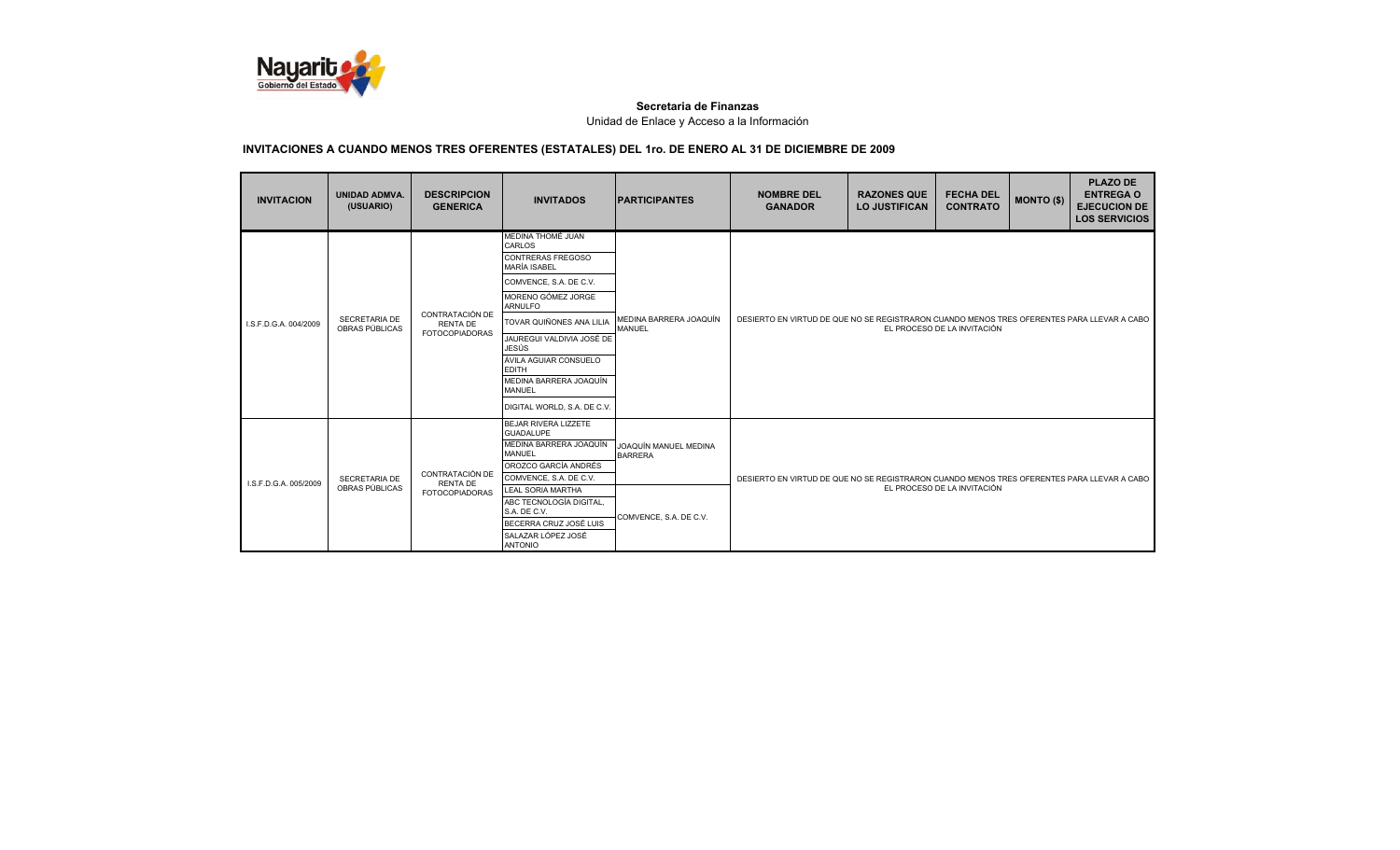

| <b>INVITACION</b>     | <b>UNIDAD ADMVA.</b><br>(USUARIO) | <b>DESCRIPCION</b><br><b>GENERICA</b>                       | <b>INVITADOS</b>                                                                                                                                                                                                                                                                                                                      | <b>IPARTICIPANTES</b>                                             | <b>NOMBRE DEL</b><br><b>GANADOR</b>                                                                                       | <b>RAZONES QUE</b><br><b>LO JUSTIFICAN</b> | <b>FECHA DEL</b><br><b>CONTRATO</b> | <b>MONTO (\$)</b> | <b>PLAZO DE</b><br><b>ENTREGA O</b><br><b>EJECUCION DE</b><br><b>LOS SERVICIOS</b> |
|-----------------------|-----------------------------------|-------------------------------------------------------------|---------------------------------------------------------------------------------------------------------------------------------------------------------------------------------------------------------------------------------------------------------------------------------------------------------------------------------------|-------------------------------------------------------------------|---------------------------------------------------------------------------------------------------------------------------|--------------------------------------------|-------------------------------------|-------------------|------------------------------------------------------------------------------------|
| I.S.F.D.G.A. 004/2009 | SECRETARIA DE<br>OBRAS PÚBLICAS   | CONTRATACIÓN DE<br><b>RENTA DE</b><br><b>FOTOCOPIADORAS</b> | MEDINA THOMÉ JUAN<br>CARLOS<br>CONTRERAS FREGOSO<br><b>MARÍA ISABEL</b><br>COMVENCE, S.A. DE C.V.<br>MORENO GÓMEZ JORGE<br><b>ARNULFO</b><br>TOVAR QUIÑONES ANA LILIA<br>JAUREGUI VALDIVIA JOSÉ DE<br><b>JESÚS</b><br>ÁVILA AGUIAR CONSUELO<br><b>EDITH</b><br>MEDINA BARRERA JOAQUÍN<br><b>MANUEL</b><br>DIGITAL WORLD, S.A. DE C.V. | MEDINA BARRERA JOAQUÍN<br><b>MANUEL</b>                           | DESIERTO EN VIRTUD DE QUE NO SE REGISTRARON CUANDO MENOS TRES OFERENTES PARA LLEVAR A CABO<br>EL PROCESO DE LA INVITACIÓN |                                            |                                     |                   |                                                                                    |
| I.S.F.D.G.A. 005/2009 | SECRETARIA DE<br>OBRAS PÚBLICAS   | CONTRATACIÓN DE<br><b>RENTA DE</b><br><b>FOTOCOPIADORAS</b> | BEJAR RIVERA LIZZETE<br><b>GUADALUPE</b><br>MEDINA BARRERA JOAQUÍN<br><b>MANUEL</b><br>OROZCO GARCÍA ANDRÉS<br>COMVENCE, S.A. DE C.V.<br><b>LEAL SORIA MARTHA</b><br>ABC TECNOLOGÍA DIGITAL,<br>S.A. DE C.V.<br>BECERRA CRUZ JOSÉ LUIS<br>SALAZAR LÓPEZ JOSÉ<br><b>ANTONIO</b>                                                        | JOAQUÍN MANUEL MEDINA<br><b>BARRERA</b><br>COMVENCE, S.A. DE C.V. | DESIERTO EN VIRTUD DE QUE NO SE REGISTRARON CUANDO MENOS TRES OFERENTES PARA LLEVAR A CABO                                |                                            | EL PROCESO DE LA INVITACIÓN         |                   |                                                                                    |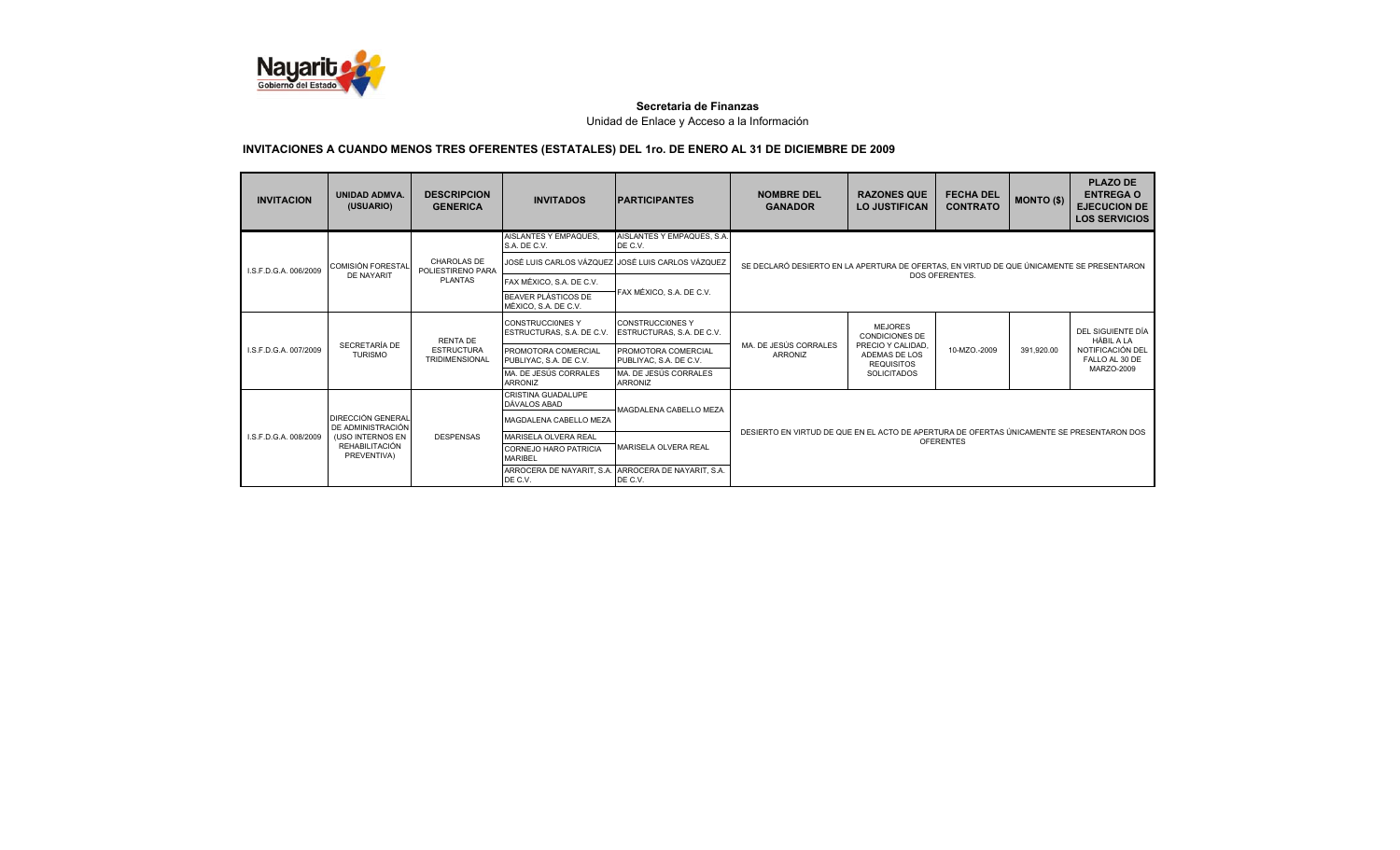

| <b>INVITACION</b>                                                                 | <b>UNIDAD ADMVA.</b><br>(USUARIO)             | <b>DESCRIPCION</b><br><b>GENERICA</b>      | <b>INVITADOS</b>                                     | <b>IPARTICIPANTES</b>                                | <b>NOMBRE DEL</b><br><b>GANADOR</b>                                                       | <b>RAZONES QUE</b><br><b>LO JUSTIFICAN</b>              | <b>FECHA DEL</b><br><b>CONTRATO</b>                                                       | <b>MONTO (\$)</b> | <b>PLAZO DE</b><br><b>ENTREGA O</b><br><b>EJECUCION DE</b><br><b>LOS SERVICIOS</b> |
|-----------------------------------------------------------------------------------|-----------------------------------------------|--------------------------------------------|------------------------------------------------------|------------------------------------------------------|-------------------------------------------------------------------------------------------|---------------------------------------------------------|-------------------------------------------------------------------------------------------|-------------------|------------------------------------------------------------------------------------|
|                                                                                   |                                               |                                            | AISLANTES Y EMPAQUES.<br>S.A. DE C.V.                | AISLANTES Y EMPAQUES, S.A.<br>DE C.V.                |                                                                                           |                                                         |                                                                                           |                   |                                                                                    |
| I.S.F.D.G.A. 006/2009                                                             | <b>COMISIÓN FORESTAL</b>                      | <b>CHAROLAS DE</b><br>POLIESTIRENO PARA    |                                                      | JOSÉ LUIS CARLOS VÁZQUEZ JOSÉ LUIS CARLOS VÁZQUEZ    |                                                                                           |                                                         | SE DECLARÓ DESIERTO EN LA APERTURA DE OFERTAS. EN VIRTUD DE QUE ÚNICAMENTE SE PRESENTARON |                   |                                                                                    |
|                                                                                   | DE NAYARIT                                    | <b>PLANTAS</b>                             | FAX MÉXICO, S.A. DE C.V.                             |                                                      |                                                                                           |                                                         | DOS OFERENTES.                                                                            |                   |                                                                                    |
|                                                                                   |                                               |                                            | <b>BEAVER PLÁSTICOS DE</b><br>MÉXICO, S.A. DE C.V.   | FAX MÉXICO, S.A. DE C.V.                             |                                                                                           |                                                         |                                                                                           |                   |                                                                                    |
|                                                                                   |                                               | <b>RENTA DE</b>                            | <b>CONSTRUCCIONES Y</b><br>ESTRUCTURAS, S.A. DE C.V. | <b>CONSTRUCCIONES Y</b><br>ESTRUCTURAS, S.A. DE C.V. |                                                                                           | <b>MEJORES</b><br><b>CONDICIONES DE</b>                 |                                                                                           |                   | DEL SIGUIENTE DÍA<br><b>HÁBIL A LA</b>                                             |
| LS.F.D.G.A. 007/2009                                                              | SECRETARÍA DE<br><b>TURISMO</b>               | <b>ESTRUCTURA</b><br><b>TRIDIMENSIONAL</b> | PROMOTORA COMERCIAL<br>PUBLIYAC, S.A. DE C.V.        | PROMOTORA COMERCIAL<br>PUBLIYAC, S.A. DE C.V.        | MA. DE JESÚS CORRALES<br><b>ARRONIZ</b>                                                   | PRECIO Y CALIDAD.<br>ADEMAS DE LOS<br><b>REQUISITOS</b> | 10-MZO.-2009                                                                              | 391.920.00        | NOTIFICACIÓN DEL<br>FALLO AL 30 DE                                                 |
|                                                                                   |                                               |                                            | MA, DE JESÚS CORRALES<br><b>ARRONIZ</b>              | MA, DE JESÚS CORRALES<br>ARRONIZ                     |                                                                                           | <b>SOLICITADOS</b>                                      |                                                                                           |                   | MARZO-2009                                                                         |
|                                                                                   |                                               |                                            | CRISTINA GUADALUPE<br><b>DÁVALOS ABAD</b>            | MAGDALENA CABELLO MEZA                               |                                                                                           |                                                         |                                                                                           |                   |                                                                                    |
|                                                                                   | <b>DIRECCIÓN GENERAL</b><br>DE ADMINISTRACIÓN |                                            | MAGDALENA CABELLO MEZA                               |                                                      |                                                                                           |                                                         |                                                                                           |                   |                                                                                    |
| (USO INTERNOS EN<br>I.S.F.D.G.A. 008/2009<br><b>REHABILITACIÓN</b><br>PREVENTIVA) |                                               | <b>DESPENSAS</b>                           | MARISELA OLVERA REAL                                 |                                                      | DESIERTO EN VIRTUD DE QUE EN EL ACTO DE APERTURA DE OFERTAS ÚNICAMENTE SE PRESENTARON DOS |                                                         | <b>OFERENTES</b>                                                                          |                   |                                                                                    |
|                                                                                   |                                               |                                            | CORNEJO HARO PATRICIA<br><b>MARIBEL</b>              | MARISELA OLVERA REAL                                 |                                                                                           |                                                         |                                                                                           |                   |                                                                                    |
|                                                                                   |                                               | ARROCERA DE NAYARIT, S.A.<br>DE C.V.       | ARROCERA DE NAYARIT, S.A.<br>DE C.V.                 |                                                      |                                                                                           |                                                         |                                                                                           |                   |                                                                                    |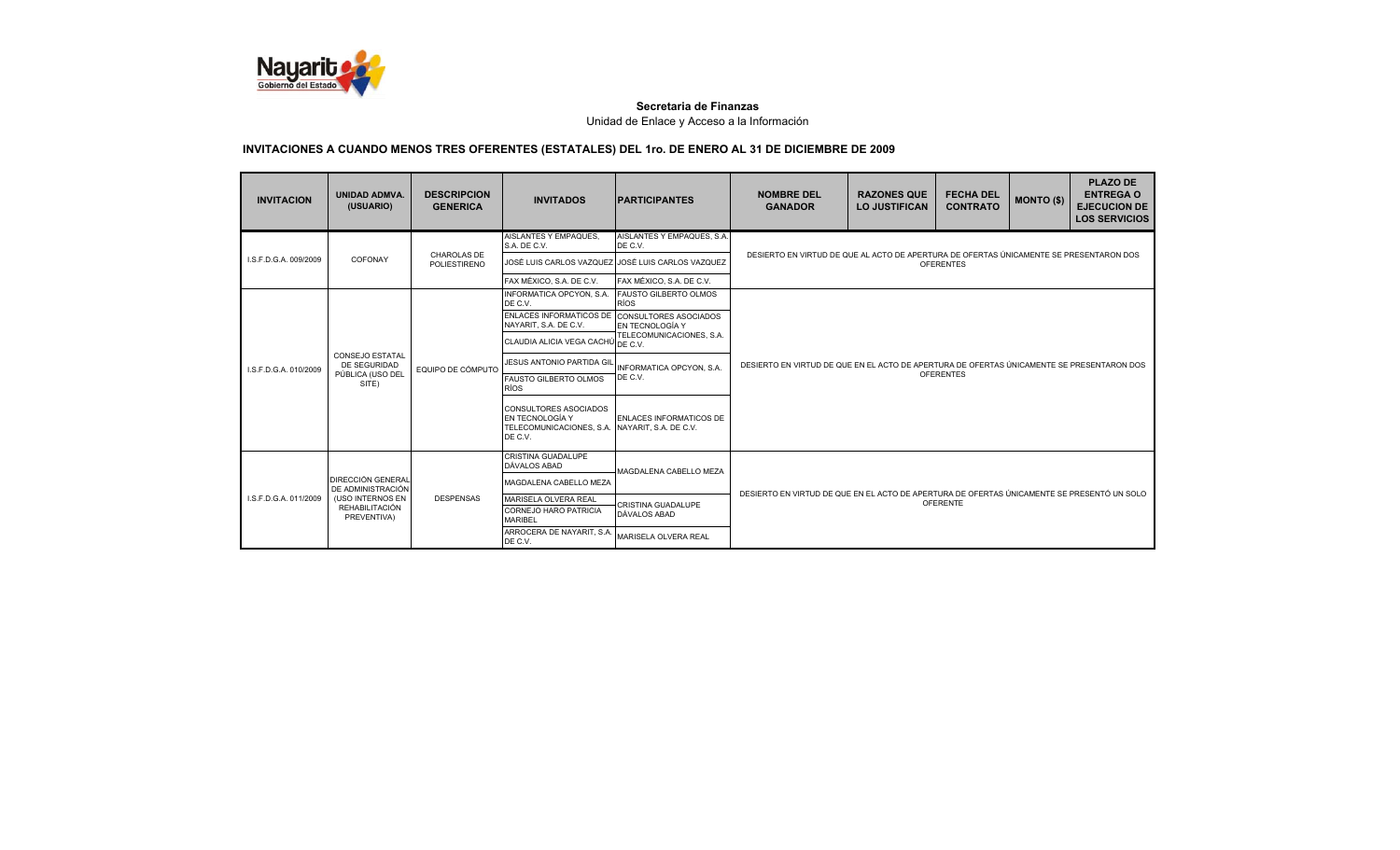

| <b>INVITACION</b>     | <b>UNIDAD ADMVA.</b><br>(USUARIO)             | <b>DESCRIPCION</b><br><b>GENERICA</b> | <b>INVITADOS</b>                                                                                             | <b>PARTICIPANTES</b>                              | <b>NOMBRE DEL</b><br><b>GANADOR</b>                                                                           | <b>RAZONES QUE</b><br><b>LO JUSTIFICAN</b> | <b>FECHA DEL</b><br><b>CONTRATO</b> | <b>MONTO (\$)</b> | <b>PLAZO DE</b><br><b>ENTREGA O</b><br><b>EJECUCION DE</b><br><b>LOS SERVICIOS</b> |  |
|-----------------------|-----------------------------------------------|---------------------------------------|--------------------------------------------------------------------------------------------------------------|---------------------------------------------------|---------------------------------------------------------------------------------------------------------------|--------------------------------------------|-------------------------------------|-------------------|------------------------------------------------------------------------------------|--|
|                       |                                               |                                       | AISLANTES Y EMPAQUES.<br>S.A. DE C.V.                                                                        | AISLANTES Y EMPAQUES, S.A.<br>DE C.V.             |                                                                                                               |                                            |                                     |                   |                                                                                    |  |
| I.S.F.D.G.A. 009/2009 | COFONAY                                       | CHAROLAS DE<br><b>POLIESTIRENO</b>    |                                                                                                              | JOSÉ LUIS CARLOS VAZQUEZ JOSÉ LUIS CARLOS VAZQUEZ | DESIERTO EN VIRTUD DE QUE AL ACTO DE APERTURA DE OFERTAS ÚNICAMENTE SE PRESENTARON DOS                        |                                            | <b>OFERENTES</b>                    |                   |                                                                                    |  |
|                       |                                               |                                       | FAX MÉXICO, S.A. DE C.V.                                                                                     | FAX MÉXICO, S.A. DE C.V.                          |                                                                                                               |                                            |                                     |                   |                                                                                    |  |
|                       |                                               |                                       | INFORMATICA OPCYON, S.A.<br>DE C.V.                                                                          | <b>FAUSTO GILBERTO OLMOS</b><br><b>RÍOS</b>       |                                                                                                               |                                            |                                     |                   |                                                                                    |  |
|                       |                                               |                                       | ENLACES INFORMATICOS DE CONSULTORES ASOCIADOS<br>NAYARIT, S.A. DE C.V.                                       | EN TECNOLOGÍA Y                                   |                                                                                                               |                                            |                                     |                   |                                                                                    |  |
|                       | <b>CONSEJO ESTATAL</b>                        | EQUIPO DE CÓMPUTO                     | CLAUDIA ALICIA VEGA CACHÚ DE C.V.                                                                            | TELECOMUNICACIONES, S.A.                          |                                                                                                               |                                            |                                     |                   |                                                                                    |  |
| I.S.F.D.G.A. 010/2009 | <b>DE SEGURIDAD</b>                           |                                       | <b>JESUS ANTONIO PARTIDA GIL</b>                                                                             | <b>INFORMATICA OPCYON, S.A.</b>                   | DESIERTO EN VIRTUD DE QUE EN EL ACTO DE APERTURA DE OFERTAS ÚNICAMENTE SE PRESENTARON DOS<br><b>OFERENTES</b> |                                            |                                     |                   |                                                                                    |  |
|                       | PÚBLICA (USO DEL<br>SITE)                     |                                       | <b>FAUSTO GILBERTO OLMOS</b><br><b>RÍOS</b>                                                                  | DE C.V.                                           |                                                                                                               |                                            |                                     |                   |                                                                                    |  |
|                       |                                               |                                       | <b>CONSULTORES ASOCIADOS</b><br>EN TECNOLOGÍA Y<br>TELECOMUNICACIONES, S.A. NAYARIT, S.A. DE C.V.<br>DE C.V. | ENLACES INFORMATICOS DE                           |                                                                                                               |                                            |                                     |                   |                                                                                    |  |
|                       |                                               |                                       | CRISTINA GUADALUPE<br>DÁVALOS ABAD                                                                           | MAGDALENA CABELLO MEZA                            |                                                                                                               |                                            |                                     |                   |                                                                                    |  |
|                       | <b>DIRECCIÓN GENERAL</b><br>DE ADMINISTRACIÓN |                                       | MAGDALENA CABELLO MEZA                                                                                       |                                                   |                                                                                                               |                                            |                                     |                   |                                                                                    |  |
| I.S.F.D.G.A. 011/2009 | (USO INTERNOS EN<br>REHABILITACIÓN            | <b>DESPENSAS</b>                      | MARISELA OLVERA REAL                                                                                         | CRISTINA GUADALUPE                                | DESIERTO EN VIRTUD DE QUE EN EL ACTO DE APERTURA DE OFERTAS ÚNICAMENTE SE PRESENTÓ UN SOLO                    |                                            | <b>OFERENTE</b>                     |                   |                                                                                    |  |
|                       | PREVENTIVA)                                   |                                       | CORNEJO HARO PATRICIA<br><b>MARIBEL</b>                                                                      | DÁVALOS ABAD                                      |                                                                                                               |                                            |                                     |                   |                                                                                    |  |
|                       |                                               |                                       | ARROCERA DE NAYARIT, S.A.<br>DE C.V.                                                                         | MARISELA OLVERA REAL                              |                                                                                                               |                                            |                                     |                   |                                                                                    |  |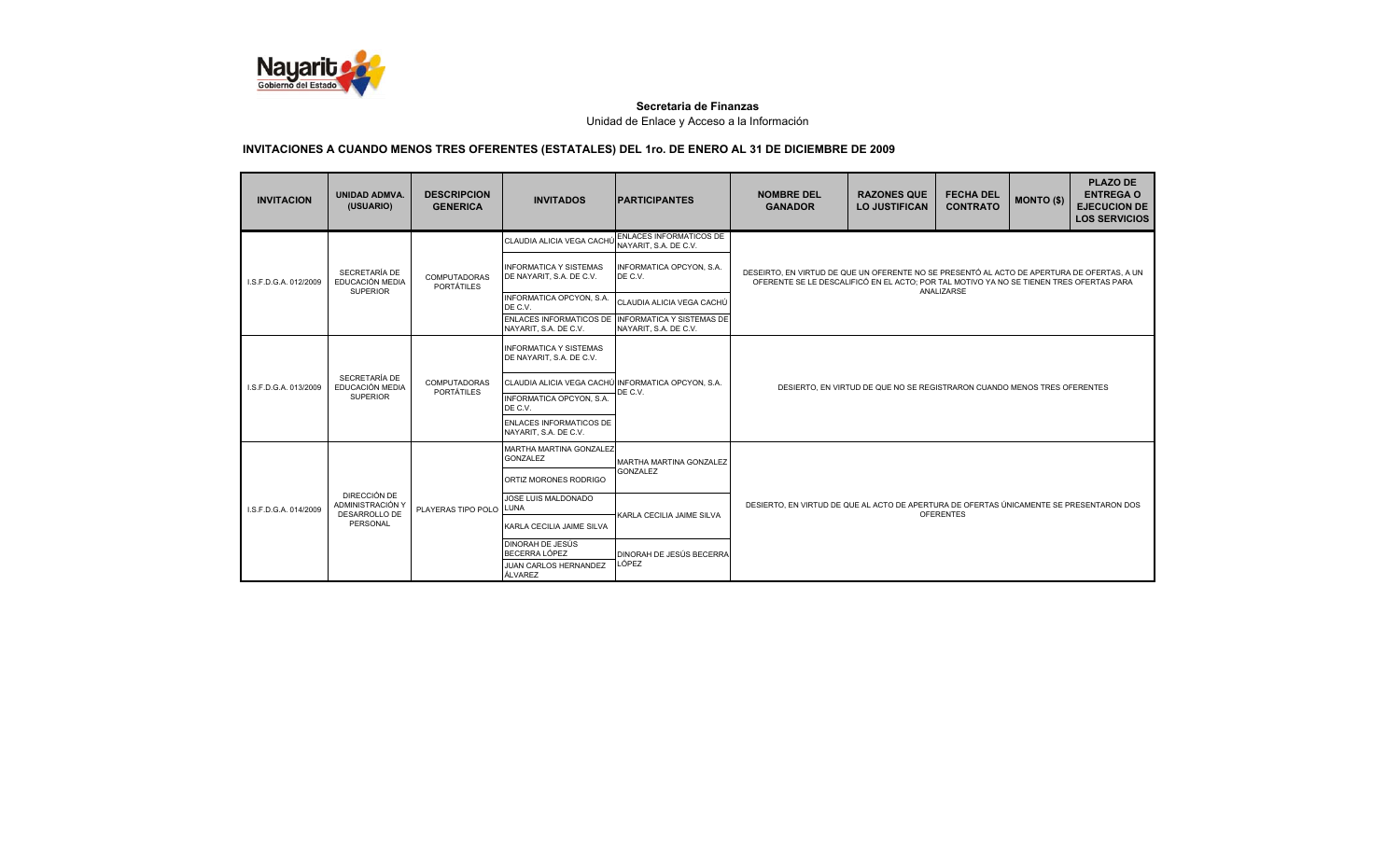

| <b>INVITACION</b>         | <b>UNIDAD ADMVA.</b><br>(USUARIO)                   | <b>DESCRIPCION</b><br><b>GENERICA</b>    | <b>INVITADOS</b>                                          | <b>IPARTICIPANTES</b>                                                      | <b>NOMBRE DEL</b><br><b>GANADOR</b>                                                                                                                                                   | <b>RAZONES QUE</b><br><b>LO JUSTIFICAN</b>                               | <b>FECHA DEL</b><br><b>CONTRATO</b> | <b>MONTO (\$)</b> | <b>PLAZO DE</b><br><b>ENTREGA O</b><br><b>EJECUCION DE</b><br><b>LOS SERVICIOS</b> |  |  |
|---------------------------|-----------------------------------------------------|------------------------------------------|-----------------------------------------------------------|----------------------------------------------------------------------------|---------------------------------------------------------------------------------------------------------------------------------------------------------------------------------------|--------------------------------------------------------------------------|-------------------------------------|-------------------|------------------------------------------------------------------------------------|--|--|
|                           |                                                     |                                          | CLAUDIA ALICIA VEGA CACHÚ                                 | ENLACES INFORMATICOS DE<br>NAYARIT, S.A. DE C.V.                           |                                                                                                                                                                                       |                                                                          |                                     |                   |                                                                                    |  |  |
| LS.F.D.G.A. 012/2009      | SECRETARÍA DE<br>EDUCACIÓN MEDIA<br><b>SUPERIOR</b> | <b>COMPUTADORAS</b><br><b>PORTÁTILES</b> | <b>INFORMATICA Y SISTEMAS</b><br>DE NAYARIT, S.A. DE C.V. | INFORMATICA OPCYON, S.A.<br>DE C.V.                                        | DESEIRTO. EN VIRTUD DE QUE UN OFERENTE NO SE PRESENTÓ AL ACTO DE APERTURA DE OFERTAS. A UN<br>OFERENTE SE LE DESCALIFICÓ EN EL ACTO: POR TAL MOTIVO YA NO SE TIENEN TRES OFERTAS PARA |                                                                          | ANALIZARSE                          |                   |                                                                                    |  |  |
|                           |                                                     |                                          | INFORMATICA OPCYON, S.A.<br>DE C.V.                       | CLAUDIA ALICIA VEGA CACHÚ                                                  |                                                                                                                                                                                       |                                                                          |                                     |                   |                                                                                    |  |  |
|                           |                                                     |                                          | NAYARIT, S.A. DE C.V.                                     | ENLACES INFORMATICOS DE INFORMATICA Y SISTEMAS DE<br>NAYARIT, S.A. DE C.V. |                                                                                                                                                                                       |                                                                          |                                     |                   |                                                                                    |  |  |
|                           |                                                     |                                          | <b>INFORMATICA Y SISTEMAS</b><br>DE NAYARIT, S.A. DE C.V. |                                                                            |                                                                                                                                                                                       |                                                                          |                                     |                   |                                                                                    |  |  |
| I.S.F.D.G.A. 013/2009     | SECRETARÍA DE<br>EDUCACIÓN MEDIA                    | <b>COMPUTADORAS</b><br><b>PORTÁTILES</b> | CLAUDIA ALICIA VEGA CACHÚ                                 | U INFORMATICA OPCYON, S.A.<br>DE C.V.                                      |                                                                                                                                                                                       | DESIERTO, EN VIRTUD DE QUE NO SE REGISTRARON CUANDO MENOS TRES OFERENTES |                                     |                   |                                                                                    |  |  |
|                           | <b>SUPERIOR</b>                                     |                                          | <b>INFORMATICA OPCYON, S.A.</b><br>DE C.V.                |                                                                            |                                                                                                                                                                                       |                                                                          |                                     |                   |                                                                                    |  |  |
|                           |                                                     |                                          | <b>ENLACES INFORMATICOS DE</b><br>NAYARIT, S.A. DE C.V.   |                                                                            |                                                                                                                                                                                       |                                                                          |                                     |                   |                                                                                    |  |  |
|                           |                                                     |                                          | MARTHA MARTINA GONZALEZ<br><b>GONZALEZ</b>                | <b>MARTHA MARTINA GONZALEZ</b>                                             |                                                                                                                                                                                       |                                                                          |                                     |                   |                                                                                    |  |  |
|                           |                                                     |                                          | ORTIZ MORONES RODRIGO                                     | <b>GONZALEZ</b>                                                            |                                                                                                                                                                                       |                                                                          |                                     |                   |                                                                                    |  |  |
| I.S.F.D.G.A. 014/2009     | DIRECCIÓN DE<br>ADMINISTRACIÓN Y                    | PLAYERAS TIPO POLO                       | JOSE LUIS MALDONADO<br>LUNA                               | KARLA CECILIA JAIME SILVA                                                  | DESIERTO. EN VIRTUD DE QUE AL ACTO DE APERTURA DE OFERTAS ÚNICAMENTE SE PRESENTARON DOS                                                                                               |                                                                          | <b>OFERENTES</b>                    |                   |                                                                                    |  |  |
| DESARROLLO DE<br>PERSONAL |                                                     |                                          | KARLA CECILIA JAIME SILVA                                 |                                                                            |                                                                                                                                                                                       |                                                                          |                                     |                   |                                                                                    |  |  |
|                           |                                                     | <b>DINORAH DE JESÚS</b><br>BECERRA LÓPEZ | DINORAH DE JESÚS BECERRA                                  |                                                                            |                                                                                                                                                                                       |                                                                          |                                     |                   |                                                                                    |  |  |
|                           |                                                     |                                          | JUAN CARLOS HERNANDEZ<br>ÁLVAREZ                          | LÓPEZ                                                                      |                                                                                                                                                                                       |                                                                          |                                     |                   |                                                                                    |  |  |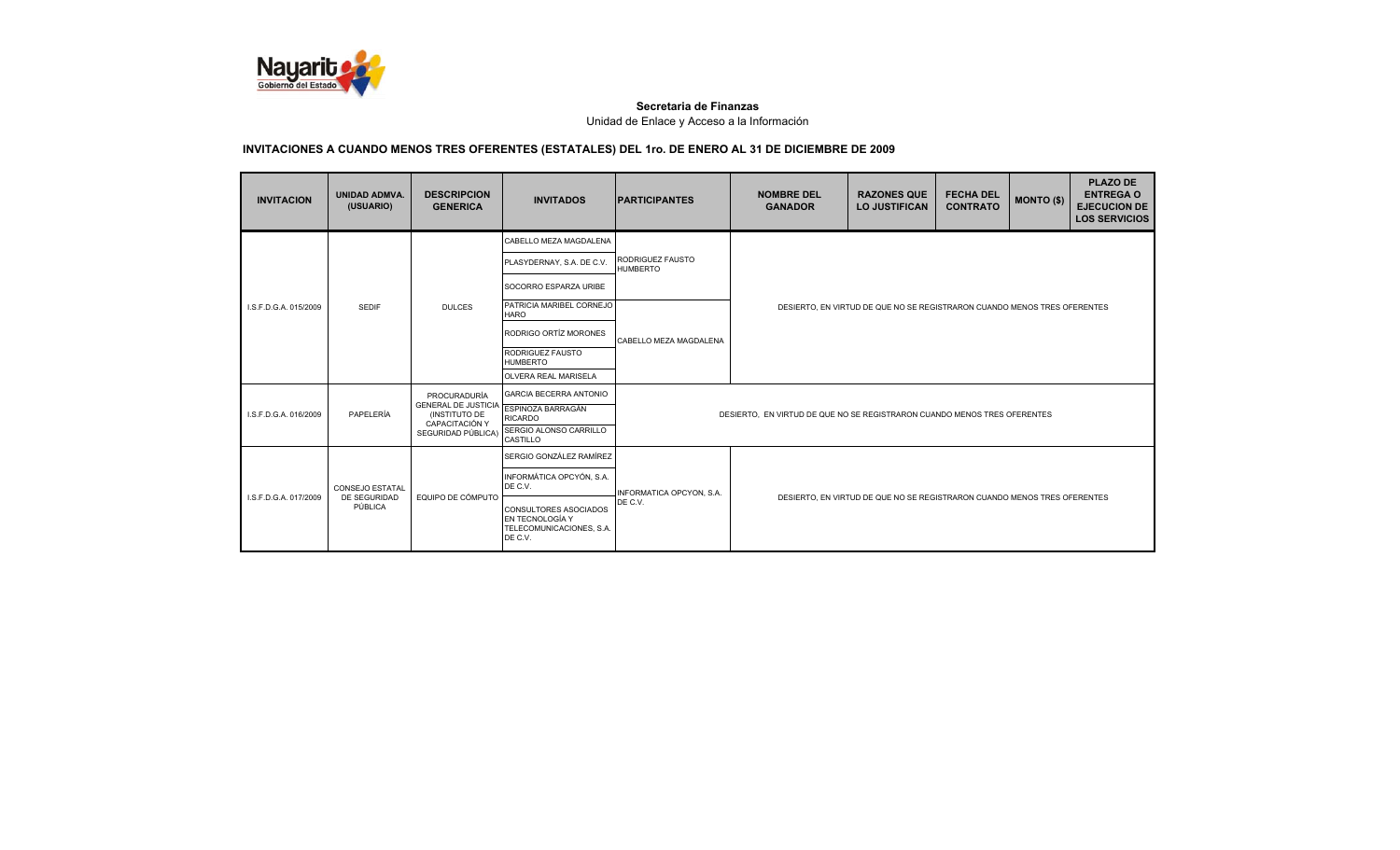

| <b>INVITACION</b>     | <b>UNIDAD ADMVA.</b><br>(USUARIO) | <b>DESCRIPCION</b><br><b>GENERICA</b>       | <b>INVITADOS</b>                                                                | <b>IPARTICIPANTES</b>               | <b>NOMBRE DEL</b><br><b>GANADOR</b>                                      | <b>RAZONES QUE</b><br><b>LO JUSTIFICAN</b>                               | <b>FECHA DEL</b><br><b>CONTRATO</b> | <b>MONTO (\$)</b> | <b>PLAZO DE</b><br><b>ENTREGA O</b><br><b>EJECUCION DE</b><br><b>LOS SERVICIOS</b> |  |
|-----------------------|-----------------------------------|---------------------------------------------|---------------------------------------------------------------------------------|-------------------------------------|--------------------------------------------------------------------------|--------------------------------------------------------------------------|-------------------------------------|-------------------|------------------------------------------------------------------------------------|--|
|                       |                                   |                                             | CABELLO MEZA MAGDALENA                                                          |                                     |                                                                          |                                                                          |                                     |                   |                                                                                    |  |
|                       |                                   |                                             | PLASYDERNAY, S.A. DE C.V.                                                       | RODRIGUEZ FAUSTO<br><b>HUMBERTO</b> |                                                                          |                                                                          |                                     |                   |                                                                                    |  |
|                       |                                   |                                             | SOCORRO ESPARZA URIBE                                                           |                                     |                                                                          |                                                                          |                                     |                   |                                                                                    |  |
| I.S.F.D.G.A. 015/2009 | <b>SEDIF</b>                      | <b>DULCES</b>                               | PATRICIA MARIBEL CORNEJO<br><b>HARO</b>                                         |                                     |                                                                          | DESIERTO, EN VIRTUD DE QUE NO SE REGISTRARON CUANDO MENOS TRES OFERENTES |                                     |                   |                                                                                    |  |
|                       |                                   |                                             | RODRIGO ORTÍZ MORONES                                                           | CABELLO MEZA MAGDALENA              |                                                                          |                                                                          |                                     |                   |                                                                                    |  |
|                       |                                   |                                             | RODRIGUEZ FAUSTO<br><b>HUMBERTO</b>                                             |                                     |                                                                          |                                                                          |                                     |                   |                                                                                    |  |
|                       |                                   |                                             | OLVERA REAL MARISELA                                                            |                                     |                                                                          |                                                                          |                                     |                   |                                                                                    |  |
|                       |                                   | PROCURADURÍA                                | <b>GARCIA BECERRA ANTONIO</b>                                                   |                                     |                                                                          |                                                                          |                                     |                   |                                                                                    |  |
| I.S.F.D.G.A. 016/2009 | PAPELERÍA                         | <b>GENERAL DE JUSTICIA</b><br>(INSTITUTO DE | ESPINOZA BARRAGÁN<br><b>RICARDO</b>                                             |                                     | DESIERTO, EN VIRTUD DE QUE NO SE REGISTRARON CUANDO MENOS TRES OFERENTES |                                                                          |                                     |                   |                                                                                    |  |
|                       |                                   | CAPACITACIÓN Y<br>SEGURIDAD PÚBLICA)        | SERGIO ALONSO CARRILLO<br>CASTILLO                                              |                                     |                                                                          |                                                                          |                                     |                   |                                                                                    |  |
|                       |                                   |                                             | SERGIO GONZÁLEZ RAMÍREZ                                                         |                                     |                                                                          |                                                                          |                                     |                   |                                                                                    |  |
|                       | <b>CONSEJO ESTATAL</b>            |                                             | INFORMÁTICA OPCYÓN, S.A.<br>DE C.V.                                             | INFORMATICA OPCYON, S.A.            |                                                                          |                                                                          |                                     |                   |                                                                                    |  |
| I.S.F.D.G.A. 017/2009 | DE SEGURIDAD<br>PÚBLICA           | EQUIPO DE CÓMPUTO                           | CONSULTORES ASOCIADOS<br>EN TECNOLOGÍA Y<br>TELECOMUNICACIONES, S.A.<br>DE C.V. | DE C.V.                             | DESIERTO, EN VIRTUD DE QUE NO SE REGISTRARON CUANDO MENOS TRES OFERENTES |                                                                          |                                     |                   |                                                                                    |  |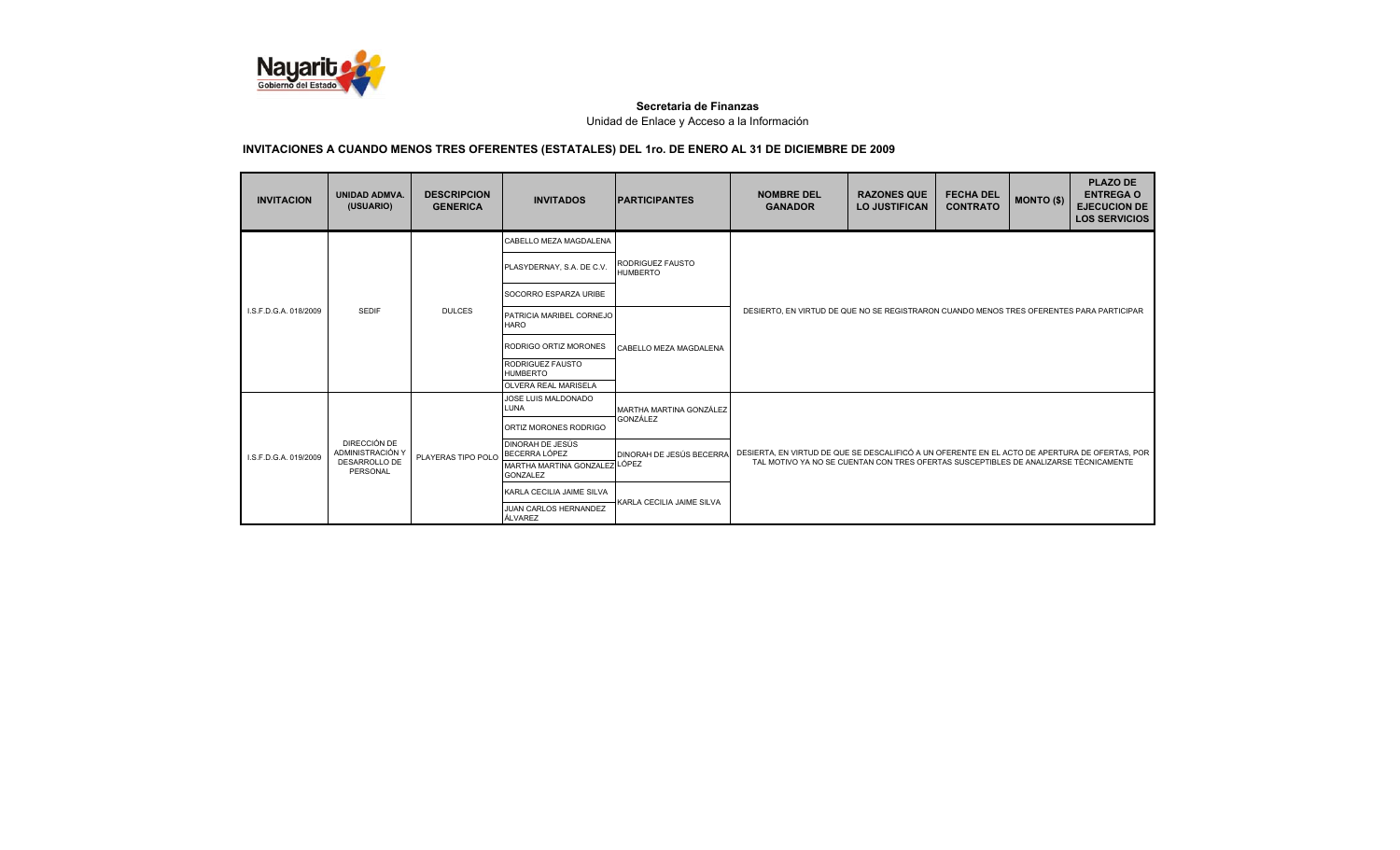

| <b>INVITACION</b>         | <b>UNIDAD ADMVA.</b><br>(USUARIO) | <b>DESCRIPCION</b><br><b>GENERICA</b> | <b>INVITADOS</b>                                 | <b>IPARTICIPANTES</b>                      | <b>NOMBRE DEL</b><br><b>GANADOR</b>                                                            | <b>RAZONES QUE</b><br><b>LO JUSTIFICAN</b> | <b>FECHA DEL</b><br><b>CONTRATO</b> | <b>MONTO (\$)</b> | <b>PLAZO DE</b><br><b>ENTREGA O</b><br><b>EJECUCION DE</b><br><b>LOS SERVICIOS</b> |  |
|---------------------------|-----------------------------------|---------------------------------------|--------------------------------------------------|--------------------------------------------|------------------------------------------------------------------------------------------------|--------------------------------------------|-------------------------------------|-------------------|------------------------------------------------------------------------------------|--|
|                           |                                   |                                       | CABELLO MEZA MAGDALENA                           |                                            |                                                                                                |                                            |                                     |                   |                                                                                    |  |
|                           |                                   |                                       | PLASYDERNAY, S.A. DE C.V.                        | <b>RODRIGUEZ FAUSTO</b><br><b>HUMBERTO</b> |                                                                                                |                                            |                                     |                   |                                                                                    |  |
|                           |                                   |                                       | SOCORRO ESPARZA URIBE                            |                                            |                                                                                                |                                            |                                     |                   |                                                                                    |  |
| I.S.F.D.G.A. 018/2009     | <b>SEDIF</b>                      | <b>DULCES</b>                         | PATRICIA MARIBEL CORNEJO<br><b>HARO</b>          | CABELLO MEZA MAGDALENA                     | DESIERTO, EN VIRTUD DE QUE NO SE REGISTRARON CUANDO MENOS TRES OFERENTES PARA PARTICIPAR       |                                            |                                     |                   |                                                                                    |  |
|                           |                                   |                                       | RODRIGO ORTIZ MORONES                            |                                            |                                                                                                |                                            |                                     |                   |                                                                                    |  |
|                           |                                   |                                       | RODRIGUEZ FAUSTO<br><b>HUMBERTO</b>              |                                            |                                                                                                |                                            |                                     |                   |                                                                                    |  |
|                           |                                   |                                       | <b>OLVERA REAL MARISELA</b>                      |                                            |                                                                                                |                                            |                                     |                   |                                                                                    |  |
|                           |                                   |                                       | JOSE LUIS MALDONADO<br>LUNA                      | MARTHA MARTINA GONZÁLEZ                    |                                                                                                |                                            |                                     |                   |                                                                                    |  |
|                           |                                   |                                       | ORTIZ MORONES RODRIGO                            | GONZÁLEZ                                   |                                                                                                |                                            |                                     |                   |                                                                                    |  |
| LS.F.D.G.A. 019/2009      | DIRECCIÓN DE<br>ADMINISTRACIÓN Y  | PLAYERAS TIPO POLO                    | <b>DINORAH DE JESÚS</b><br>BECERRA LÓPEZ         | <b>DINORAH DE JESÚS BECERRA</b>            | DESIERTA, EN VIRTUD DE QUE SE DESCALIFICÓ A UN OFERENTE EN EL ACTO DE APERTURA DE OFERTAS, POR |                                            |                                     |                   |                                                                                    |  |
| DESARROLLO DE<br>PERSONAL |                                   |                                       | MARTHA MARTINA GONZALEZ LÓPEZ<br><b>GONZALEZ</b> |                                            | TAL MOTIVO YA NO SE CUENTAN CON TRES OFERTAS SUSCEPTIBLES DE ANALIZARSE TÉCNICAMENTE           |                                            |                                     |                   |                                                                                    |  |
|                           |                                   | KARLA CECILIA JAIME SILVA             | KARLA CECILIA JAIME SILVA                        |                                            |                                                                                                |                                            |                                     |                   |                                                                                    |  |
|                           |                                   |                                       | JUAN CARLOS HERNANDEZ<br>ÁLVAREZ                 |                                            |                                                                                                |                                            |                                     |                   |                                                                                    |  |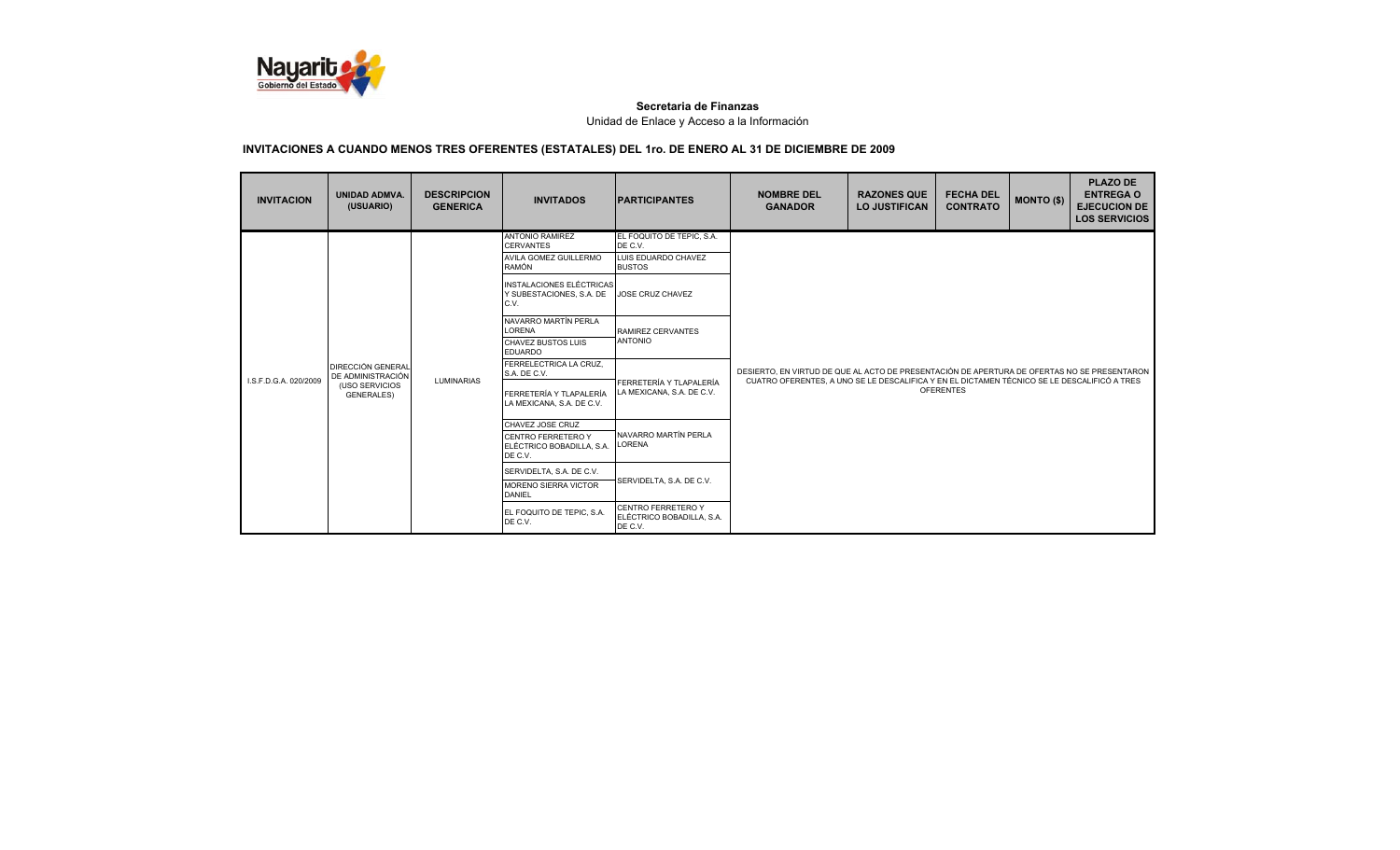

| <b>INVITACION</b>     | <b>UNIDAD ADMVA.</b><br>(USUARIO)             | <b>DESCRIPCION</b><br><b>GENERICA</b> | <b>INVITADOS</b>                                                    | <b>IPARTICIPANTES</b>                                      | <b>NOMBRE DEL</b><br><b>GANADOR</b>                                                                             | <b>RAZONES QUE</b><br><b>LO JUSTIFICAN</b> | <b>FECHA DEL</b><br><b>CONTRATO</b> | <b>MONTO (\$)</b> | <b>PLAZO DE</b><br><b>ENTREGA O</b><br><b>EJECUCION DE</b><br><b>LOS SERVICIOS</b> |
|-----------------------|-----------------------------------------------|---------------------------------------|---------------------------------------------------------------------|------------------------------------------------------------|-----------------------------------------------------------------------------------------------------------------|--------------------------------------------|-------------------------------------|-------------------|------------------------------------------------------------------------------------|
|                       |                                               |                                       | <b>ANTONIO RAMIREZ</b><br><b>CERVANTES</b>                          | EL FOQUITO DE TEPIC, S.A.<br>DE C.V.                       |                                                                                                                 |                                            |                                     |                   |                                                                                    |
|                       |                                               |                                       | AVILA GOMEZ GUILLERMO<br><b>RAMÓN</b>                               | LUIS EDUARDO CHAVEZ<br><b>BUSTOS</b>                       |                                                                                                                 |                                            |                                     |                   |                                                                                    |
|                       |                                               |                                       | <b>INSTALACIONES ELÉCTRICAS</b><br>Y SUBESTACIONES, S.A. DE<br>C.V. | JOSE CRUZ CHAVEZ                                           |                                                                                                                 |                                            |                                     |                   |                                                                                    |
|                       |                                               |                                       | NAVARRO MARTÍN PERLA<br><b>LORENA</b>                               | RAMIREZ CERVANTES                                          |                                                                                                                 |                                            |                                     |                   |                                                                                    |
|                       | <b>DIRECCIÓN GENERAL</b><br>DE ADMINISTRACIÓN |                                       | <b>CHAVEZ BUSTOS LUIS</b><br><b>EDUARDO</b>                         | <b>ANTONIO</b>                                             |                                                                                                                 |                                            |                                     |                   |                                                                                    |
|                       |                                               |                                       | FERRELECTRICA LA CRUZ.<br>S.A. DE C.V.                              |                                                            | DESIERTO. EN VIRTUD DE QUE AL ACTO DE PRESENTACIÓN DE APERTURA DE OFERTAS NO SE PRESENTARON                     |                                            |                                     |                   |                                                                                    |
| I.S.F.D.G.A. 020/2009 | (USO SERVICIOS<br><b>GENERALES)</b>           | <b>LUMINARIAS</b>                     | FERRETERÍA Y TLAPALERÍA<br>LA MEXICANA, S.A. DE C.V.                | FERRETERÍA Y TLAPALERÍA<br>LA MEXICANA, S.A. DE C.V.       | CUATRO OFERENTES, A UNO SE LE DESCALIFICA Y EN EL DICTAMEN TÉCNICO SE LE DESCALIFICÓ A TRES<br><b>OFERENTES</b> |                                            |                                     |                   |                                                                                    |
|                       |                                               |                                       | CHAVEZ JOSE CRUZ                                                    |                                                            |                                                                                                                 |                                            |                                     |                   |                                                                                    |
|                       |                                               |                                       | <b>CENTRO FERRETERO Y</b><br>ELÉCTRICO BOBADILLA, S.A.<br>DE C.V.   | NAVARRO MARTÍN PERLA<br><b>LORENA</b>                      |                                                                                                                 |                                            |                                     |                   |                                                                                    |
|                       |                                               |                                       | SERVIDELTA, S.A. DE C.V.                                            |                                                            |                                                                                                                 |                                            |                                     |                   |                                                                                    |
|                       |                                               |                                       | <b>MORENO SIERRA VICTOR</b><br><b>DANIEL</b>                        | SERVIDELTA, S.A. DE C.V.                                   |                                                                                                                 |                                            |                                     |                   |                                                                                    |
|                       |                                               |                                       | EL FOQUITO DE TEPIC. S.A.<br>DE C.V.                                | CENTRO FERRETERO Y<br>ELÉCTRICO BOBADILLA, S.A.<br>DE C.V. |                                                                                                                 |                                            |                                     |                   |                                                                                    |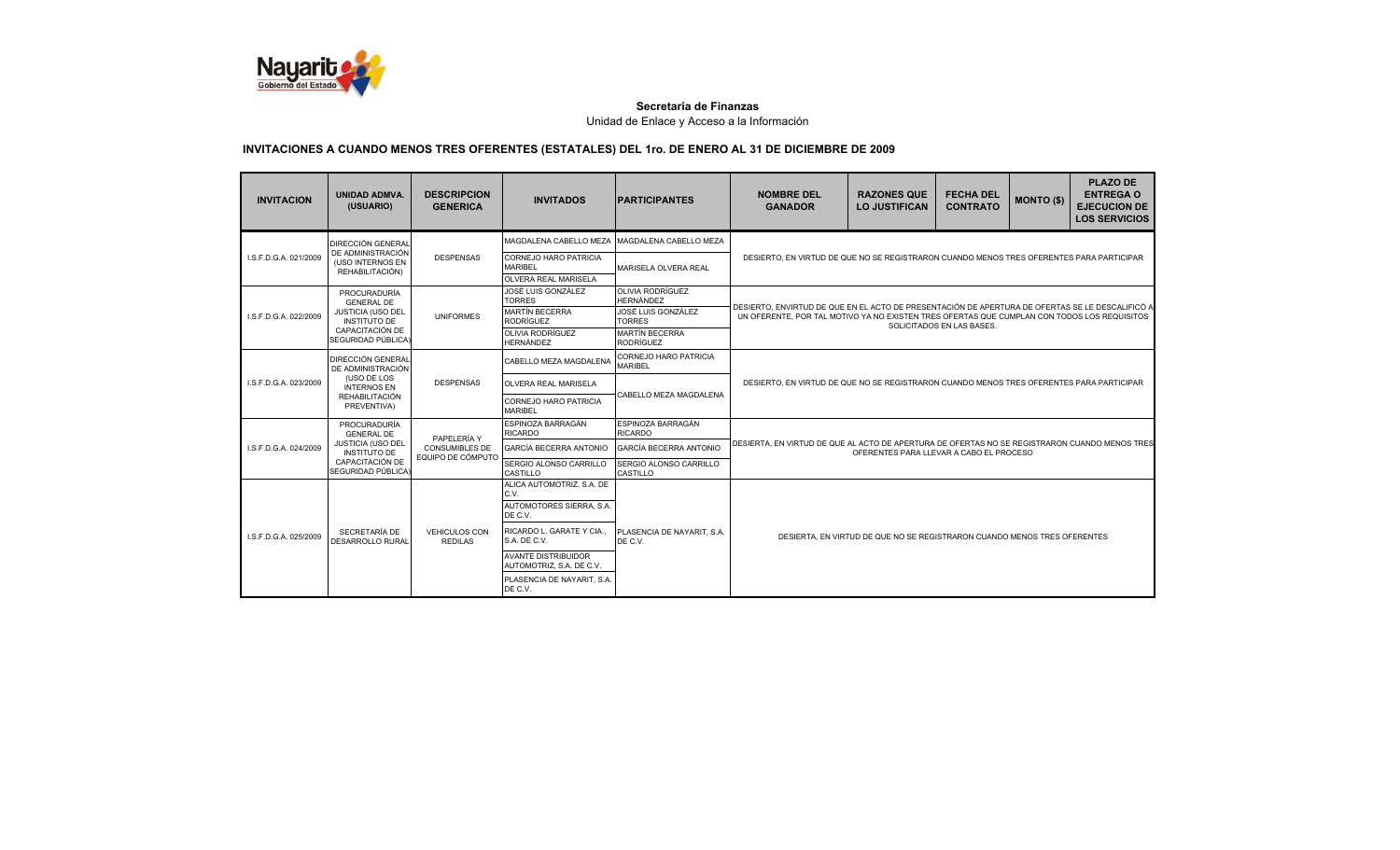

| <b>INVITACION</b>     | <b>UNIDAD ADMVA.</b><br>(USUARIO)             | <b>DESCRIPCION</b><br><b>GENERICA</b>  | <b>INVITADOS</b>                                                       | <b>IPARTICIPANTES</b>                       | <b>NOMBRE DEL</b><br><b>GANADOR</b>                                                             | <b>RAZONES QUE</b><br><b>LO JUSTIFICAN</b>                               | <b>FECHA DEL</b><br><b>CONTRATO</b> | <b>MONTO (\$)</b> | <b>PLAZO DE</b><br><b>ENTREGA O</b><br><b>EJECUCION DE</b><br><b>LOS SERVICIOS</b> |
|-----------------------|-----------------------------------------------|----------------------------------------|------------------------------------------------------------------------|---------------------------------------------|-------------------------------------------------------------------------------------------------|--------------------------------------------------------------------------|-------------------------------------|-------------------|------------------------------------------------------------------------------------|
|                       | <b>DIRECCIÓN GENERAL</b><br>DE ADMINISTRACIÓN |                                        | MAGDALENA CABELLO MEZA                                                 | MAGDALENA CABELLO MEZA                      |                                                                                                 |                                                                          |                                     |                   |                                                                                    |
| I.S.F.D.G.A. 021/2009 | (USO INTERNOS EN<br>REHABILITACIÓN)           | <b>DESPENSAS</b>                       | <b>CORNEJO HARO PATRICIA</b><br><b>MARIBEL</b><br>OLVERA REAL MARISELA | MARISELA OLVERA REAL                        | DESIERTO, EN VIRTUD DE QUE NO SE REGISTRARON CUANDO MENOS TRES OFERENTES PARA PARTICIPAR        |                                                                          |                                     |                   |                                                                                    |
|                       | PROCURADURÍA<br><b>GENERAL DE</b>             |                                        | JOSÉ LUIS GONZÁLEZ<br><b>TORRES</b>                                    | <b>OLIVIA RODRÍGUEZ</b><br><b>HERNÁNDEZ</b> | DESIERTO. ENVIRTUD DE QUE EN EL ACTO DE PRESENTACIÓN DE APERTURA DE OFERTAS SE LE DESCALIFICÓ A |                                                                          |                                     |                   |                                                                                    |
| I.S.F.D.G.A. 022/2009 | JUSTICIA (USO DEL<br><b>INSTITUTO DE</b>      | <b>UNIFORMES</b>                       | <b>MARTÍN BECERRA</b><br><b>RODRÍGUEZ</b>                              | JOSÉ LUIS GONZÁLEZ<br><b>TORRES</b>         | UN OFERENTE. POR TAL MOTIVO YA NO EXISTEN TRES OFERTAS QUE CUMPLAN CON TODOS LOS REQUISITOS     |                                                                          | SOLICITADOS EN LAS BASES.           |                   |                                                                                    |
|                       | CAPACITACIÓN DE<br>SEGURIDAD PÚBLICA)         |                                        | <b>OLIVIA RODRÍGUEZ</b><br><b>HERNÁNDEZ</b>                            | <b>MARTÍN BECERRA</b><br><b>RODRÍGUEZ</b>   |                                                                                                 |                                                                          |                                     |                   |                                                                                    |
|                       | <b>DIRECCIÓN GENERAL</b><br>DE ADMINISTRACIÓN |                                        | CABELLO MEZA MAGDALENA                                                 | CORNEJO HARO PATRICIA<br><b>MARIBEL</b>     |                                                                                                 |                                                                          |                                     |                   |                                                                                    |
| I.S.F.D.G.A. 023/2009 | (USO DE LOS<br><b>INTERNOS EN</b>             | <b>DESPENSAS</b>                       | <b>OLVERA REAL MARISELA</b>                                            | CABELLO MEZA MAGDALENA                      | DESIERTO, EN VIRTUD DE QUE NO SE REGISTRARON CUANDO MENOS TRES OFERENTES PARA PARTICIPAR        |                                                                          |                                     |                   |                                                                                    |
|                       | <b>REHABILITACIÓN</b><br>PREVENTIVA)          |                                        | <b>CORNEJO HARO PATRICIA</b><br><b>MARIBEL</b>                         |                                             |                                                                                                 |                                                                          |                                     |                   |                                                                                    |
|                       | PROCURADURÍA<br><b>GENERAL DE</b>             | PAPELERÍA Y                            | ESPINOZA BARRAGÁN<br><b>RICARDO</b>                                    | ESPINOZA BARRAGÁN<br><b>RICARDO</b>         |                                                                                                 |                                                                          |                                     |                   |                                                                                    |
| LS.F.D.G.A. 024/2009  | JUSTICIA (USO DEL<br><b>INSTITUTO DE</b>      | CONSUMIBLES DE<br>EQUIPO DE CÓMPUTO    | GARCÍA BECERRA ANTONIO                                                 | <b>GARCÍA BECERRA ANTONIO</b>               | DESIERTA. EN VIRTUD DE QUE AL ACTO DE APERTURA DE OFERTAS NO SE REGISTRARON CUANDO MENOS TRES   | OFERENTES PARA LLEVAR A CABO EL PROCESO                                  |                                     |                   |                                                                                    |
|                       | CAPACITACIÓN DE<br>SEGURIDAD PÚBLICA)         |                                        | SERGIO ALONSO CARRILLO<br>CASTILLO                                     | SERGIO ALONSO CARRILLO<br>CASTILLO          |                                                                                                 |                                                                          |                                     |                   |                                                                                    |
|                       |                                               |                                        | ALICA AUTOMOTRIZ, S.A. DE<br>C.V.                                      |                                             |                                                                                                 |                                                                          |                                     |                   |                                                                                    |
|                       |                                               |                                        | AUTOMOTORES SIERRA, S.A.<br>DE C.V.                                    |                                             |                                                                                                 |                                                                          |                                     |                   |                                                                                    |
| LS.F.D.G.A. 025/2009  | SECRETARÍA DE<br>DESARROLLO RURAL             | <b>VEHICULOS CON</b><br><b>REDILAS</b> | RICARDO L. GARATE Y CIA<br>S.A. DE C.V.                                | PLASENCIA DE NAYARIT. S.A.<br>DE C.V.       |                                                                                                 | DESIERTA. EN VIRTUD DE QUE NO SE REGISTRARON CUANDO MENOS TRES OFERENTES |                                     |                   |                                                                                    |
|                       |                                               |                                        | <b>AVANTE DISTRIBUIDOR</b><br>AUTOMOTRIZ, S.A. DE C.V.                 |                                             |                                                                                                 |                                                                          |                                     |                   |                                                                                    |
|                       |                                               |                                        | PLASENCIA DE NAYARIT, S.A.<br>DE C.V.                                  |                                             |                                                                                                 |                                                                          |                                     |                   |                                                                                    |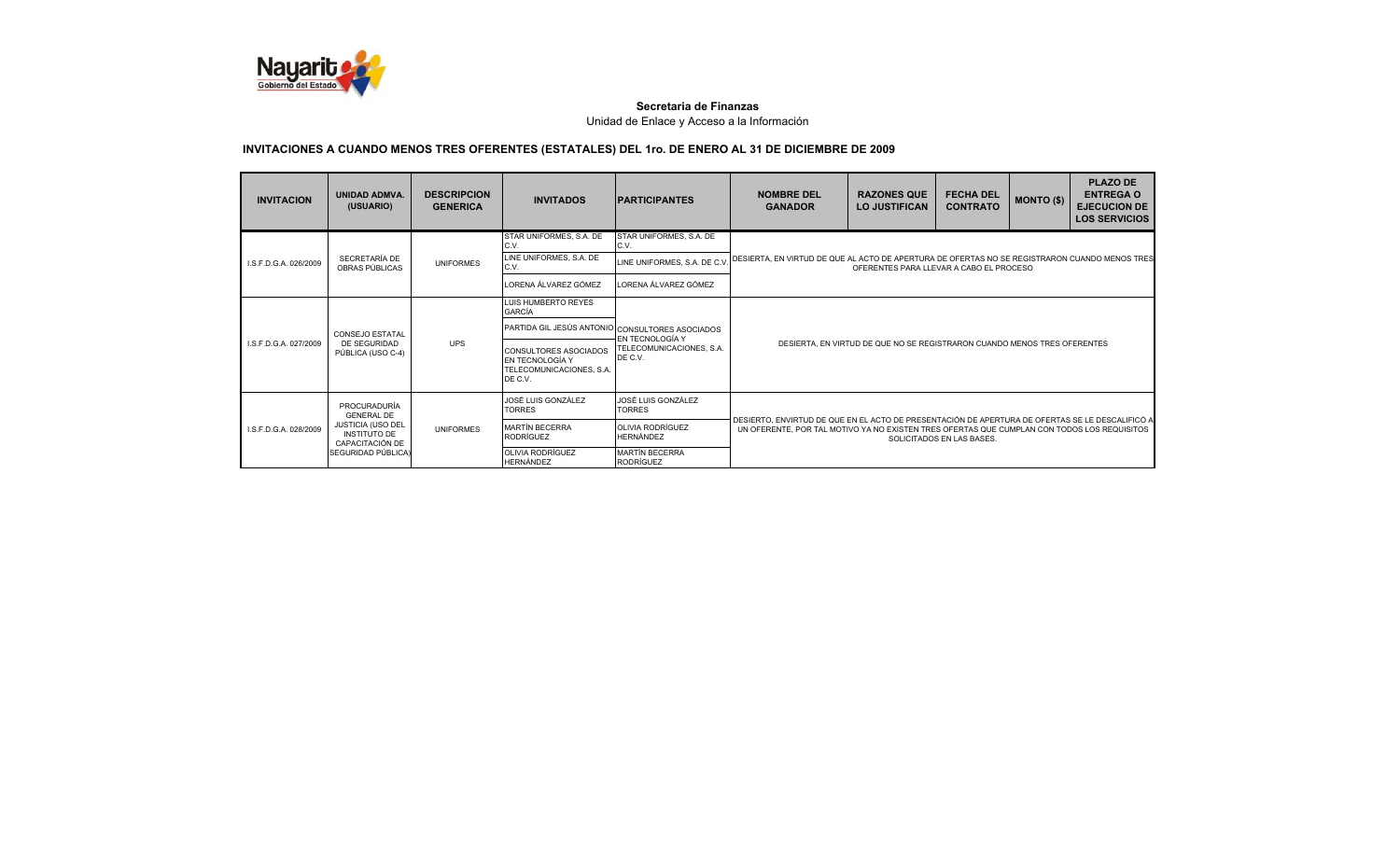

| <b>INVITACION</b>                     | <b>UNIDAD ADMVA.</b><br>(USUARIO)        | <b>DESCRIPCION</b><br><b>GENERICA</b> | <b>INVITADOS</b>                                                                       | <b>IPARTICIPANTES</b>                                              | <b>NOMBRE DEL</b><br><b>GANADOR</b>                                                                                                                                                                                         | <b>RAZONES QUE</b><br><b>LO JUSTIFICAN</b> | <b>FECHA DEL</b><br><b>CONTRATO</b> | <b>MONTO (\$)</b> | <b>PLAZO DE</b><br><b>ENTREGA O</b><br><b>EJECUCION DE</b><br><b>LOS SERVICIOS</b> |
|---------------------------------------|------------------------------------------|---------------------------------------|----------------------------------------------------------------------------------------|--------------------------------------------------------------------|-----------------------------------------------------------------------------------------------------------------------------------------------------------------------------------------------------------------------------|--------------------------------------------|-------------------------------------|-------------------|------------------------------------------------------------------------------------|
|                                       |                                          |                                       | STAR UNIFORMES, S.A. DE<br>C.V.                                                        | STAR UNIFORMES, S.A. DE<br>C.V.                                    |                                                                                                                                                                                                                             |                                            |                                     |                   |                                                                                    |
| I.S.F.D.G.A. 026/2009                 | SECRETARÍA DE<br>OBRAS PÚBLICAS          | <b>UNIFORMES</b>                      | LINE UNIFORMES, S.A. DE<br>C.V.                                                        | LINE UNIFORMES, S.A. DE C.V                                        | DESIERTA. EN VIRTUD DE QUE AL ACTO DE APERTURA DE OFERTAS NO SE REGISTRARON CUANDO MENOS TRES                                                                                                                               | OFERENTES PARA LLEVAR A CABO EL PROCESO    |                                     |                   |                                                                                    |
|                                       |                                          |                                       | LORENA ÁLVAREZ GÓMEZ                                                                   | LORENA ÁLVAREZ GÓMEZ                                               |                                                                                                                                                                                                                             |                                            |                                     |                   |                                                                                    |
|                                       |                                          |                                       | LUIS HUMBERTO REYES<br><b>GARCÍA</b>                                                   |                                                                    |                                                                                                                                                                                                                             |                                            |                                     |                   |                                                                                    |
|                                       | <b>CONSEJO ESTATAL</b>                   |                                       |                                                                                        | PARTIDA GIL JESÚS ANTONIO CONSULTORES ASOCIADOS<br>EN TECNOLOGÍA Y |                                                                                                                                                                                                                             |                                            |                                     |                   |                                                                                    |
| LS.F.D.G.A. 027/2009                  | DE SEGURIDAD<br>PÚBLICA (USO C-4)        | <b>UPS</b>                            | <b>CONSULTORES ASOCIADOS</b><br>EN TECNOLOGÍA Y<br>TELECOMUNICACIONES, S.A.<br>DE C.V. | TELECOMUNICACIONES, S.A.<br>DE C.V.                                | DESIERTA. EN VIRTUD DE QUE NO SE REGISTRARON CUANDO MENOS TRES OFERENTES                                                                                                                                                    |                                            |                                     |                   |                                                                                    |
|                                       | <b>PROCURADURÍA</b><br><b>GENERAL DE</b> |                                       | JOSÉ LUIS GONZÁLEZ<br><b>TORRES</b>                                                    | JOSÉ LUIS GONZÁLEZ<br><b>TORRES</b>                                |                                                                                                                                                                                                                             |                                            |                                     |                   |                                                                                    |
| LS.F.D.G.A. 028/2009                  | JUSTICIA (USO DEL<br><b>INSTITUTO DE</b> | <b>UNIFORMES</b>                      | <b>MARTÍN BECERRA</b><br><b>RODRÍGUEZ</b>                                              | <b>OLIVIA RODRÍGUEZ</b><br>HERNÁNDEZ                               | DESIERTO, ENVIRTUD DE QUE EN EL ACTO DE PRESENTACIÓN DE APERTURA DE OFERTAS SE LE DESCALIFICÓ A<br>UN OFERENTE. POR TAL MOTIVO YA NO EXISTEN TRES OFERTAS QUE CUMPLAN CON TODOS LOS REQUISITOS<br>SOLICITADOS EN LAS BASES. |                                            |                                     |                   |                                                                                    |
| CAPACITACIÓN DE<br>SEGURIDAD PÚBLICA) |                                          |                                       | <b>OLIVIA RODRÍGUEZ</b><br><b>HERNÁNDEZ</b>                                            | <b>MARTÍN BECERRA</b><br><b>RODRÍGUEZ</b>                          |                                                                                                                                                                                                                             |                                            |                                     |                   |                                                                                    |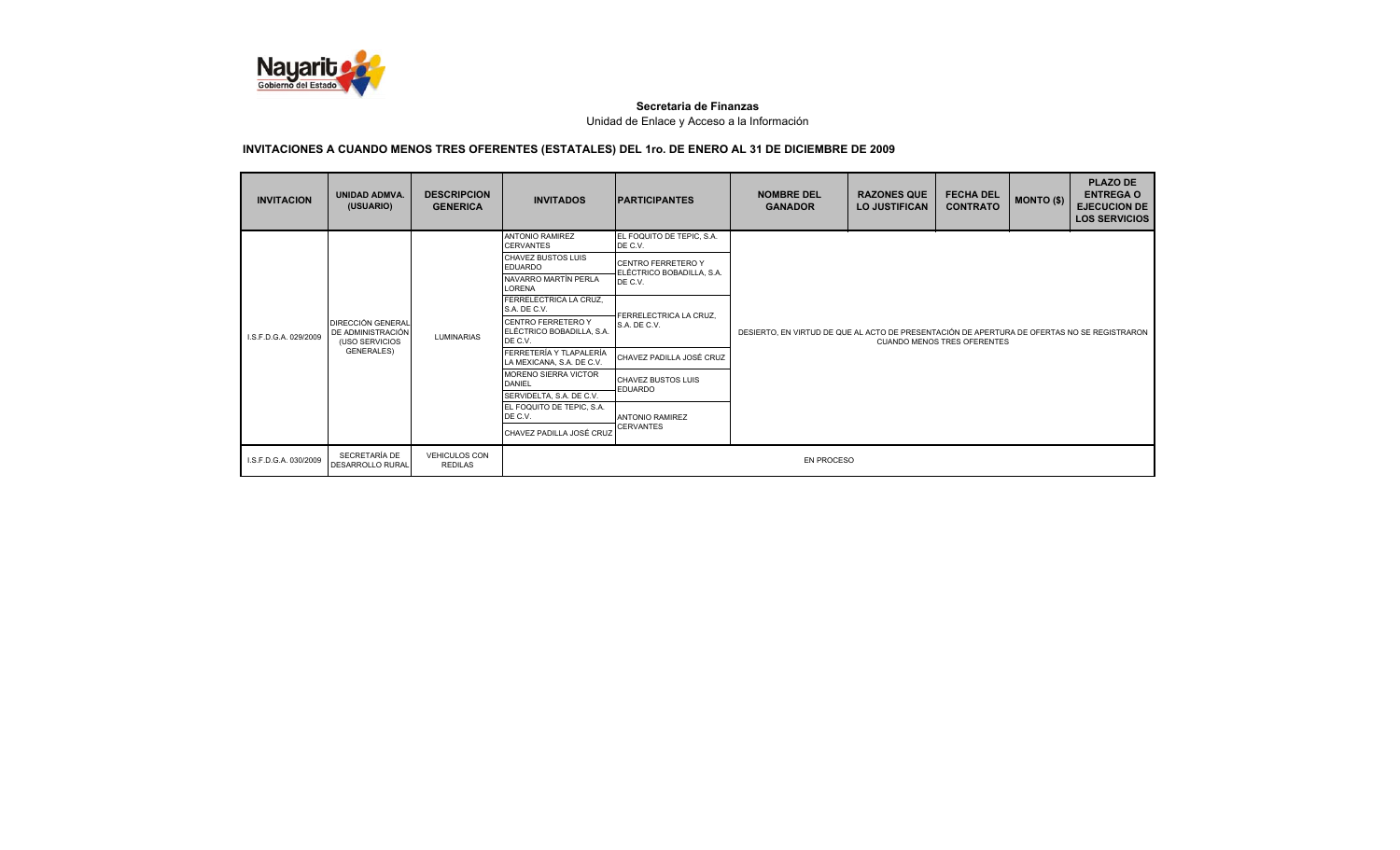

| <b>INVITACION</b>     | <b>UNIDAD ADMVA.</b><br>(USUARIO)                               | <b>DESCRIPCION</b><br><b>GENERICA</b>  | <b>INVITADOS</b>                                           | <b>PARTICIPANTES</b>                                   | <b>NOMBRE DEL</b><br><b>GANADOR</b>                                                                                               | <b>RAZONES QUE</b><br><b>LO JUSTIFICAN</b> | <b>FECHA DEL</b><br><b>CONTRATO</b> | <b>MONTO (\$)</b> | <b>PLAZO DE</b><br><b>ENTREGA O</b><br><b>EJECUCION DE</b><br><b>LOS SERVICIOS</b> |  |
|-----------------------|-----------------------------------------------------------------|----------------------------------------|------------------------------------------------------------|--------------------------------------------------------|-----------------------------------------------------------------------------------------------------------------------------------|--------------------------------------------|-------------------------------------|-------------------|------------------------------------------------------------------------------------|--|
|                       |                                                                 |                                        | <b>ANTONIO RAMIREZ</b><br><b>CERVANTES</b>                 | EL FOQUITO DE TEPIC, S.A.<br>DE C.V.                   |                                                                                                                                   |                                            |                                     |                   |                                                                                    |  |
|                       |                                                                 |                                        | <b>CHAVEZ BUSTOS LUIS</b><br><b>EDUARDO</b>                | <b>CENTRO FERRETERO Y</b><br>ELÉCTRICO BOBADILLA, S.A. |                                                                                                                                   |                                            |                                     |                   |                                                                                    |  |
|                       |                                                                 |                                        | NAVARRO MARTÍN PERLA<br><b>LORENA</b>                      | DE C.V.                                                |                                                                                                                                   |                                            |                                     |                   |                                                                                    |  |
|                       |                                                                 |                                        | FERRELECTRICA LA CRUZ,<br>S.A. DE C.V.                     | FERRELECTRICA LA CRUZ.                                 | DESIERTO, EN VIRTUD DE QUE AL ACTO DE PRESENTACIÓN DE APERTURA DE OFERTAS NO SE REGISTRARON<br><b>CUANDO MENOS TRES OFERENTES</b> |                                            |                                     |                   |                                                                                    |  |
| I.S.F.D.G.A. 029/2009 | <b>DIRECCIÓN GENERAL</b><br>DE ADMINISTRACIÓN<br>(USO SERVICIOS | <b>LUMINARIAS</b>                      | CENTRO FERRETERO Y<br>ELÉCTRICO BOBADILLA, S.A.<br>DE C.V. | S.A. DE C.V.                                           |                                                                                                                                   |                                            |                                     |                   |                                                                                    |  |
|                       | <b>GENERALES)</b>                                               |                                        | FERRETERÍA Y TLAPALERÍA<br>LA MEXICANA, S.A. DE C.V.       | CHAVEZ PADILLA JOSÉ CRUZ                               |                                                                                                                                   |                                            |                                     |                   |                                                                                    |  |
|                       |                                                                 |                                        | <b>MORENO SIERRA VICTOR</b><br><b>DANIEL</b>               | CHAVEZ BUSTOS LUIS<br><b>EDUARDO</b>                   |                                                                                                                                   |                                            |                                     |                   |                                                                                    |  |
|                       |                                                                 |                                        | SERVIDELTA, S.A. DE C.V.                                   |                                                        |                                                                                                                                   |                                            |                                     |                   |                                                                                    |  |
|                       |                                                                 |                                        | EL FOQUITO DE TEPIC, S.A.<br>DE C.V.                       | <b>ANTONIO RAMIREZ</b>                                 |                                                                                                                                   |                                            |                                     |                   |                                                                                    |  |
|                       |                                                                 |                                        | CHAVEZ PADILLA JOSÉ CRUZ                                   | <b>CERVANTES</b>                                       |                                                                                                                                   |                                            |                                     |                   |                                                                                    |  |
| I.S.F.D.G.A. 030/2009 | SECRETARÍA DE<br><b>DESARROLLO RURAL</b>                        | <b>VEHICULOS CON</b><br><b>REDILAS</b> |                                                            |                                                        | <b>EN PROCESO</b>                                                                                                                 |                                            |                                     |                   |                                                                                    |  |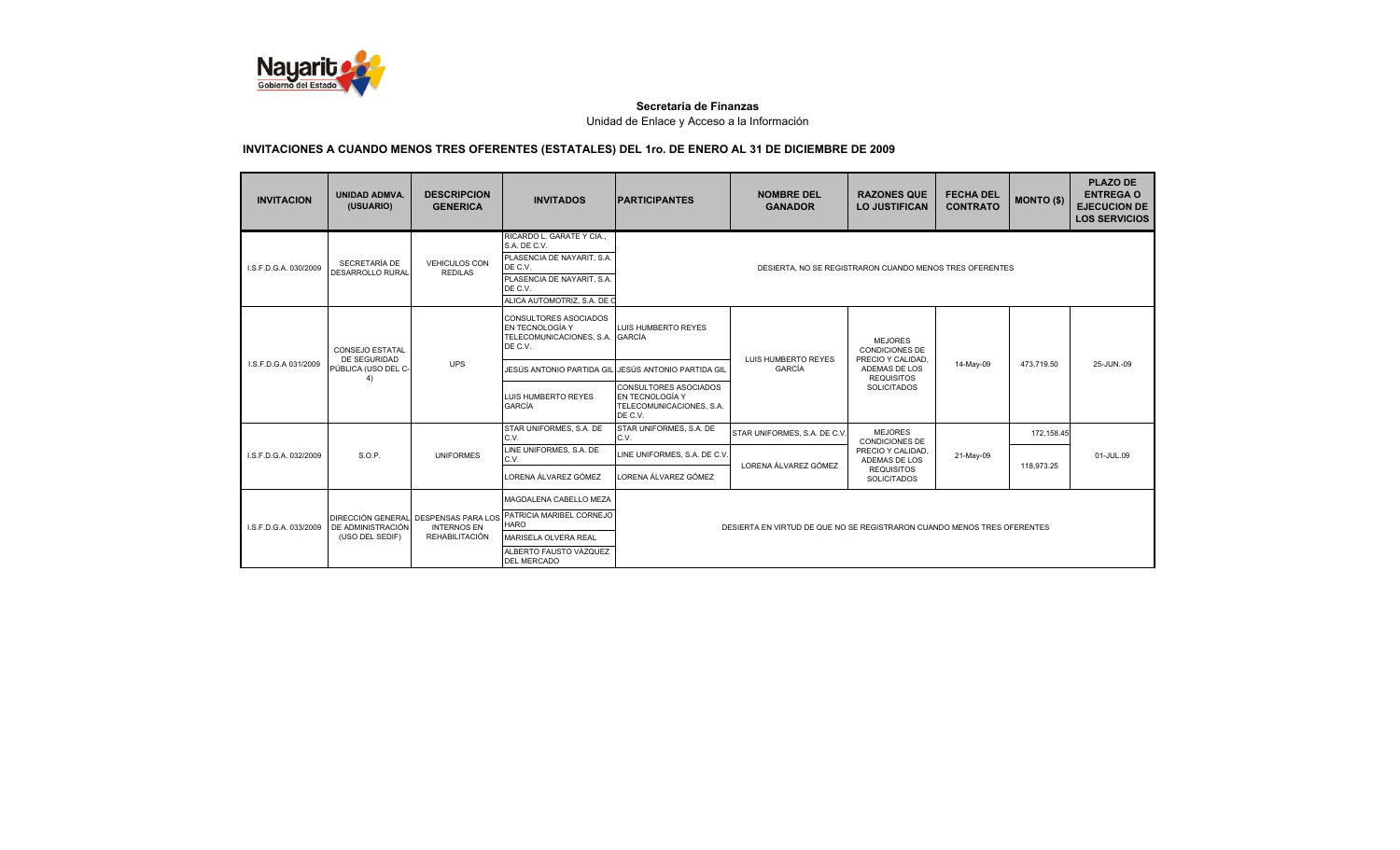

| <b>INVITACION</b>     | <b>UNIDAD ADMVA.</b><br>(USUARIO)         | <b>DESCRIPCION</b><br><b>GENERICA</b>                                               | <b>INVITADOS</b>                                                                                                                                         | <b>PARTICIPANTES</b>                                                            | <b>NOMBRE DEL</b><br><b>GANADOR</b>                                     | <b>RAZONES QUE</b><br><b>LO JUSTIFICAN</b>                   | <b>FECHA DEL</b><br><b>CONTRATO</b> | <b>MONTO (\$)</b> | <b>PLAZO DE</b><br><b>ENTREGA O</b><br><b>EJECUCION DE</b><br><b>LOS SERVICIOS</b> |
|-----------------------|-------------------------------------------|-------------------------------------------------------------------------------------|----------------------------------------------------------------------------------------------------------------------------------------------------------|---------------------------------------------------------------------------------|-------------------------------------------------------------------------|--------------------------------------------------------------|-------------------------------------|-------------------|------------------------------------------------------------------------------------|
| I.S.F.D.G.A. 030/2009 | SECRETARÍA DE<br>DESARROLLO RURAL         | <b>VEHICULOS CON</b><br><b>REDILAS</b>                                              | RICARDO L. GARATE Y CIA<br>S.A. DE C.V.<br>PLASENCIA DE NAYARIT, S.A.<br>DE C.V.<br>PLASENCIA DE NAYARIT, S.A.<br>DE C.V.<br>ALICA AUTOMOTRIZ, S.A. DE C |                                                                                 | DESIERTA, NO SE REGISTRARON CUANDO MENOS TRES OFERENTES                 |                                                              |                                     |                   |                                                                                    |
|                       | <b>CONSEJO ESTATAL</b>                    |                                                                                     | <b>CONSULTORES ASOCIADOS</b><br>EN TECNOLOGÍA Y<br>TELECOMUNICACIONES, S.A.<br>DE C.V.                                                                   | LUIS HUMBERTO REYES<br>GARCÍA                                                   |                                                                         | <b>MEJORES</b><br><b>CONDICIONES DE</b><br>PRECIO Y CALIDAD. |                                     |                   |                                                                                    |
| LS.F.D.G.A 031/2009   | DE SEGURIDAD<br>PÚBLICA (USO DEL C-<br>4) | <b>UPS</b>                                                                          | JESÚS ANTONIO PARTIDA GIL                                                                                                                                | JESÚS ANTONIO PARTIDA GIL                                                       | LUIS HUMBERTO REYES<br><b>GARCÍA</b>                                    | ADEMAS DE LOS<br><b>REQUISITOS</b><br><b>SOLICITADOS</b>     | 14-May-09                           | 473,719.50        | 25-JUN.-09                                                                         |
|                       |                                           |                                                                                     | LUIS HUMBERTO REYES<br><b>GARCÍA</b>                                                                                                                     | CONSULTORES ASOCIADOS<br>EN TECNOLOGÍA Y<br>TELECOMUNICACIONES, S.A.<br>DE C.V. |                                                                         |                                                              |                                     |                   |                                                                                    |
|                       |                                           |                                                                                     | STAR UNIFORMES, S.A. DE<br>C.V.                                                                                                                          | STAR UNIFORMES, S.A. DE<br>C.V.                                                 | STAR UNIFORMES, S.A. DE C.V.                                            | <b>MEJORES</b><br><b>CONDICIONES DE</b>                      |                                     | 172.158.45        |                                                                                    |
| I.S.F.D.G.A. 032/2009 | S.O.P.                                    | <b>UNIFORMES</b>                                                                    | LINE UNIFORMES, S.A. DE<br>C.V.                                                                                                                          | LINE UNIFORMES, S.A. DE C.V.                                                    |                                                                         | PRECIO Y CALIDAD.<br>ADEMAS DE LOS                           | 21-May-09                           |                   | 01-JUL.09                                                                          |
|                       |                                           |                                                                                     | LORENA ÁLVAREZ GÓMEZ                                                                                                                                     | LORENA ÁLVAREZ GÓMEZ                                                            | LORENA ÁLVAREZ GÓMEZ                                                    | <b>REQUISITOS</b><br><b>SOLICITADOS</b>                      |                                     | 118.973.25        |                                                                                    |
| I.S.F.D.G.A. 033/2009 | DE ADMINISTRACIÓN<br>(USO DEL SEDIF)      | DIRECCIÓN GENERAL DESPENSAS PARA LOS<br><b>INTERNOS EN</b><br><b>REHABILITACIÓN</b> | MAGDALENA CABELLO MEZA<br>PATRICIA MARIBEL CORNEJO<br><b>HARO</b><br>MARISELA OLVERA REAL                                                                |                                                                                 | DESIERTA EN VIRTUD DE QUE NO SE REGISTRARON CUANDO MENOS TRES OFERENTES |                                                              |                                     |                   |                                                                                    |
|                       |                                           |                                                                                     | ALBERTO FAUSTO VÁZQUEZ<br><b>DEL MERCADO</b>                                                                                                             |                                                                                 |                                                                         |                                                              |                                     |                   |                                                                                    |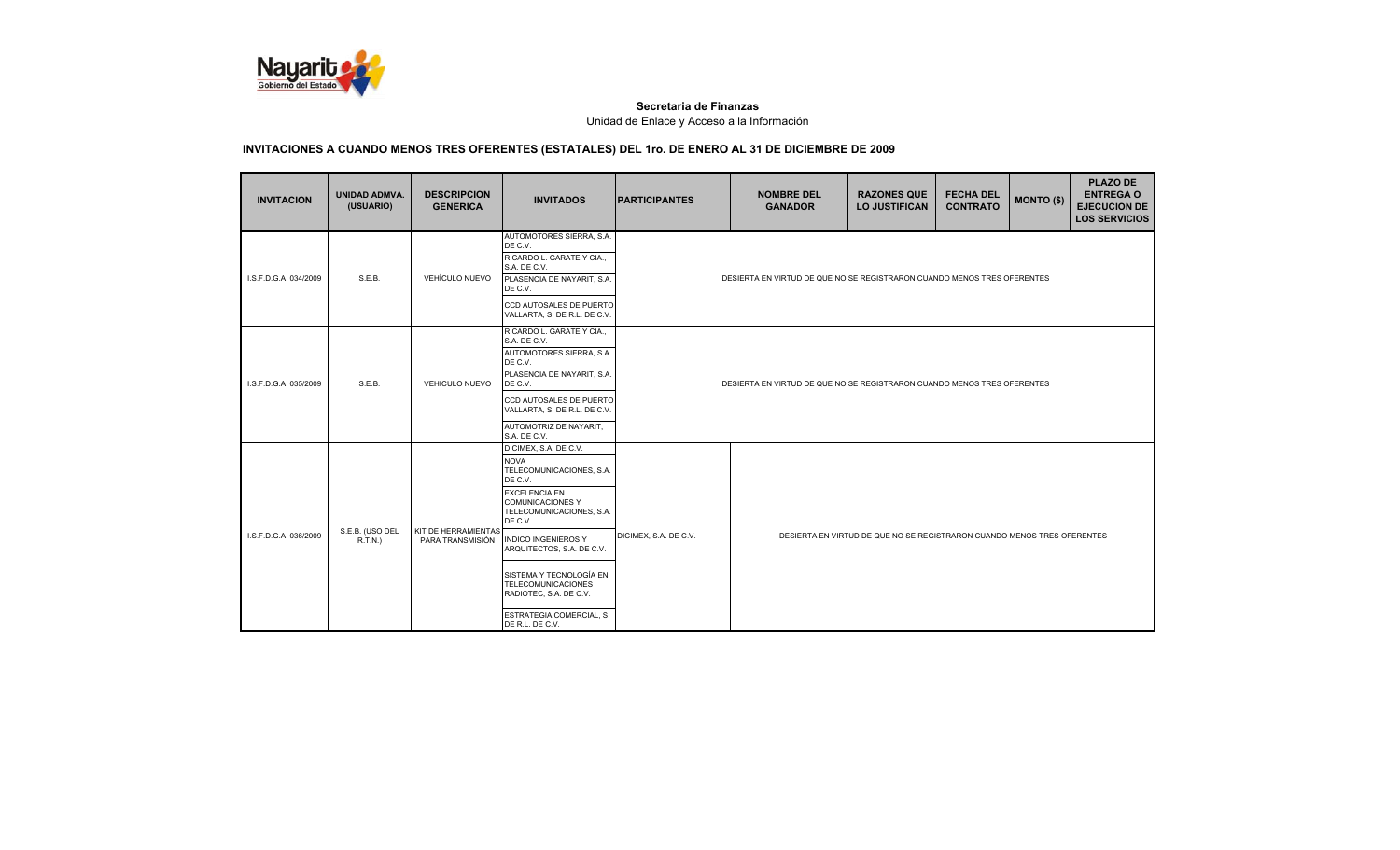

| <b>INVITACION</b>     | UNIDAD ADMVA.<br>(USUARIO) | <b>DESCRIPCION</b><br><b>GENERICA</b>   | <b>INVITADOS</b>                                                                                                                                                                                                                                                                                                                                                  | <b>PARTICIPANTES</b>  | <b>NOMBRE DEL</b><br><b>GANADOR</b>                                     | <b>RAZONES QUE</b><br><b>LO JUSTIFICAN</b>                              | <b>FECHA DEL</b><br><b>CONTRATO</b> | <b>MONTO (\$)</b> | <b>PLAZO DE</b><br><b>ENTREGA O</b><br><b>EJECUCION DE</b><br><b>LOS SERVICIOS</b> |
|-----------------------|----------------------------|-----------------------------------------|-------------------------------------------------------------------------------------------------------------------------------------------------------------------------------------------------------------------------------------------------------------------------------------------------------------------------------------------------------------------|-----------------------|-------------------------------------------------------------------------|-------------------------------------------------------------------------|-------------------------------------|-------------------|------------------------------------------------------------------------------------|
| I.S.F.D.G.A. 034/2009 | S.E.B.                     | <b>VEHÍCULO NUEVO</b>                   | AUTOMOTORES SIERRA, S.A.<br>DE C.V.<br>RICARDO L. GARATE Y CIA<br>S.A. DE C.V.<br>PLASENCIA DE NAYARIT, S.A.<br>DE C.V.<br>CCD AUTOSALES DE PUERTO<br>VALLARTA, S. DE R.L. DE C.V.                                                                                                                                                                                |                       | DESIERTA EN VIRTUD DE QUE NO SE REGISTRARON CUANDO MENOS TRES OFERENTES |                                                                         |                                     |                   |                                                                                    |
| I.S.F.D.G.A. 035/2009 | S.E.B.                     | <b>VEHICULO NUEVO</b>                   | RICARDO L. GARATE Y CIA.,<br>S.A. DE C.V.<br>AUTOMOTORES SIERRA, S.A.<br>DE C.V.<br>PLASENCIA DE NAYARIT, S.A.<br>DE C.V.<br>CCD AUTOSALES DE PUERTO<br>VALLARTA, S. DE R.L. DE C.V.<br>AUTOMOTRIZ DE NAYARIT,<br>S.A. DE C.V.                                                                                                                                    |                       | DESIERTA EN VIRTUD DE QUE NO SE REGISTRARON CUANDO MENOS TRES OFERENTES |                                                                         |                                     |                   |                                                                                    |
| I.S.F.D.G.A. 036/2009 | S.E.B. (USO DEL<br>R.T.N.) | KIT DE HERRAMIENTAS<br>PARA TRANSMISIÓN | DICIMEX, S.A. DE C.V.<br><b>NOVA</b><br>TELECOMUNICACIONES, S.A.<br>DE C.V.<br><b>EXCELENCIA EN</b><br><b>COMUNICACIONES Y</b><br>TELECOMUNICACIONES, S.A.<br>DE C.V.<br><b>INDICO INGENIEROS Y</b><br>ARQUITECTOS, S.A. DE C.V.<br>SISTEMA Y TECNOLOGÍA EN<br><b>TELECOMUNICACIONES</b><br>RADIOTEC, S.A. DE C.V.<br>ESTRATEGIA COMERCIAL. S.<br>DE R.L. DE C.V. | DICIMEX, S.A. DE C.V. |                                                                         | DESIERTA EN VIRTUD DE QUE NO SE REGISTRARON CUANDO MENOS TRES OFERENTES |                                     |                   |                                                                                    |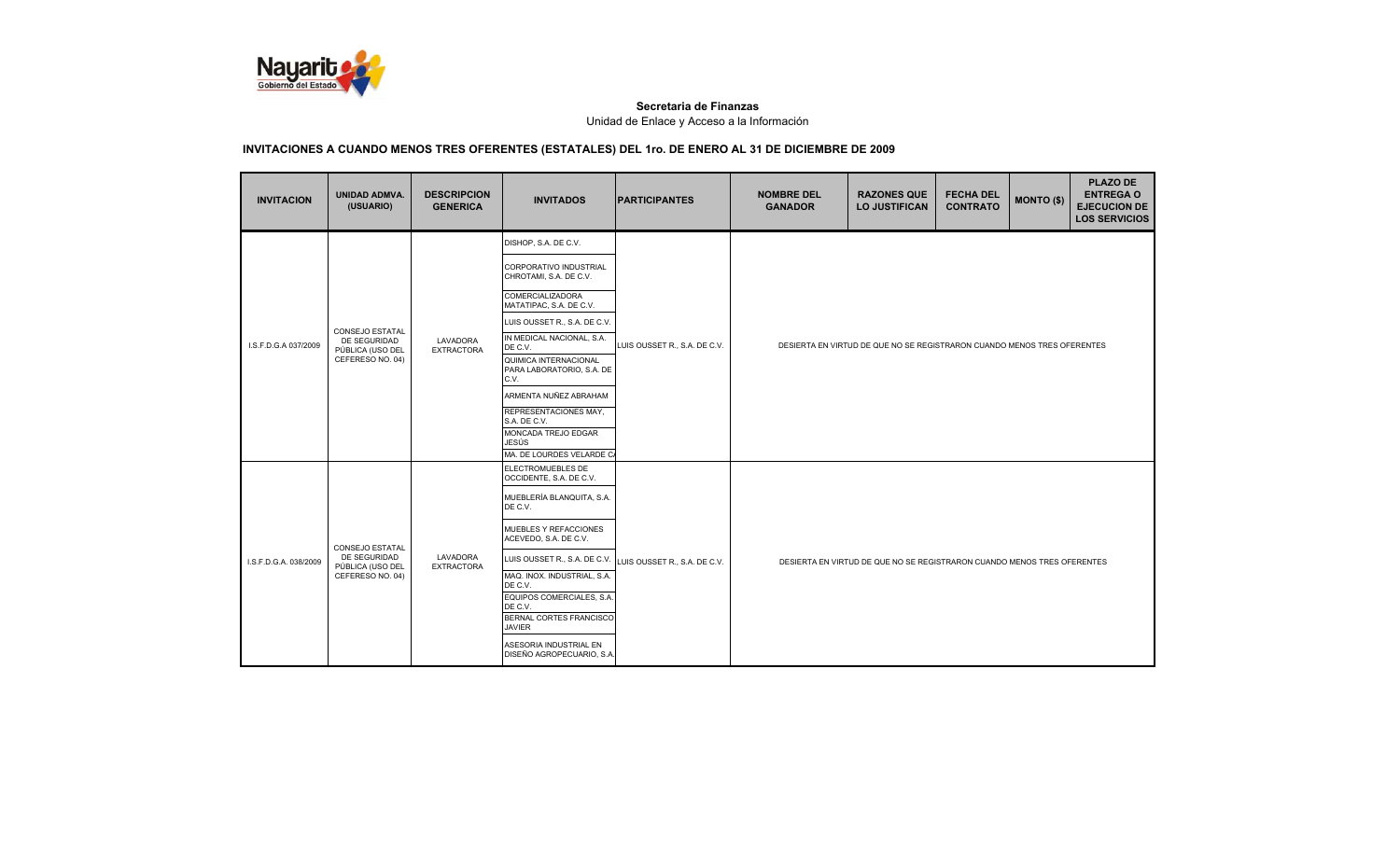

| <b>INVITACION</b>     | <b>UNIDAD ADMVA.</b><br>(USUARIO)                                       | <b>DESCRIPCION</b><br><b>GENERICA</b> | <b>INVITADOS</b>                                           | <b>PARTICIPANTES</b>         | <b>NOMBRE DEL</b><br><b>GANADOR</b>                                     | <b>RAZONES QUE</b><br><b>LO JUSTIFICAN</b>                              | <b>FECHA DEL</b><br><b>CONTRATO</b> | <b>MONTO (\$)</b> | <b>PLAZO DE</b><br><b>ENTREGA O</b><br><b>EJECUCION DE</b><br><b>LOS SERVICIOS</b> |  |  |
|-----------------------|-------------------------------------------------------------------------|---------------------------------------|------------------------------------------------------------|------------------------------|-------------------------------------------------------------------------|-------------------------------------------------------------------------|-------------------------------------|-------------------|------------------------------------------------------------------------------------|--|--|
|                       |                                                                         |                                       | DISHOP, S.A. DE C.V.                                       |                              |                                                                         |                                                                         |                                     |                   |                                                                                    |  |  |
|                       |                                                                         |                                       | CORPORATIVO INDUSTRIAL<br>CHROTAMI, S.A. DE C.V.           |                              |                                                                         |                                                                         |                                     |                   |                                                                                    |  |  |
|                       |                                                                         |                                       | <b>COMERCIALIZADORA</b><br>MATATIPAC, S.A. DE C.V.         |                              |                                                                         |                                                                         |                                     |                   |                                                                                    |  |  |
|                       |                                                                         |                                       | LUIS OUSSET R., S.A. DE C.V.                               |                              | DESIERTA EN VIRTUD DE QUE NO SE REGISTRARON CUANDO MENOS TRES OFERENTES |                                                                         |                                     |                   |                                                                                    |  |  |
| I.S.F.D.G.A 037/2009  | CONSEJO ESTATAL<br>DE SEGURIDAD<br>PÚBLICA (USO DEL                     | LAVADORA<br><b>EXTRACTORA</b>         | IN MEDICAL NACIONAL, S.A.<br>DE C.V.                       | LUIS OUSSET R., S.A. DE C.V. |                                                                         |                                                                         |                                     |                   |                                                                                    |  |  |
|                       | CEFERESO NO. 04)                                                        |                                       | QUIMICA INTERNACIONAL<br>PARA LABORATORIO, S.A. DE<br>C.V. |                              |                                                                         |                                                                         |                                     |                   |                                                                                    |  |  |
|                       |                                                                         |                                       | ARMENTA NUÑEZ ABRAHAM                                      |                              |                                                                         |                                                                         |                                     |                   |                                                                                    |  |  |
|                       |                                                                         |                                       | REPRESENTACIONES MAY,<br>S.A. DE C.V.                      |                              |                                                                         |                                                                         |                                     |                   |                                                                                    |  |  |
|                       |                                                                         |                                       | MONCADA TREJO EDGAR<br>JESÚS                               |                              |                                                                         |                                                                         |                                     |                   |                                                                                    |  |  |
|                       |                                                                         |                                       | MA. DE LOURDES VELARDE CA                                  |                              |                                                                         |                                                                         |                                     |                   |                                                                                    |  |  |
|                       |                                                                         |                                       | ELECTROMUEBLES DE<br>OCCIDENTE, S.A. DE C.V.               |                              |                                                                         |                                                                         |                                     |                   |                                                                                    |  |  |
|                       |                                                                         |                                       | MUEBLERÍA BLANQUITA, S.A.<br>DE C.V.                       |                              |                                                                         |                                                                         |                                     |                   |                                                                                    |  |  |
|                       | CONSEJO ESTATAL<br>DE SEGURIDAD<br>PÚBLICA (USO DEL<br>CEFERESO NO. 04) |                                       | MUEBLES Y REFACCIONES<br>ACEVEDO, S.A. DE C.V.             |                              |                                                                         |                                                                         |                                     |                   |                                                                                    |  |  |
| I.S.F.D.G.A. 038/2009 |                                                                         | LAVADORA<br><b>EXTRACTORA</b>         | LUIS OUSSET R., S.A. DE C.V.                               | LUIS OUSSET R., S.A. DE C.V. |                                                                         | DESIERTA EN VIRTUD DE QUE NO SE REGISTRARON CUANDO MENOS TRES OFERENTES |                                     |                   |                                                                                    |  |  |
|                       |                                                                         |                                       | MAQ. INOX. INDUSTRIAL, S.A.<br>DE C.V.                     |                              |                                                                         |                                                                         |                                     |                   |                                                                                    |  |  |
|                       |                                                                         |                                       | EQUIPOS COMERCIALES, S.A.<br>DE C.V.                       |                              |                                                                         |                                                                         |                                     |                   |                                                                                    |  |  |
|                       |                                                                         |                                       | <b>BERNAL CORTES FRANCISCO</b><br><b>JAVIER</b>            |                              |                                                                         |                                                                         |                                     |                   |                                                                                    |  |  |
|                       |                                                                         |                                       | ASESORIA INDUSTRIAL EN<br>DISEÑO AGROPECUARIO, S.A.        |                              |                                                                         |                                                                         |                                     |                   |                                                                                    |  |  |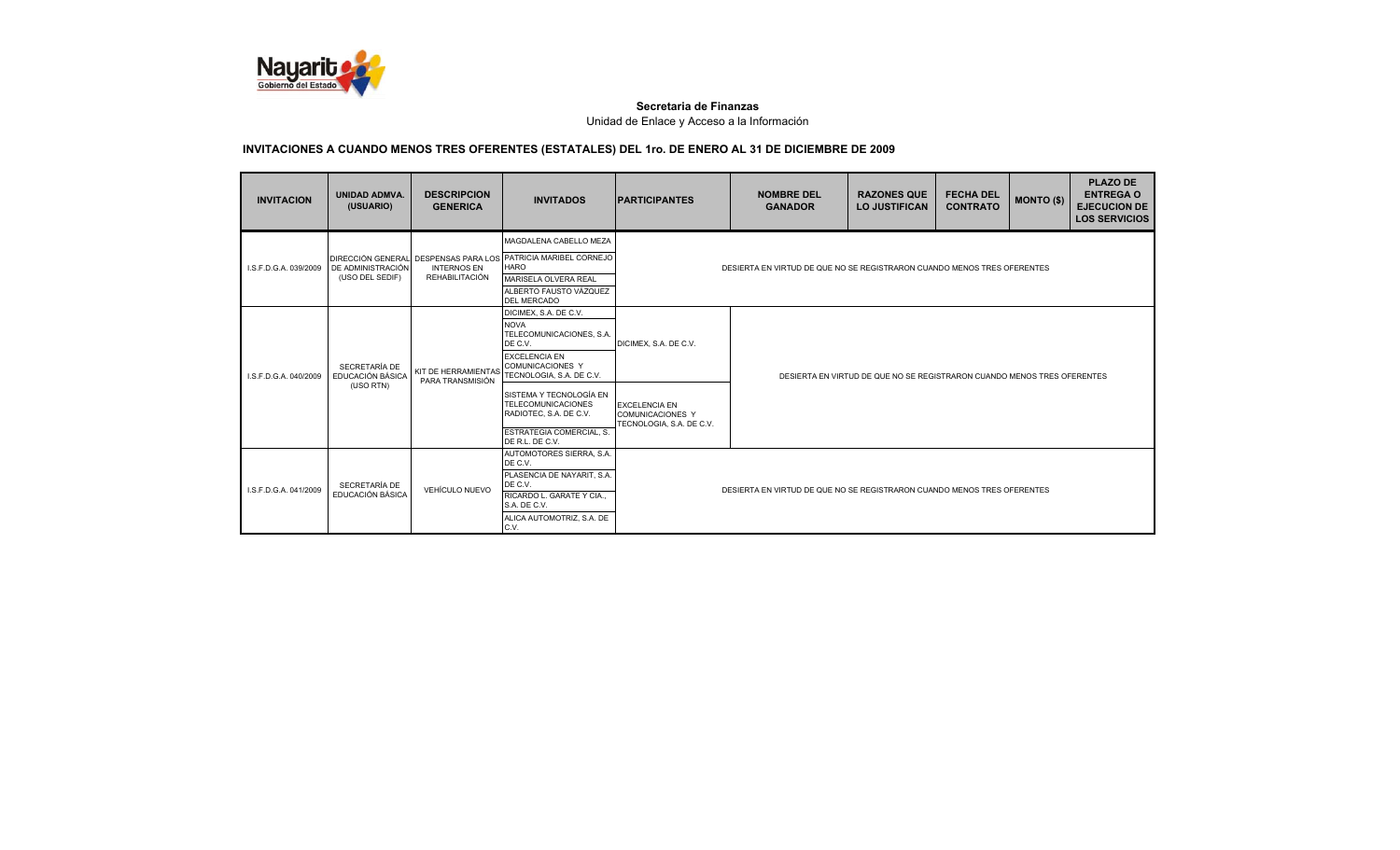

| <b>INVITACION</b>     | <b>UNIDAD ADMVA.</b><br>(USUARIO)              | <b>DESCRIPCION</b><br><b>GENERICA</b> | <b>INVITADOS</b>                                                                                                                                                                                                                                                 | <b>IPARTICIPANTES</b>                                                    | <b>NOMBRE DEL</b><br><b>GANADOR</b>                                     | <b>RAZONES QUE</b><br><b>LO JUSTIFICAN</b> | <b>FECHA DEL</b><br><b>CONTRATO</b> | <b>MONTO (\$)</b> | <b>PLAZO DE</b><br><b>ENTREGA O</b><br><b>EJECUCION DE</b><br><b>LOS SERVICIOS</b> |  |
|-----------------------|------------------------------------------------|---------------------------------------|------------------------------------------------------------------------------------------------------------------------------------------------------------------------------------------------------------------------------------------------------------------|--------------------------------------------------------------------------|-------------------------------------------------------------------------|--------------------------------------------|-------------------------------------|-------------------|------------------------------------------------------------------------------------|--|
| I.S.F.D.G.A. 039/2009 | DE ADMINISTRACIÓN<br>(USO DEL SEDIF)           | <b>INTERNOS EN</b><br>REHABILITACIÓN  | MAGDALENA CABELLO MEZA<br>DIRECCIÓN GENERAL DESPENSAS PARA LOS PATRICIA MARIBEL CORNEJO<br><b>HARO</b><br>MARISELA OLVERA REAL<br>ALBERTO FAUSTO VÁZQUEZ<br><b>DEL MERCADO</b>                                                                                   |                                                                          | DESIERTA EN VIRTUD DE QUE NO SE REGISTRARON CUANDO MENOS TRES OFERENTES |                                            |                                     |                   |                                                                                    |  |
| I.S.F.D.G.A. 040/2009 | SECRETARÍA DE<br>EDUCACIÓN BÁSICA<br>(USO RTN) | PARA TRANSMISIÓN                      | DICIMEX, S.A. DE C.V.<br><b>NOVA</b><br>TELECOMUNICACIONES, S.A.<br>DE C.V.<br><b>EXCELENCIA EN</b><br><b>COMUNICACIONES Y</b><br>KIT DE HERRAMIENTAS TECNOLOGIA, S.A. DE C.V.<br>SISTEMA Y TECNOLOGÍA EN<br><b>TELECOMUNICACIONES</b><br>RADIOTEC, S.A. DE C.V. | DICIMEX, S.A. DE C.V.<br><b>EXCELENCIA EN</b><br><b>COMUNICACIONES Y</b> | DESIERTA EN VIRTUD DE QUE NO SE REGISTRARON CUANDO MENOS TRES OFERENTES |                                            |                                     |                   |                                                                                    |  |
|                       |                                                |                                       | ESTRATEGIA COMERCIAL, S.<br>DE R.L. DE C.V.<br>AUTOMOTORES SIERRA, S.A.                                                                                                                                                                                          | TECNOLOGIA, S.A. DE C.V.                                                 |                                                                         |                                            |                                     |                   |                                                                                    |  |
| I.S.F.D.G.A. 041/2009 | SECRETARÍA DE<br>EDUCACIÓN BÁSICA              | VEHÍCULO NUEVO                        | DE C.V.<br>PLASENCIA DE NAYARIT, S.A.<br>DE C.V.<br>RICARDO L. GARATE Y CIA<br>S.A. DE C.V.<br>ALICA AUTOMOTRIZ, S.A. DE<br>C.V.                                                                                                                                 | DESIERTA EN VIRTUD DE QUE NO SE REGISTRARON CUANDO MENOS TRES OFERENTES  |                                                                         |                                            |                                     |                   |                                                                                    |  |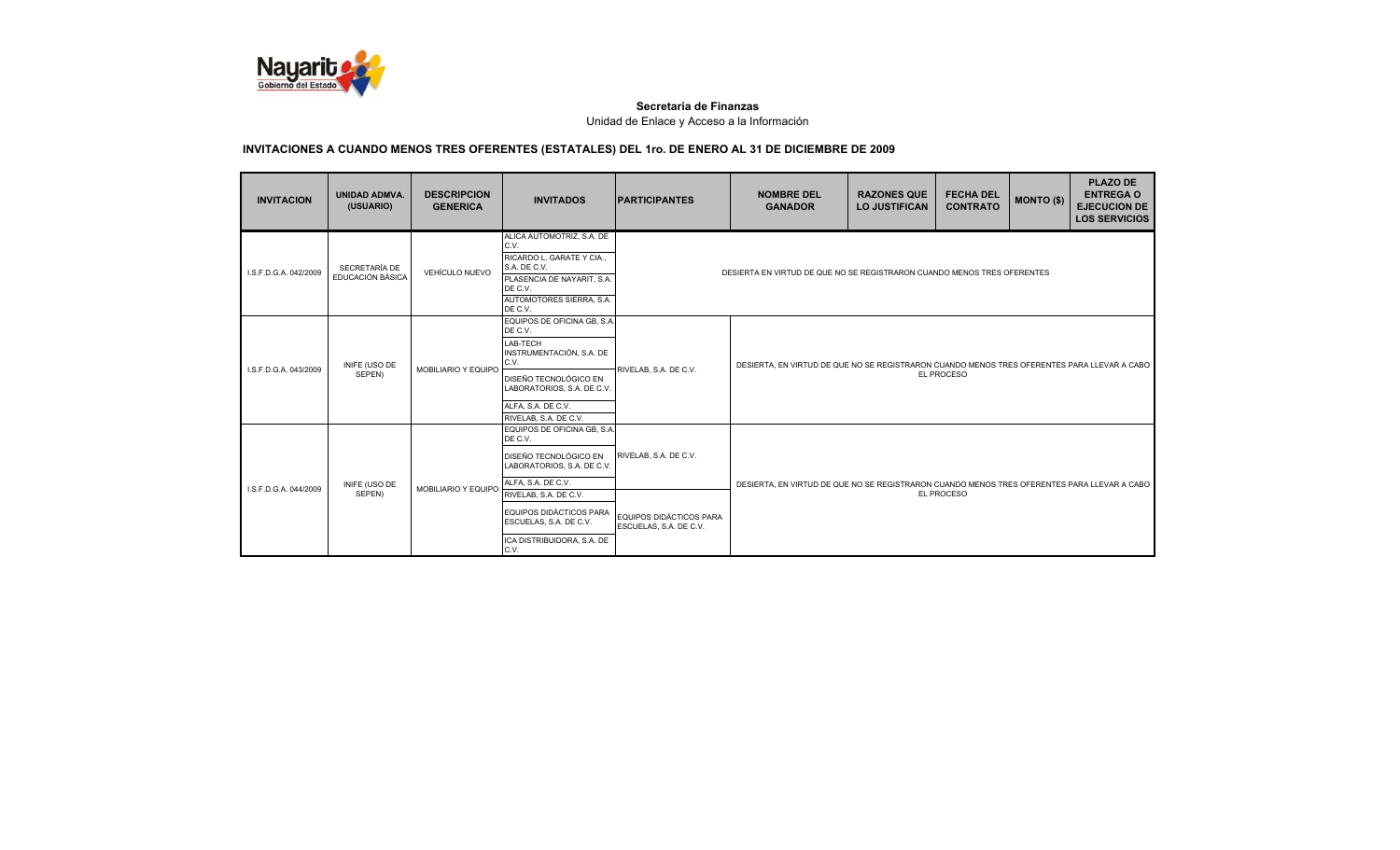

| <b>INVITACION</b>     | <b>UNIDAD ADMVA.</b><br>(USUARIO) | <b>DESCRIPCION</b><br><b>GENERICA</b> | <b>INVITADOS</b>                                                                                                                                                                                                                        | <b>IPARTICIPANTES</b>                                                      | <b>NOMBRE DEL</b><br><b>GANADOR</b>                                                                       | <b>RAZONES QUE</b><br><b>LO JUSTIFICAN</b> | <b>FECHA DEL</b><br><b>CONTRATO</b> | <b>MONTO (\$)</b> | <b>PLAZO DE</b><br><b>ENTREGA O</b><br><b>EJECUCION DE</b><br><b>LOS SERVICIOS</b> |
|-----------------------|-----------------------------------|---------------------------------------|-----------------------------------------------------------------------------------------------------------------------------------------------------------------------------------------------------------------------------------------|----------------------------------------------------------------------------|-----------------------------------------------------------------------------------------------------------|--------------------------------------------|-------------------------------------|-------------------|------------------------------------------------------------------------------------|
| I.S.F.D.G.A. 042/2009 | SECRETARÍA DE<br>EDUCACIÓN BÁSICA | VEHÍCULO NUEVO                        | ALICA AUTOMOTRIZ, S.A. DE<br>C.V.<br>RICARDO L. GARATE Y CIA<br>S.A. DE C.V.<br>PLASENCIA DE NAYARIT, S.A.<br>DE C.V.<br>AUTOMOTORES SIERRA, S.A.<br>DE C.V.                                                                            |                                                                            | DESIERTA EN VIRTUD DE QUE NO SE REGISTRARON CUANDO MENOS TRES OFERENTES                                   |                                            |                                     |                   |                                                                                    |
| LS.F.D.G.A. 043/2009  | INIFE (USO DE<br>SEPEN)           | MOBILIARIO Y EQUIPO                   | EQUIPOS DE OFICINA GB, S.A.<br>DE C.V.<br>LAB-TECH<br>INSTRUMENTACIÓN, S.A. DE<br>C.V.<br>DISEÑO TECNOLÓGICO EN<br>LABORATORIOS, S.A. DE C.V.<br>ALFA, S.A. DE C.V.<br>RIVELAB, S.A. DE C.V.                                            | RIVELAB, S.A. DE C.V.                                                      | DESIERTA, EN VIRTUD DE QUE NO SE REGISTRARON CUANDO MENOS TRES OFERENTES PARA LLEVAR A CABO<br>EL PROCESO |                                            |                                     |                   |                                                                                    |
| I.S.F.D.G.A. 044/2009 | INIFE (USO DE<br>SEPEN)           | <b>MOBILIARIO Y EQUIPO</b>            | EQUIPOS DE OFICINA GB, S.A.<br>DE C.V.<br>DISEÑO TECNOLÓGICO EN<br>LABORATORIOS, S.A. DE C.V.<br>ALFA, S.A. DE C.V.<br>RIVELAB, S.A. DE C.V.<br>EQUIPOS DIDÁCTICOS PARA<br>ESCUELAS, S.A. DE C.V.<br>ICA DISTRIBUIDORA, S.A. DE<br>C.V. | RIVELAB, S.A. DE C.V.<br>EQUIPOS DIDÁCTICOS PARA<br>ESCUELAS, S.A. DE C.V. | DESIERTA, EN VIRTUD DE QUE NO SE REGISTRARON CUANDO MENOS TRES OFERENTES PARA LLEVAR A CABO               |                                            | EL PROCESO                          |                   |                                                                                    |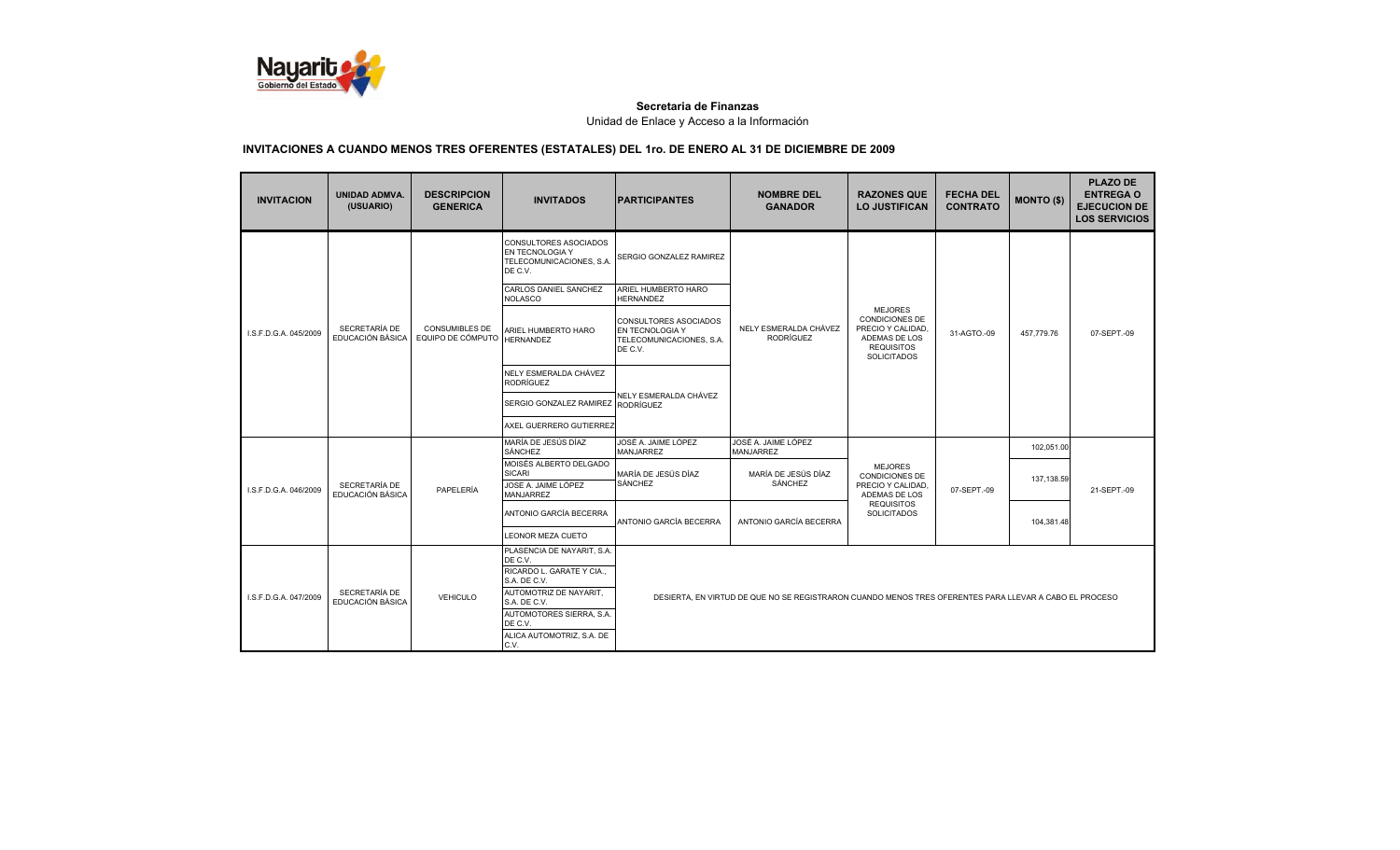

| <b>INVITACION</b>                                          | <b>UNIDAD ADMVA.</b><br>(USUARIO) | <b>DESCRIPCION</b><br><b>GENERICA</b>      | <b>INVITADOS</b>                                                                | <b>PARTICIPANTES</b>                                                                   | <b>NOMBRE DEL</b><br><b>GANADOR</b>                                                                    | <b>RAZONES QUE</b><br><b>LO JUSTIFICAN</b>                                                                               | <b>FECHA DEL</b><br><b>CONTRATO</b> | <b>MONTO (\$)</b> | <b>PLAZO DE</b><br><b>ENTREGA O</b><br><b>EJECUCION DE</b><br><b>LOS SERVICIOS</b> |
|------------------------------------------------------------|-----------------------------------|--------------------------------------------|---------------------------------------------------------------------------------|----------------------------------------------------------------------------------------|--------------------------------------------------------------------------------------------------------|--------------------------------------------------------------------------------------------------------------------------|-------------------------------------|-------------------|------------------------------------------------------------------------------------|
|                                                            |                                   |                                            | CONSULTORES ASOCIADOS<br>EN TECNOLOGIA Y<br>TELECOMUNICACIONES, S.A.<br>DE C.V. | SERGIO GONZALEZ RAMIREZ                                                                |                                                                                                        |                                                                                                                          |                                     |                   |                                                                                    |
|                                                            |                                   |                                            | CARLOS DANIEL SANCHEZ<br>NOLASCO                                                | ARIEL HUMBERTO HARO<br><b>HERNANDEZ</b>                                                |                                                                                                        |                                                                                                                          |                                     |                   |                                                                                    |
| I.S.F.D.G.A. 045/2009                                      | SECRETARÍA DE<br>EDUCACIÓN BÁSICA | <b>CONSUMIBLES DE</b><br>EQUIPO DE CÓMPUTO | ARIEL HUMBERTO HARO<br><b>HERNANDEZ</b>                                         | <b>CONSULTORES ASOCIADOS</b><br>EN TECNOLOGIA Y<br>TELECOMUNICACIONES, S.A.<br>DE C.V. | NELY ESMERALDA CHÁVEZ<br><b>RODRÍGUEZ</b>                                                              | <b>MEJORES</b><br><b>CONDICIONES DE</b><br>PRECIO Y CALIDAD.<br>ADEMAS DE LOS<br><b>REQUISITOS</b><br><b>SOLICITADOS</b> | 31-AGTO.-09                         | 457,779.76        | 07-SEPT.-09                                                                        |
|                                                            |                                   |                                            | NELY ESMERALDA CHÁVEZ<br>RODRÍGUEZ                                              |                                                                                        |                                                                                                        |                                                                                                                          |                                     |                   |                                                                                    |
|                                                            |                                   | SERGIO GONZALEZ RAMIREZ                    | NELY ESMERALDA CHÁVEZ<br><b>RODRÍGUEZ</b>                                       |                                                                                        |                                                                                                        |                                                                                                                          |                                     |                   |                                                                                    |
|                                                            |                                   |                                            | AXEL GUERRERO GUTIERREZ                                                         |                                                                                        |                                                                                                        |                                                                                                                          |                                     |                   |                                                                                    |
|                                                            |                                   |                                            | MARÍA DE JESÚS DÍAZ<br>SÁNCHEZ                                                  | JOSÉ A. JAIME LÓPEZ<br><b>MANJARREZ</b>                                                | JOSÉ A. JAIME LÓPEZ<br><b>MANJARREZ</b>                                                                |                                                                                                                          |                                     | 102,051.00        |                                                                                    |
|                                                            |                                   |                                            | MOISÉS ALBERTO DELGADO<br><b>SICARI</b><br>JOSE A. JAIME LÓPEZ                  | MARÍA DE JESÚS DÍAZ<br>SÁNCHEZ                                                         | MARÍA DE JESÚS DÍAZ<br>SÁNCHEZ                                                                         | <b>MEJORES</b><br><b>CONDICIONES DE</b>                                                                                  |                                     | 137,138.59        |                                                                                    |
| I.S.F.D.G.A. 046/2009                                      | SECRETARÍA DE<br>EDUCACIÓN BÁSICA | PAPELERÍA                                  | <b>MANJARREZ</b>                                                                |                                                                                        |                                                                                                        | PRECIO Y CALIDAD,<br>ADEMAS DE LOS                                                                                       | 07-SEPT.-09                         |                   | 21-SEPT.-09                                                                        |
|                                                            |                                   |                                            | ANTONIO GARCÍA BECERRA                                                          | ANTONIO GARCÍA BECERRA                                                                 | ANTONIO GARCÍA BECERRA                                                                                 | <b>REQUISITOS</b><br><b>SOLICITADOS</b>                                                                                  |                                     | 104,381.48        |                                                                                    |
|                                                            |                                   |                                            | LEONOR MEZA CUETO                                                               |                                                                                        |                                                                                                        |                                                                                                                          |                                     |                   |                                                                                    |
| SECRETARÍA DE<br>I.S.F.D.G.A. 047/2009<br>EDUCACIÓN BÁSICA |                                   |                                            | PLASENCIA DE NAYARIT, S.A.<br>DE C.V.                                           |                                                                                        |                                                                                                        |                                                                                                                          |                                     |                   |                                                                                    |
|                                                            |                                   |                                            | RICARDO L. GARATE Y CIA<br>S.A. DE C.V.                                         |                                                                                        |                                                                                                        |                                                                                                                          |                                     |                   |                                                                                    |
|                                                            |                                   | <b>VEHICULO</b>                            | AUTOMOTRIZ DE NAYARIT.<br>S.A. DE C.V.                                          |                                                                                        | DESIERTA, EN VIRTUD DE QUE NO SE REGISTRARON CUANDO MENOS TRES OFERENTES PARA LLEVAR A CABO EL PROCESO |                                                                                                                          |                                     |                   |                                                                                    |
|                                                            |                                   |                                            | AUTOMOTORES SIERRA, S.A.<br>DE C.V.                                             |                                                                                        |                                                                                                        |                                                                                                                          |                                     |                   |                                                                                    |
|                                                            |                                   | ALICA AUTOMOTRIZ, S.A. DE<br>C.V.          |                                                                                 |                                                                                        |                                                                                                        |                                                                                                                          |                                     |                   |                                                                                    |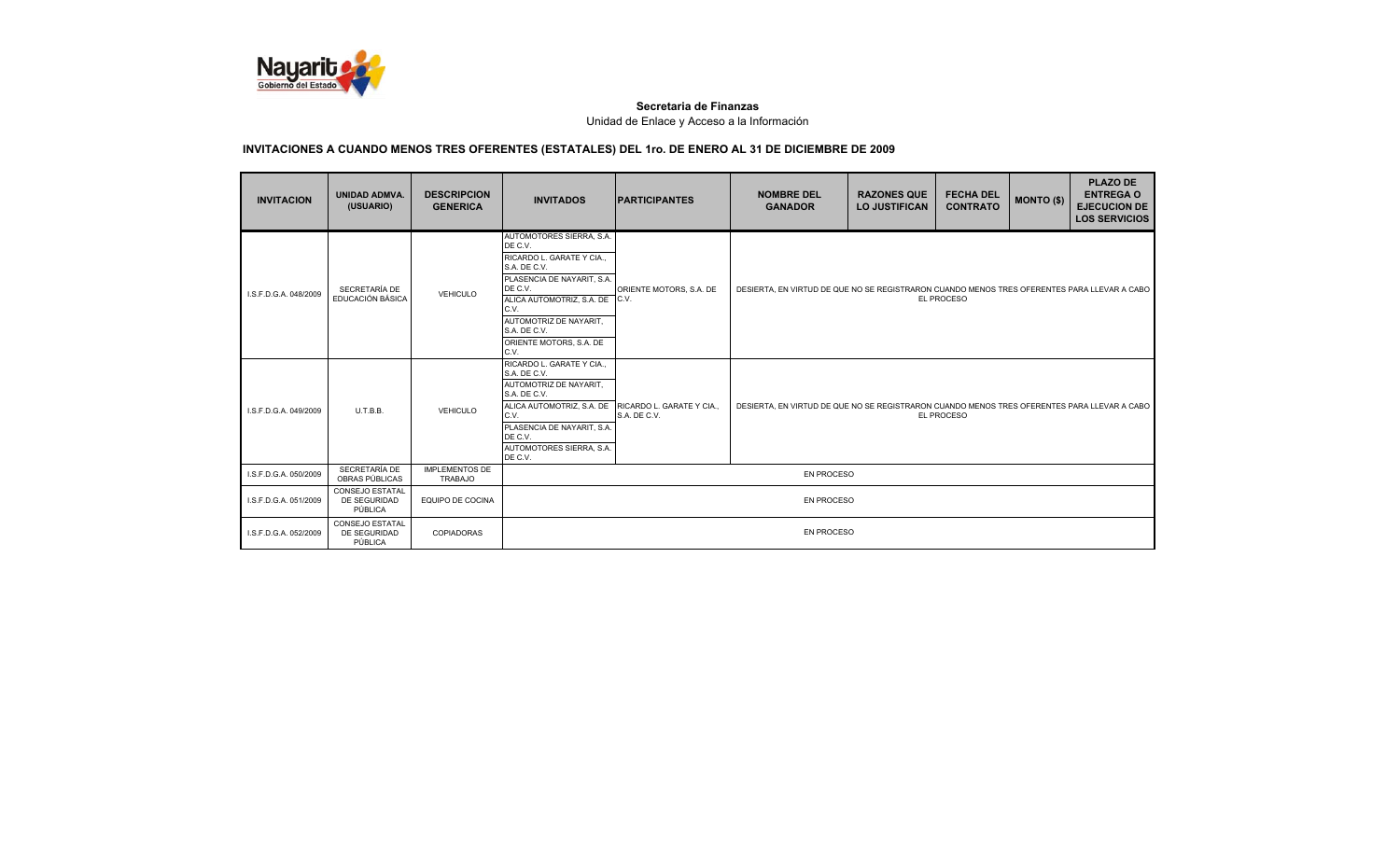

| <b>INVITACION</b>     | <b>UNIDAD ADMVA.</b><br>(USUARIO)                 | <b>DESCRIPCION</b><br><b>GENERICA</b>   | <b>INVITADOS</b>                                                                                                                                                                                                                            | <b>IPARTICIPANTES</b>                     | <b>NOMBRE DEL</b><br><b>GANADOR</b>                                                                       | <b>RAZONES QUE</b><br><b>LO JUSTIFICAN</b> | <b>FECHA DEL</b><br><b>CONTRATO</b> | <b>MONTO (\$)</b> | <b>PLAZO DE</b><br><b>ENTREGA O</b><br><b>EJECUCION DE</b><br><b>LOS SERVICIOS</b> |
|-----------------------|---------------------------------------------------|-----------------------------------------|---------------------------------------------------------------------------------------------------------------------------------------------------------------------------------------------------------------------------------------------|-------------------------------------------|-----------------------------------------------------------------------------------------------------------|--------------------------------------------|-------------------------------------|-------------------|------------------------------------------------------------------------------------|
| I.S.F.D.G.A. 048/2009 | SECRETARÍA DE<br>EDUCACIÓN BÁSICA                 | VEHICULO                                | AUTOMOTORES SIERRA, S.A.<br>DE C.V.<br>RICARDO L. GARATE Y CIA.,<br>S.A. DE C.V.<br>PLASENCIA DE NAYARIT, S.A.<br>DE C.V.<br>ALICA AUTOMOTRIZ, S.A. DE<br>C.V.<br>AUTOMOTRIZ DE NAYARIT.<br>S.A. DE C.V.<br>ORIENTE MOTORS, S.A. DE<br>C.V. | ORIENTE MOTORS, S.A. DE<br>TC.V.          | DESIERTA, EN VIRTUD DE QUE NO SE REGISTRARON CUANDO MENOS TRES OFERENTES PARA LLEVAR A CABO<br>EL PROCESO |                                            |                                     |                   |                                                                                    |
| I.S.F.D.G.A. 049/2009 | U.T.B.B.                                          | VEHICULO                                | RICARDO L. GARATE Y CIA<br>S.A. DE C.V.<br>AUTOMOTRIZ DE NAYARIT.<br>S.A. DE C.V.<br>ALICA AUTOMOTRIZ, S.A. DE<br>C.V.<br>PLASENCIA DE NAYARIT, S.A.<br>DE C.V.<br>AUTOMOTORES SIERRA, S.A.<br>DE C.V.                                      | RICARDO L. GARATE Y CIA.,<br>S.A. DE C.V. | DESIERTA, EN VIRTUD DE QUE NO SE REGISTRARON CUANDO MENOS TRES OFERENTES PARA LLEVAR A CABO               |                                            | EL PROCESO                          |                   |                                                                                    |
| I.S.F.D.G.A. 050/2009 | SECRETARÍA DE<br>OBRAS PÚBLICAS                   | <b>IMPLEMENTOS DE</b><br><b>TRABAJO</b> |                                                                                                                                                                                                                                             |                                           | <b>EN PROCESO</b>                                                                                         |                                            |                                     |                   |                                                                                    |
| I.S.F.D.G.A. 051/2009 | <b>CONSEJO ESTATAL</b><br>DE SEGURIDAD<br>PÚBLICA | EQUIPO DE COCINA                        |                                                                                                                                                                                                                                             |                                           | EN PROCESO                                                                                                |                                            |                                     |                   |                                                                                    |
| I.S.F.D.G.A. 052/2009 | CONSEJO ESTATAL<br>DE SEGURIDAD<br>PÚBLICA        | <b>COPIADORAS</b>                       |                                                                                                                                                                                                                                             |                                           | <b>EN PROCESO</b>                                                                                         |                                            |                                     |                   |                                                                                    |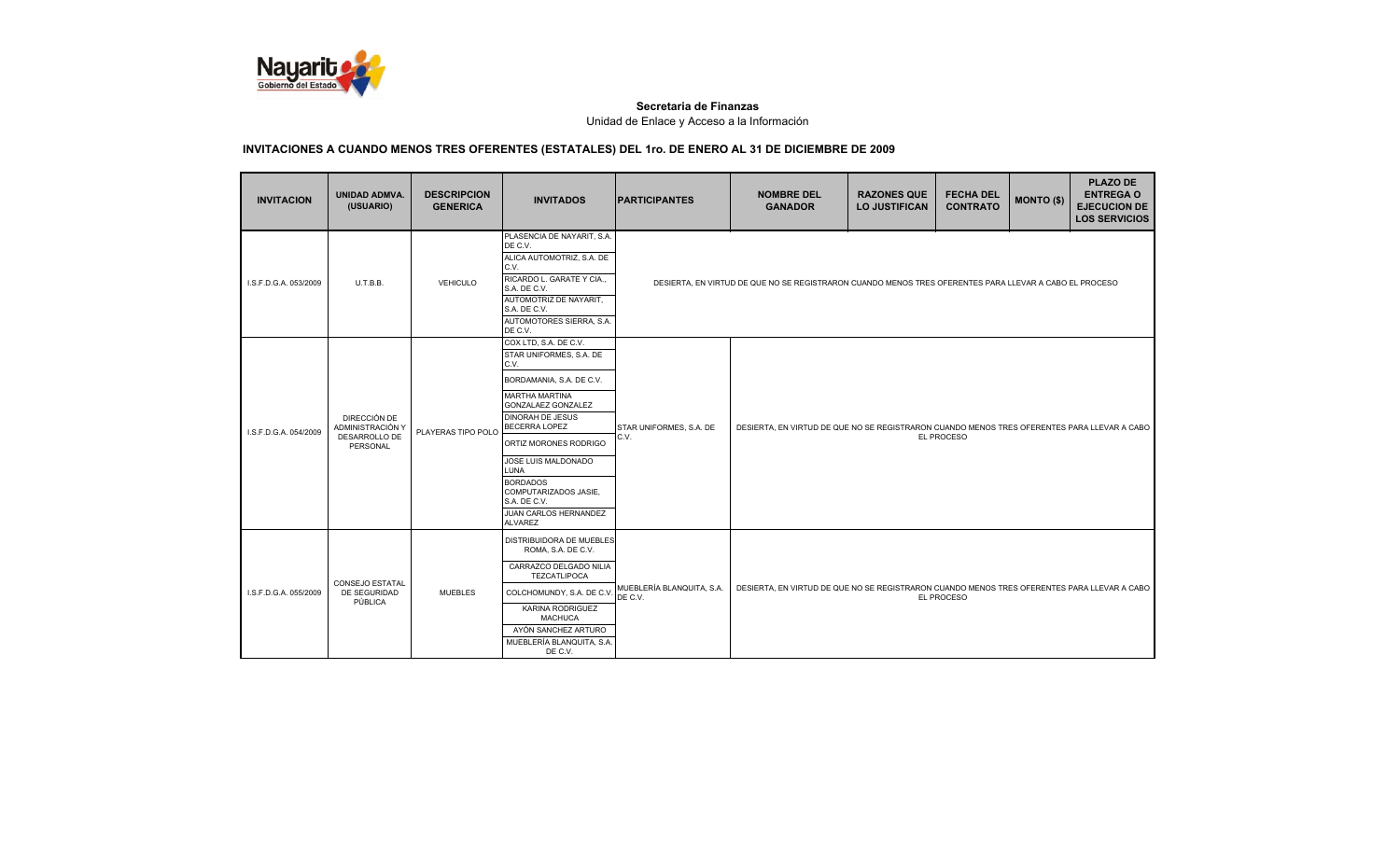

| <b>INVITACION</b>     | <b>UNIDAD ADMVA.</b><br>(USUARIO)                             | <b>DESCRIPCION</b><br><b>GENERICA</b> | <b>INVITADOS</b>                                                                                                                                                                                                                                                                                                                                      | <b>PARTICIPANTES</b>                   | <b>NOMBRE DEL</b><br><b>GANADOR</b>                                                                    | <b>RAZONES QUE</b><br><b>LO JUSTIFICAN</b> | <b>FECHA DEL</b><br><b>CONTRATO</b> | <b>MONTO (\$)</b> | <b>PLAZO DE</b><br><b>ENTREGA O</b><br><b>EJECUCION DE</b><br><b>LOS SERVICIOS</b> |
|-----------------------|---------------------------------------------------------------|---------------------------------------|-------------------------------------------------------------------------------------------------------------------------------------------------------------------------------------------------------------------------------------------------------------------------------------------------------------------------------------------------------|----------------------------------------|--------------------------------------------------------------------------------------------------------|--------------------------------------------|-------------------------------------|-------------------|------------------------------------------------------------------------------------|
| I.S.F.D.G.A. 053/2009 | U.T.B.B.                                                      | <b>VEHICULO</b>                       | PLASENCIA DE NAYARIT, S.A.<br>DE C.V.<br>ALICA AUTOMOTRIZ, S.A. DE<br>C.V.<br>RICARDO L. GARATE Y CIA<br>S.A. DE C.V.<br>AUTOMOTRIZ DE NAYARIT,<br>S.A. DE C.V.<br>AUTOMOTORES SIERRA, S.A.<br>DE C.V.                                                                                                                                                |                                        | DESIERTA, EN VIRTUD DE QUE NO SE REGISTRARON CUANDO MENOS TRES OFERENTES PARA LLEVAR A CABO EL PROCESO |                                            |                                     |                   |                                                                                    |
| LS.F.D.G.A. 054/2009  | DIRECCIÓN DE<br>ADMINISTRACIÓN Y<br>DESARROLLO DE<br>PERSONAL | PLAYERAS TIPO POLO                    | COX LTD, S.A. DE C.V.<br>STAR UNIFORMES, S.A. DE<br>C.V.<br>BORDAMANIA, S.A. DE C.V.<br><b>MARTHA MARTINA</b><br>GONZALAEZ GONZALEZ<br><b>DINORAH DE JESUS</b><br><b>BECERRA LOPEZ</b><br>ORTIZ MORONES RODRIGO<br>JOSE LUIS MALDONADO<br>LUNA<br><b>BORDADOS</b><br>COMPUTARIZADOS JASIE,<br>S.A. DE C.V.<br>JUAN CARLOS HERNANDEZ<br><b>ALVAREZ</b> | <b>STAR UNIFORMES, S.A. DE</b><br>C.V. | DESIERTA. EN VIRTUD DE QUE NO SE REGISTRARON CUANDO MENOS TRES OFERENTES PARA LLEVAR A CABO            |                                            | EL PROCESO                          |                   |                                                                                    |
| I.S.F.D.G.A. 055/2009 | CONSEJO ESTATAL<br>DE SEGURIDAD<br>PÚBLICA                    | <b>MUEBLES</b>                        | DISTRIBUIDORA DE MUEBLES<br>ROMA, S.A. DE C.V.<br>CARRAZCO DELGADO NILIA<br><b>TEZCATLIPOCA</b><br>COLCHOMUNDY, S.A. DE C.V<br>KARINA RODRIGUEZ<br><b>MACHUCA</b><br>AYÓN SANCHEZ ARTURO<br>MUEBLERÍA BLANQUITA, S.A.<br>DE C.V.                                                                                                                      | MUEBLERÍA BLANQUITA, S.A.<br>DE C.V.   | DESIERTA, EN VIRTUD DE QUE NO SE REGISTRARON CUANDO MENOS TRES OFERENTES PARA LLEVAR A CABO            |                                            | EL PROCESO                          |                   |                                                                                    |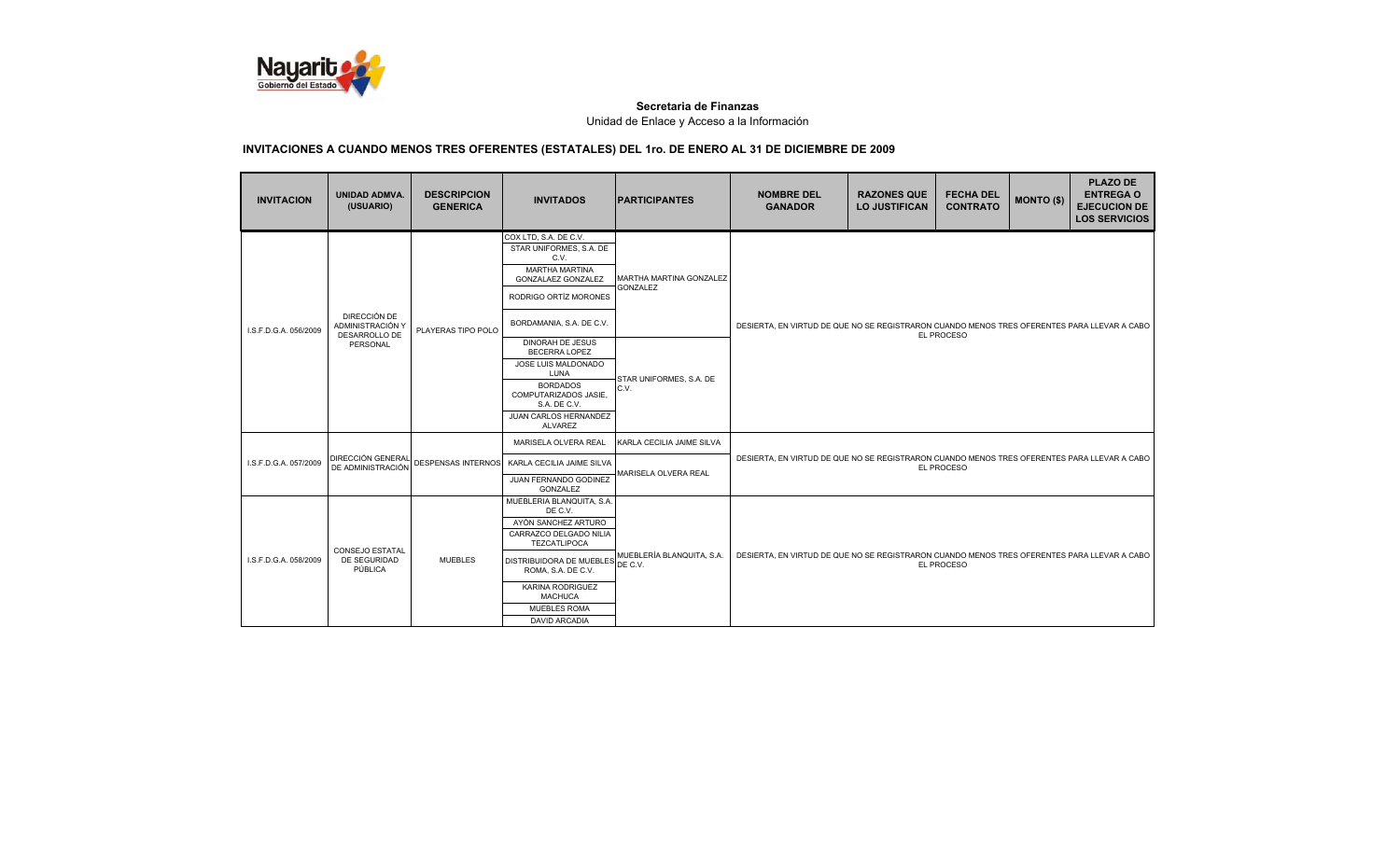

| <b>INVITACION</b>     | <b>UNIDAD ADMVA.</b><br>(USUARIO)                 | <b>DESCRIPCION</b><br><b>GENERICA</b> | <b>INVITADOS</b>                                                                                                                                                                                                                                     | <b>IPARTICIPANTES</b>                             | <b>NOMBRE DEL</b><br><b>GANADOR</b>                                                                       | <b>RAZONES QUE</b><br><b>LO JUSTIFICAN</b> | <b>FECHA DEL</b><br><b>CONTRATO</b> | <b>MONTO (\$)</b> | <b>PLAZO DE</b><br><b>ENTREGA O</b><br><b>EJECUCION DE</b><br><b>LOS SERVICIOS</b> |
|-----------------------|---------------------------------------------------|---------------------------------------|------------------------------------------------------------------------------------------------------------------------------------------------------------------------------------------------------------------------------------------------------|---------------------------------------------------|-----------------------------------------------------------------------------------------------------------|--------------------------------------------|-------------------------------------|-------------------|------------------------------------------------------------------------------------|
| I.S.F.D.G.A. 056/2009 | DIRECCIÓN DE<br>ADMINISTRACIÓN Y<br>DESARROLLO DE | PLAYERAS TIPO POLO                    | COX LTD, S.A. DE C.V.<br>STAR UNIFORMES, S.A. DE<br>C.V.<br><b>MARTHA MARTINA</b><br>GONZALAEZ GONZALEZ<br>RODRIGO ORTÍZ MORONES<br>BORDAMANIA, S.A. DE C.V.                                                                                         | MARTHA MARTINA GONZALEZ<br><b>GONZALEZ</b>        | DESIERTA, EN VIRTUD DE QUE NO SE REGISTRARON CUANDO MENOS TRES OFERENTES PARA LLEVAR A CABO               |                                            |                                     |                   |                                                                                    |
|                       | PERSONAL                                          |                                       | DINORAH DE JESUS<br><b>BECERRA LOPEZ</b><br>JOSE LUIS MALDONADO<br>LUNA<br><b>BORDADOS</b><br>COMPUTARIZADOS JASIE.<br>S.A. DE C.V.<br>JUAN CARLOS HERNANDEZ<br>ALVAREZ                                                                              | STAR UNIFORMES, S.A. DE<br>C.V.                   | EL PROCESO                                                                                                |                                            |                                     |                   |                                                                                    |
| I.S.F.D.G.A. 057/2009 | <b>DIRECCIÓN GENERAL</b><br>DE ADMINISTRACIÓN     | DESPENSAS INTERNOS                    | MARISELA OLVERA REAL<br>KARLA CECILIA JAIME SILVA<br>JUAN FERNANDO GODINEZ<br>GONZALEZ                                                                                                                                                               | KARLA CECILIA JAIME SILVA<br>MARISELA OLVERA REAL | DESIERTA, EN VIRTUD DE QUE NO SE REGISTRARON CUANDO MENOS TRES OFERENTES PARA LLEVAR A CABO<br>EL PROCESO |                                            |                                     |                   |                                                                                    |
| I.S.F.D.G.A. 058/2009 | <b>CONSEJO ESTATAL</b><br>DE SEGURIDAD<br>PÚBLICA | <b>MUEBLES</b>                        | MUEBLERIA BLANQUITA, S.A.<br>DE C.V.<br>AYÓN SANCHEZ ARTURO<br>CARRAZCO DELGADO NILIA<br>TEZCATLIPOCA<br>DISTRIBUIDORA DE MUEBLES DE C.V.<br>ROMA, S.A. DE C.V.<br>KARINA RODRIGUEZ<br><b>MACHUCA</b><br><b>MUEBLES ROMA</b><br><b>DAVID ARCADIA</b> | MUEBLERÍA BLANQUITA, S.A.                         | DESIERTA, EN VIRTUD DE QUE NO SE REGISTRARON CUANDO MENOS TRES OFERENTES PARA LLEVAR A CABO<br>EL PROCESO |                                            |                                     |                   |                                                                                    |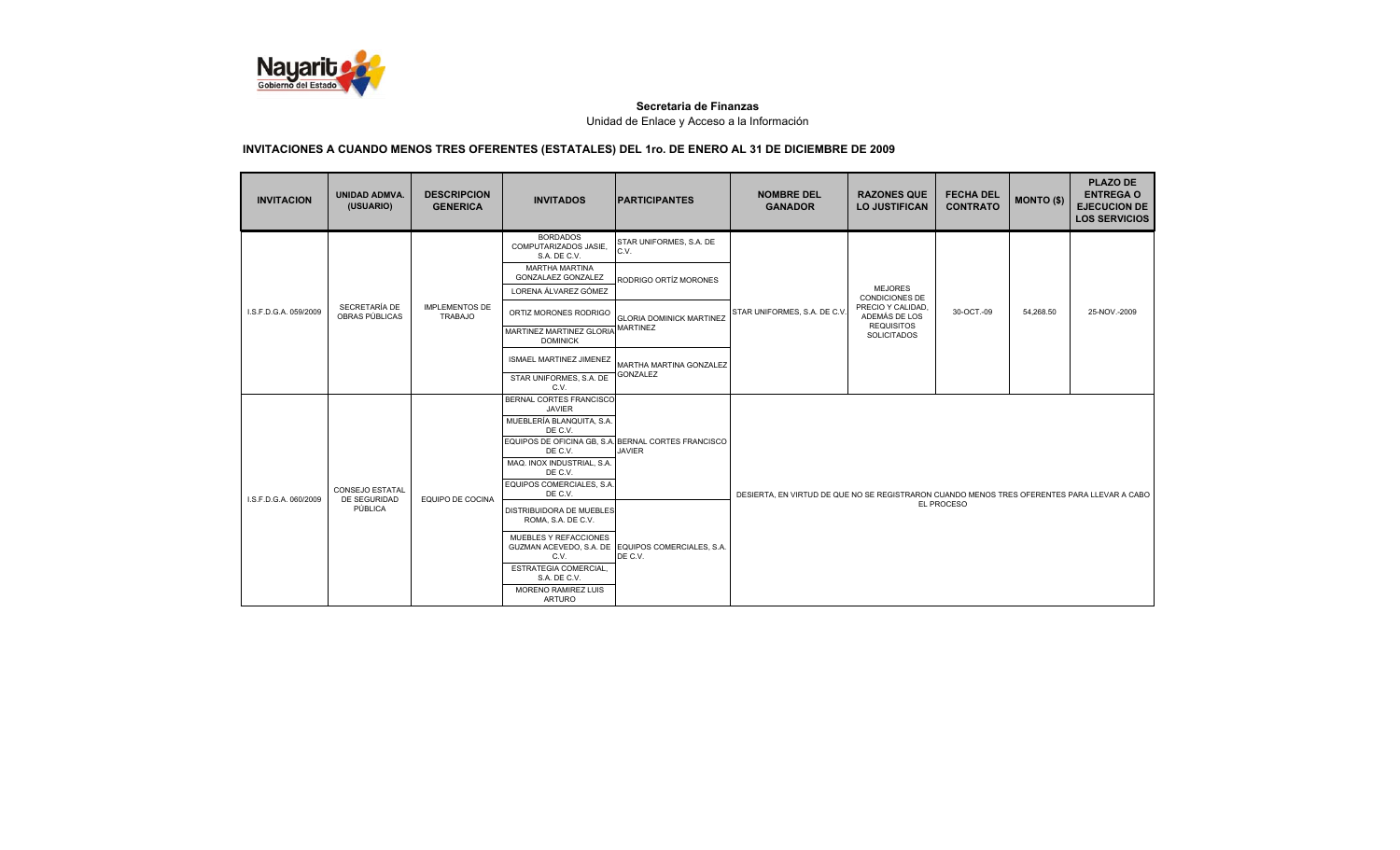

| <b>INVITACION</b>                                                          | <b>UNIDAD ADMVA.</b><br>(USUARIO) | <b>DESCRIPCION</b><br><b>GENERICA</b>                                                                                                                                                     | <b>INVITADOS</b>                                                                                                                                                  | <b>IPARTICIPANTES</b>                                                                                     | <b>NOMBRE DEL</b><br><b>GANADOR</b> | <b>RAZONES QUE</b><br><b>LO JUSTIFICAN</b>                  | <b>FECHA DEL</b><br><b>CONTRATO</b> | <b>MONTO (\$)</b> | <b>PLAZO DE</b><br><b>ENTREGA O</b><br><b>EJECUCION DE</b><br><b>LOS SERVICIOS</b> |
|----------------------------------------------------------------------------|-----------------------------------|-------------------------------------------------------------------------------------------------------------------------------------------------------------------------------------------|-------------------------------------------------------------------------------------------------------------------------------------------------------------------|-----------------------------------------------------------------------------------------------------------|-------------------------------------|-------------------------------------------------------------|-------------------------------------|-------------------|------------------------------------------------------------------------------------|
|                                                                            |                                   |                                                                                                                                                                                           | <b>BORDADOS</b><br>COMPUTARIZADOS JASIE.<br>S.A. DE C.V.                                                                                                          | STAR UNIFORMES, S.A. DE<br>C.V.                                                                           |                                     |                                                             |                                     |                   |                                                                                    |
|                                                                            |                                   |                                                                                                                                                                                           | <b>MARTHA MARTINA</b><br>GONZALAEZ GONZALEZ<br>LORENA ÁLVAREZ GÓMEZ                                                                                               | RODRIGO ORTÍZ MORONES                                                                                     |                                     | <b>MEJORES</b>                                              |                                     |                   |                                                                                    |
| LS.F.D.G.A. 059/2009                                                       | SECRETARÍA DE<br>OBRAS PÚBLICAS   | <b>IMPLEMENTOS DE</b><br><b>TRABAJO</b>                                                                                                                                                   | ORTIZ MORONES RODRIGO                                                                                                                                             |                                                                                                           | STAR UNIFORMES, S.A. DE C.V.        | <b>CONDICIONES DE</b><br>PRECIO Y CALIDAD.<br>ADEMÁS DE LOS | 30-OCT.-09                          | 54,268.50         | 25-NOV.-2009                                                                       |
|                                                                            |                                   |                                                                                                                                                                                           | MARTINEZ MARTINEZ GLORIA<br><b>DOMINICK</b>                                                                                                                       | <b>GLORIA DOMINICK MARTINEZ</b><br><b>MARTINEZ</b>                                                        |                                     | <b>REQUISITOS</b><br><b>SOLICITADOS</b>                     |                                     |                   |                                                                                    |
| <b>CONSEJO ESTATAL</b><br>DE SEGURIDAD<br>I.S.F.D.G.A. 060/2009<br>PÚBLICA |                                   | <b>ISMAEL MARTINEZ JIMENEZ</b>                                                                                                                                                            | MARTHA MARTINA GONZALEZ                                                                                                                                           |                                                                                                           |                                     |                                                             |                                     |                   |                                                                                    |
|                                                                            |                                   | STAR UNIFORMES, S.A. DE<br>C.V.                                                                                                                                                           | <b>GONZALEZ</b>                                                                                                                                                   |                                                                                                           |                                     |                                                             |                                     |                   |                                                                                    |
|                                                                            |                                   |                                                                                                                                                                                           | BERNAL CORTES FRANCISCO<br><b>JAVIER</b><br>MUEBLERÍA BLANQUITA, S.A.<br>DE C.V.<br>DE C.V.<br>MAQ. INOX INDUSTRIAL, S.A.<br>DE C.V.<br>EQUIPOS COMERCIALES, S.A. | EQUIPOS DE OFICINA GB, S.A. BERNAL CORTES FRANCISCO<br><b>JAVIER</b>                                      |                                     |                                                             |                                     |                   |                                                                                    |
|                                                                            | EQUIPO DE COCINA                  | DE C.V.<br><b>DISTRIBUIDORA DE MUEBLES</b><br>ROMA, S.A. DE C.V.<br>MUEBLES Y REFACCIONES<br>C.V.<br>ESTRATEGIA COMERCIAL.<br>S.A. DE C.V.<br><b>MORENO RAMIREZ LUIS</b><br><b>ARTURO</b> | GUZMAN ACEVEDO, S.A. DE EQUIPOS COMERCIALES, S.A.<br>DE C.V.                                                                                                      | DESIERTA, EN VIRTUD DE QUE NO SE REGISTRARON CUANDO MENOS TRES OFERENTES PARA LLEVAR A CABO<br>EL PROCESO |                                     |                                                             |                                     |                   |                                                                                    |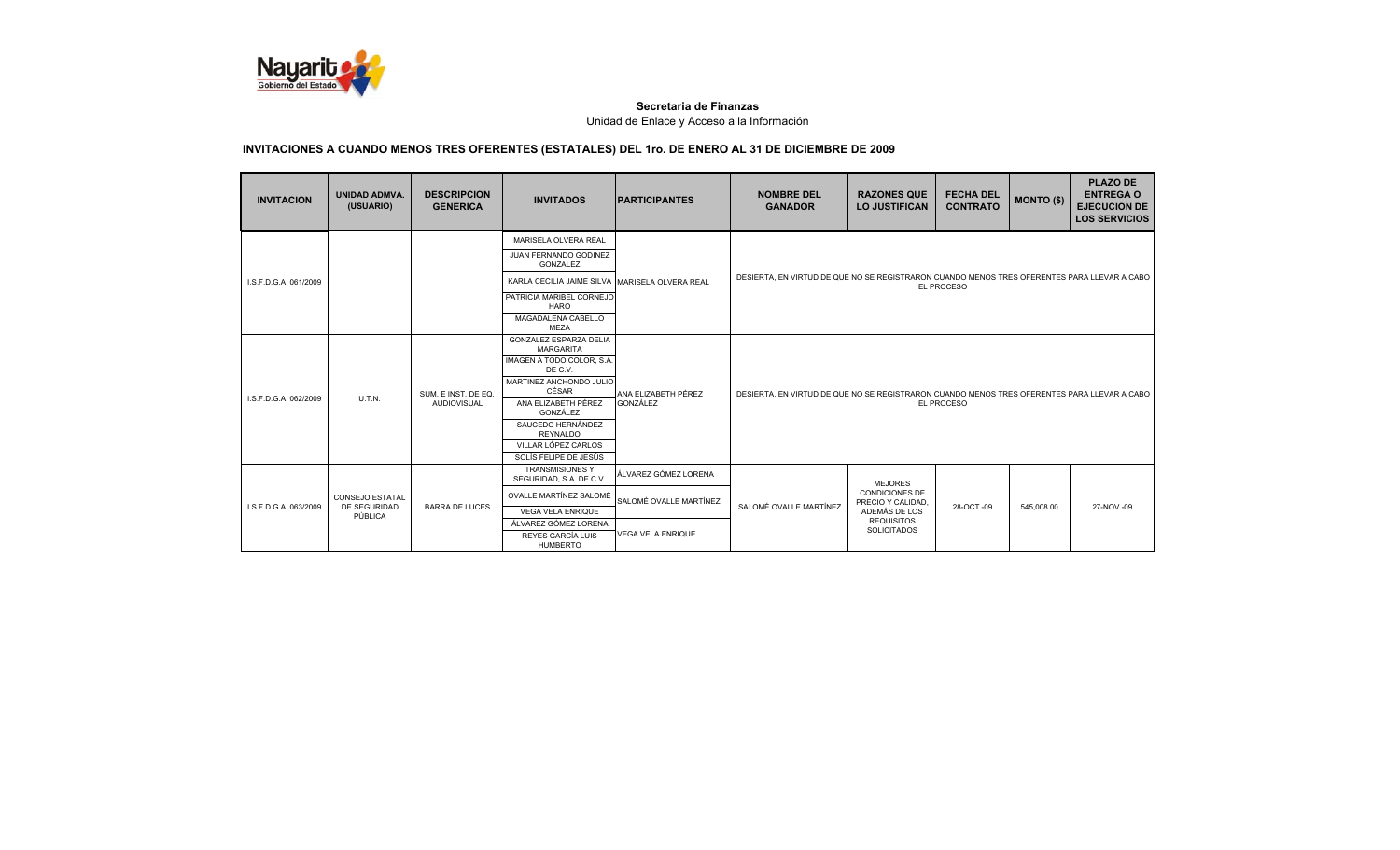

| <b>INVITACION</b>                                                         | <b>UNIDAD ADMVA.</b><br>(USUARIO) | <b>DESCRIPCION</b><br><b>GENERICA</b> | <b>INVITADOS</b>                                  | <b>IPARTICIPANTES</b> | <b>NOMBRE DEL</b><br><b>GANADOR</b>                                                         | <b>RAZONES QUE</b><br><b>LO JUSTIFICAN</b> | <b>FECHA DEL</b><br><b>CONTRATO</b> | <b>MONTO (\$)</b> | <b>PLAZO DE</b><br><b>ENTREGA O</b><br><b>EJECUCION DE</b><br><b>LOS SERVICIOS</b> |  |
|---------------------------------------------------------------------------|-----------------------------------|---------------------------------------|---------------------------------------------------|-----------------------|---------------------------------------------------------------------------------------------|--------------------------------------------|-------------------------------------|-------------------|------------------------------------------------------------------------------------|--|
|                                                                           |                                   |                                       | MARISELA OLVERA REAL                              |                       |                                                                                             |                                            |                                     |                   |                                                                                    |  |
|                                                                           |                                   |                                       | JUAN FERNANDO GODINEZ<br>GONZALEZ                 |                       |                                                                                             |                                            |                                     |                   |                                                                                    |  |
| I.S.F.D.G.A. 061/2009                                                     |                                   |                                       | KARLA CECILIA JAIME SILVA MARISELA OLVERA REAL    |                       | DESIERTA. EN VIRTUD DE QUE NO SE REGISTRARON CUANDO MENOS TRES OFERENTES PARA LLEVAR A CABO |                                            | EL PROCESO                          |                   |                                                                                    |  |
|                                                                           |                                   |                                       | PATRICIA MARIBEL CORNEJO<br>HARO                  |                       |                                                                                             |                                            |                                     |                   |                                                                                    |  |
|                                                                           |                                   |                                       | MAGADALENA CABELLO<br><b>MEZA</b>                 |                       |                                                                                             |                                            |                                     |                   |                                                                                    |  |
|                                                                           |                                   |                                       | <b>GONZALEZ ESPARZA DELIA</b><br><b>MARGARITA</b> |                       |                                                                                             |                                            |                                     |                   |                                                                                    |  |
|                                                                           |                                   | SUM. E INST. DE EQ.                   | IMAGEN A TODO COLOR, S.A.<br>DE C.V.              | ANA ELIZABETH PÉREZ   |                                                                                             |                                            |                                     |                   |                                                                                    |  |
|                                                                           |                                   |                                       | MARTINEZ ANCHONDO JULIO<br>CÉSAR                  |                       | DESIERTA. EN VIRTUD DE QUE NO SE REGISTRARON CUANDO MENOS TRES OFERENTES PARA LLEVAR A CABO |                                            |                                     |                   |                                                                                    |  |
| I.S.F.D.G.A. 062/2009                                                     | <b>U.T.N.</b>                     | <b>AUDIOVISUAL</b>                    | ANA ELIZABETH PÉREZ<br>GONZÁLEZ                   | GONZÁLEZ              | EL PROCESO                                                                                  |                                            |                                     |                   |                                                                                    |  |
|                                                                           |                                   |                                       | SAUCEDO HERNÁNDEZ<br><b>REYNALDO</b>              |                       |                                                                                             |                                            |                                     |                   |                                                                                    |  |
|                                                                           |                                   |                                       | VILLAR LÓPEZ CARLOS                               |                       |                                                                                             |                                            |                                     |                   |                                                                                    |  |
|                                                                           |                                   |                                       | SOLÍS FELIPE DE JESÚS                             |                       |                                                                                             |                                            |                                     |                   |                                                                                    |  |
|                                                                           |                                   |                                       | <b>TRANSMISIONES Y</b><br>SEGURIDAD, S.A. DE C.V. | ÁLVAREZ GÓMEZ LORENA  | <b>MEJORES</b>                                                                              |                                            |                                     |                   |                                                                                    |  |
| <b>CONSEJO ESTATAL</b><br>DE SEGURIDAD<br>LS.F.D.G.A. 063/2009<br>PÚBLICA |                                   | OVALLE MARTÍNEZ SALOMÉ                | SALOMÉ OVALLE MARTÍNEZ                            |                       | <b>CONDICIONES DE</b><br>PRECIO Y CALIDAD.                                                  |                                            |                                     |                   |                                                                                    |  |
|                                                                           |                                   | <b>BARRA DE LUCES</b>                 | <b>VEGA VELA ENRIQUE</b>                          |                       | SALOMÉ OVALLE MARTÍNEZ                                                                      | ADEMÁS DE LOS                              | 28-OCT.-09                          | 545,008.00        | 27-NOV.-09                                                                         |  |
|                                                                           |                                   |                                       | ÁLVAREZ GÓMEZ LORENA                              |                       |                                                                                             | <b>REQUISITOS</b><br><b>SOLICITADOS</b>    |                                     |                   |                                                                                    |  |
|                                                                           |                                   | REYES GARCÍA LUIS<br><b>HUMBERTO</b>  | <b>VEGA VELA ENRIQUE</b>                          |                       |                                                                                             |                                            |                                     |                   |                                                                                    |  |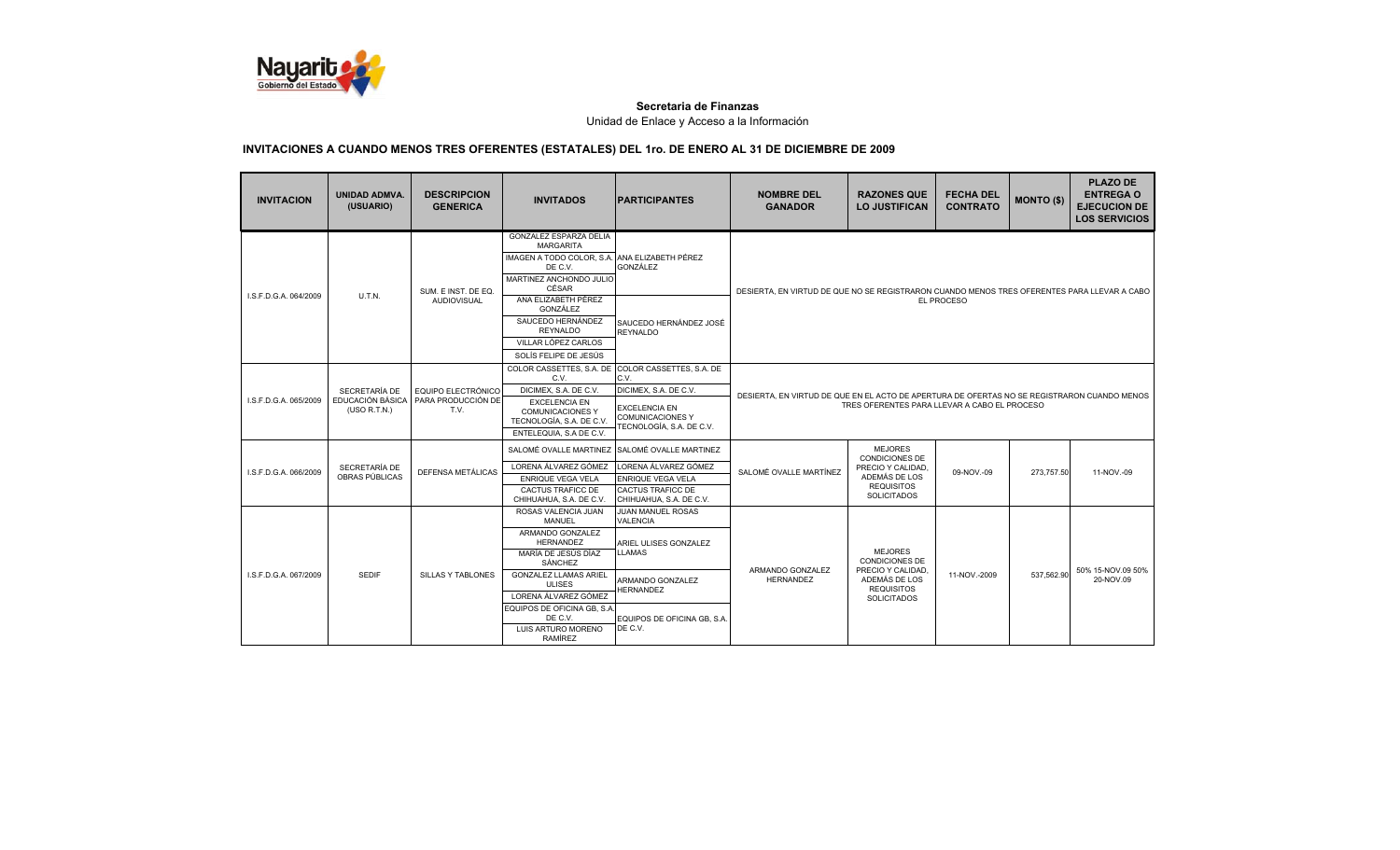

| <b>INVITACION</b>     | <b>UNIDAD ADMVA.</b><br>(USUARIO)                 | <b>DESCRIPCION</b><br><b>GENERICA</b>            | <b>INVITADOS</b>                                                                                                                                                                                                                                                  | <b>PARTICIPANTES</b>                                                                                                                                                    | <b>NOMBRE DEL</b><br><b>GANADOR</b>                                                                                                         | <b>RAZONES QUE</b><br><b>LO JUSTIFICAN</b>                                                                              | <b>FECHA DEL</b><br><b>CONTRATO</b> | <b>MONTO (\$)</b> | <b>PLAZO DE</b><br><b>ENTREGA O</b><br><b>EJECUCION DE</b><br><b>LOS SERVICIOS</b> |  |
|-----------------------|---------------------------------------------------|--------------------------------------------------|-------------------------------------------------------------------------------------------------------------------------------------------------------------------------------------------------------------------------------------------------------------------|-------------------------------------------------------------------------------------------------------------------------------------------------------------------------|---------------------------------------------------------------------------------------------------------------------------------------------|-------------------------------------------------------------------------------------------------------------------------|-------------------------------------|-------------------|------------------------------------------------------------------------------------|--|
|                       |                                                   | SUM. E INST. DE EQ.                              | <b>GONZALEZ ESPARZA DELIA</b><br><b>MARGARITA</b><br>IMAGEN A TODO COLOR, S.A.<br>DE C.V.<br>MARTINEZ ANCHONDO JULIO<br>CÉSAR                                                                                                                                     | ANA ELIZABETH PÉREZ<br>GONZÁLEZ                                                                                                                                         | DESIERTA, EN VIRTUD DE QUE NO SE REGISTRARON CUANDO MENOS TRES OFERENTES PARA LLEVAR A CABO                                                 |                                                                                                                         |                                     |                   |                                                                                    |  |
| I.S.F.D.G.A. 064/2009 | <b>U.T.N.</b>                                     | <b>AUDIOVISUAL</b>                               | ANA ELIZABETH PÉREZ<br>GONZÁLEZ<br>SAUCEDO HERNÁNDEZ<br><b>REYNALDO</b><br>VILLAR LÓPEZ CARLOS<br>SOLÍS FELIPE DE JESÚS                                                                                                                                           | SAUCEDO HERNÁNDEZ JOSÉ<br><b>REYNALDO</b>                                                                                                                               |                                                                                                                                             | <b>EL PROCESO</b>                                                                                                       |                                     |                   |                                                                                    |  |
| I.S.F.D.G.A. 065/2009 | SECRETARÍA DE<br>EDUCACIÓN BÁSICA<br>(USO R.T.N.) | EQUIPO ELECTRÓNICO<br>PARA PRODUCCIÓN DE<br>T.V. | COLOR CASSETTES, S.A. DE<br>C.V.<br>DICIMEX, S.A. DE C.V.<br><b>EXCELENCIA EN</b><br><b>COMUNICACIONES Y</b><br>TECNOLOGÍA, S.A. DE C.V.<br>ENTELEQUIA, S.A DE C.V.                                                                                               | COLOR CASSETTES, S.A. DE<br>C.V.<br>DICIMEX, S.A. DE C.V.<br><b>EXCELENCIA EN</b><br><b>COMUNICACIONES Y</b><br>TECNOLOGÍA. S.A. DE C.V.                                | DESIERTA. EN VIRTUD DE QUE EN EL ACTO DE APERTURA DE OFERTAS NO SE REGISTRARON CUANDO MENOS<br>TRES OFERENTES PARA LLEVAR A CABO EL PROCESO |                                                                                                                         |                                     |                   |                                                                                    |  |
| I.S.F.D.G.A. 066/2009 | SECRETARÍA DE<br>OBRAS PÚBLICAS                   | DEFENSA METÁLICAS                                | SALOMÉ OVALLE MARTINEZ<br>LORENA ÁLVAREZ GÓMEZ<br><b>ENRIQUE VEGA VELA</b><br><b>CACTUS TRAFICC DE</b><br>CHIHUAHUA, S.A. DE C.V.                                                                                                                                 | SALOMÉ OVALLE MARTINEZ<br>LORENA ÁLVAREZ GÓMEZ<br><b>ENRIQUE VEGA VELA</b><br><b>CACTUS TRAFICC DE</b><br>CHIHUAHUA, S.A. DE C.V.                                       | SALOMÉ OVALLE MARTÍNEZ                                                                                                                      | <b>MEJORES</b><br>CONDICIONES DE<br>PRECIO Y CALIDAD.<br>ADEMÁS DE LOS<br><b>REQUISITOS</b><br><b>SOLICITADOS</b>       | 09-NOV.-09                          | 273,757.50        | 11-NOV.-09                                                                         |  |
| I.S.F.D.G.A. 067/2009 | <b>SEDIF</b>                                      | <b>SILLAS Y TABLONES</b>                         | ROSAS VALENCIA JUAN<br><b>MANUEL</b><br>ARMANDO GONZALEZ<br><b>HERNANDEZ</b><br>MARÍA DE JESÚS DÍAZ<br>SÁNCHEZ<br><b>GONZALEZ LLAMAS ARIEL</b><br><b>ULISES</b><br>LORENA ÁLVAREZ GÓMEZ<br>EQUIPOS DE OFICINA GB, S.A<br>DE C.V.<br>LUIS ARTURO MORENO<br>RAMÍREZ | <b>JUAN MANUEL ROSAS</b><br><b>VALENCIA</b><br>ARIEL ULISES GONZALEZ<br><b>LLAMAS</b><br>ARMANDO GONZALEZ<br><b>HERNANDEZ</b><br>EQUIPOS DE OFICINA GB. S.A.<br>DE C.V. | ARMANDO GONZALEZ<br><b>HERNANDEZ</b>                                                                                                        | <b>MEJORES</b><br><b>CONDICIONES DE</b><br>PRECIO Y CALIDAD<br>ADEMÁS DE LOS<br><b>REQUISITOS</b><br><b>SOLICITADOS</b> | 11-NOV.-2009                        | 537,562.90        | 50% 15-NOV.09 50%<br>20-NOV.09                                                     |  |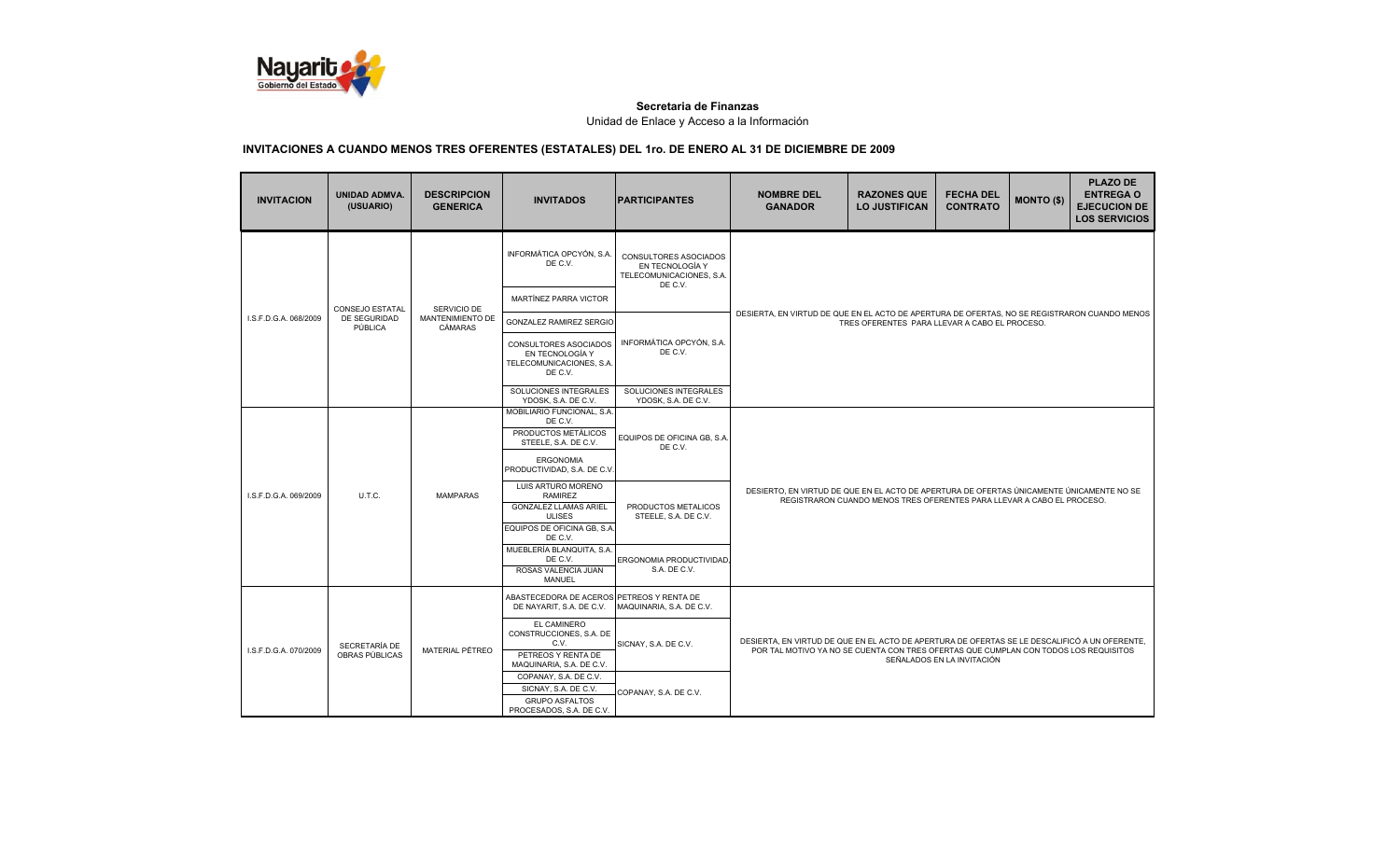

| <b>INVITACION</b>     | UNIDAD ADMVA.<br>(USUARIO)      | <b>DESCRIPCION</b><br><b>GENERICA</b> | <b>INVITADOS</b>                                                                                                                        | <b>PARTICIPANTES</b>                                                                   | <b>NOMBRE DEL</b><br><b>GANADOR</b>                                                                                                                                                                                 | <b>RAZONES QUE</b><br><b>LO JUSTIFICAN</b>    | <b>FECHA DEL</b><br><b>CONTRATO</b> | <b>MONTO (\$)</b> | <b>PLAZO DE</b><br><b>ENTREGA O</b><br><b>EJECUCION DE</b><br><b>LOS SERVICIOS</b> |  |  |
|-----------------------|---------------------------------|---------------------------------------|-----------------------------------------------------------------------------------------------------------------------------------------|----------------------------------------------------------------------------------------|---------------------------------------------------------------------------------------------------------------------------------------------------------------------------------------------------------------------|-----------------------------------------------|-------------------------------------|-------------------|------------------------------------------------------------------------------------|--|--|
|                       |                                 |                                       | INFORMÁTICA OPCYÓN, S.A.<br>DE C.V.                                                                                                     | <b>CONSULTORES ASOCIADOS</b><br>EN TECNOLOGÍA Y<br>TELECOMUNICACIONES, S.A.<br>DE C.V. |                                                                                                                                                                                                                     |                                               |                                     |                   |                                                                                    |  |  |
| I.S.F.D.G.A. 068/2009 | <b>CONSEJO ESTATAL</b>          | SERVICIO DE                           | MARTÍNEZ PARRA VICTOR                                                                                                                   |                                                                                        |                                                                                                                                                                                                                     |                                               |                                     |                   |                                                                                    |  |  |
|                       | DE SEGURIDAD<br>PÚBLICA         | MANTENIMIENTO DE<br><b>CÁMARAS</b>    | <b>GONZALEZ RAMIREZ SERGIO</b>                                                                                                          |                                                                                        | DESIERTA, EN VIRTUD DE QUE EN EL ACTO DE APERTURA DE OFERTAS, NO SE REGISTRARON CUANDO MENOS                                                                                                                        | TRES OFERENTES PARA LLEVAR A CABO EL PROCESO. |                                     |                   |                                                                                    |  |  |
|                       |                                 |                                       | CONSULTORES ASOCIADOS<br>EN TECNOLOGÍA Y<br>TELECOMUNICACIONES, S.A.<br>DE C.V.                                                         | INFORMÁTICA OPCYÓN, S.A.<br>DE C.V.                                                    |                                                                                                                                                                                                                     |                                               |                                     |                   |                                                                                    |  |  |
|                       |                                 |                                       | SOLUCIONES INTEGRALES<br>YDOSK, S.A. DE C.V.                                                                                            | SOLUCIONES INTEGRALES<br>YDOSK, S.A. DE C.V.                                           |                                                                                                                                                                                                                     |                                               |                                     |                   |                                                                                    |  |  |
|                       |                                 |                                       | MOBILIARIO FUNCIONAL, S.A.<br>DE C.V.<br>PRODUCTOS METÁLICOS<br>STEELE, S.A. DE C.V.<br><b>ERGONOMIA</b><br>PRODUCTIVIDAD, S.A. DE C.V. | EQUIPOS DE OFICINA GB, S.A.<br>DE C.V.                                                 |                                                                                                                                                                                                                     |                                               |                                     |                   |                                                                                    |  |  |
| I.S.F.D.G.A. 069/2009 | U.T.C.                          | <b>MAMPARAS</b>                       | LUIS ARTURO MORENO<br><b>RAMIREZ</b><br><b>GONZALEZ LLAMAS ARIEL</b><br><b>ULISES</b><br>EQUIPOS DE OFICINA GB, S.A.<br>DE C.V.         | PRODUCTOS METALICOS<br>STEELE, S.A. DE C.V.                                            | DESIERTO, EN VIRTUD DE QUE EN EL ACTO DE APERTURA DE OFERTAS ÚNICAMENTE ÚNICAMENTE NO SE<br>REGISTRARON CUANDO MENOS TRES OFERENTES PARA LLEVAR A CABO EL PROCESO.                                                  |                                               |                                     |                   |                                                                                    |  |  |
|                       |                                 |                                       | MUEBLERÍA BLANQUITA, S.A.<br>DE C.V.<br>ROSAS VALENCIA JUAN<br><b>MANUEL</b>                                                            | ERGONOMIA PRODUCTIVIDAD<br>S.A. DE C.V.                                                |                                                                                                                                                                                                                     |                                               |                                     |                   |                                                                                    |  |  |
|                       |                                 |                                       | ABASTECEDORA DE ACEROS PETREOS Y RENTA DE<br>DE NAYARIT, S.A. DE C.V.                                                                   | MAQUINARIA, S.A. DE C.V.                                                               |                                                                                                                                                                                                                     |                                               |                                     |                   |                                                                                    |  |  |
| I.S.F.D.G.A. 070/2009 | SECRETARÍA DE<br>OBRAS PÚBLICAS | MATERIAL PÉTREO                       | EL CAMINERO<br>CONSTRUCCIONES, S.A. DE<br>C.V.<br>PETREOS Y RENTA DE<br>MAQUINARIA, S.A. DE C.V.                                        | SICNAY, S.A. DE C.V.                                                                   | DESIERTA, EN VIRTUD DE QUE EN EL ACTO DE APERTURA DE OFERTAS SE LE DESCALIFICÓ A UN OFERENTE,<br>POR TAL MOTIVO YA NO SE CUENTA CON TRES OFERTAS QUE CUMPLAN CON TODOS LOS REQUISITOS<br>SEÑALADOS EN LA INVITACIÓN |                                               |                                     |                   |                                                                                    |  |  |
|                       |                                 |                                       | COPANAY, S.A. DE C.V.<br>SICNAY, S.A. DE C.V.<br><b>GRUPO ASFALTOS</b><br>PROCESADOS, S.A. DE C.V.                                      | COPANAY, S.A. DE C.V.                                                                  |                                                                                                                                                                                                                     |                                               |                                     |                   |                                                                                    |  |  |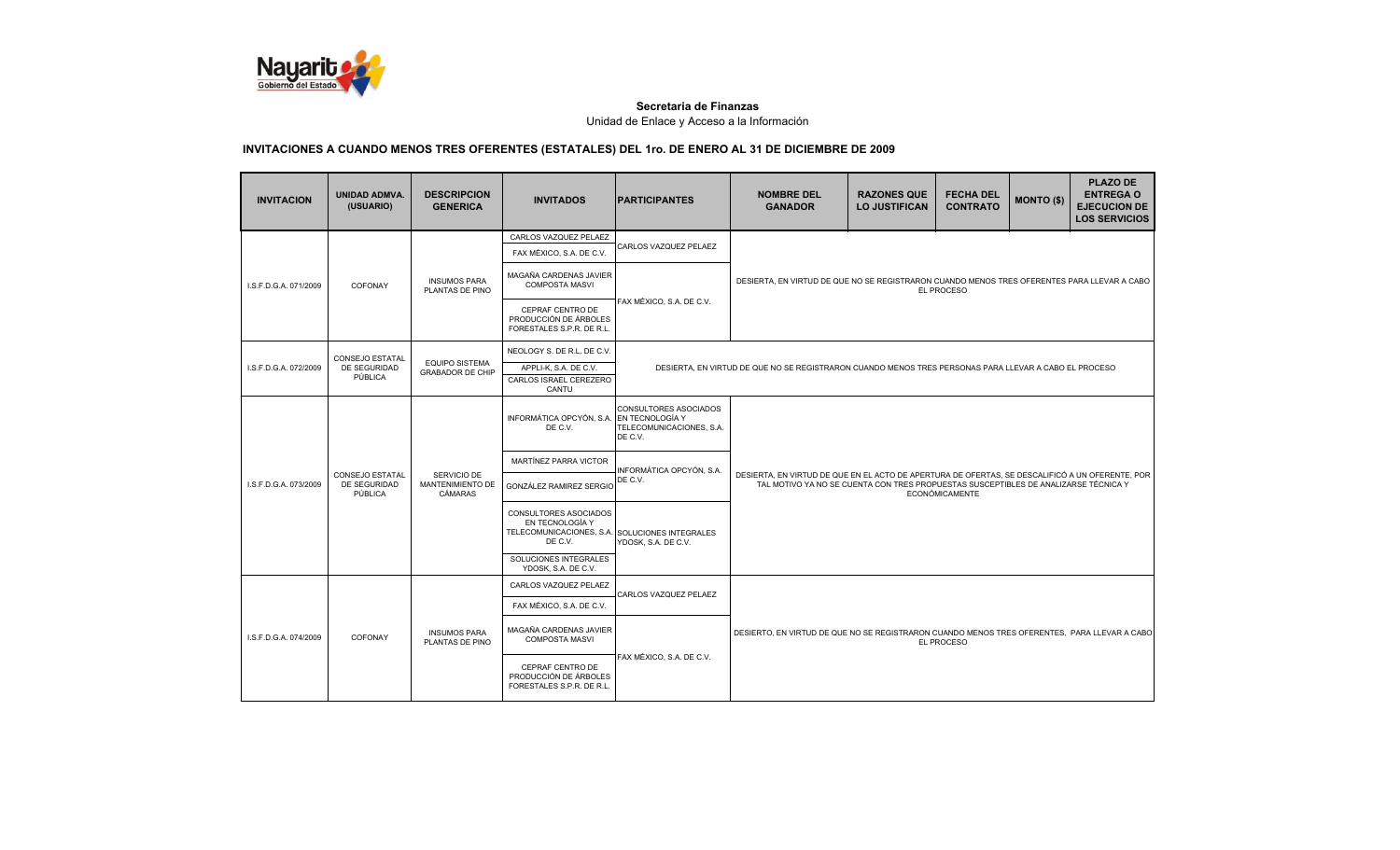

| <b>INVITACION</b>     | <b>UNIDAD ADMVA.</b><br>(USUARIO)                        | <b>DESCRIPCION</b><br><b>GENERICA</b>            | <b>INVITADOS</b>                                                                                      | <b>IPARTICIPANTES</b>                                        | <b>NOMBRE DEL</b><br><b>GANADOR</b>                                                                                                                                                                             | <b>RAZONES QUE</b><br><b>LO JUSTIFICAN</b> | <b>FECHA DEL</b><br><b>CONTRATO</b> | <b>MONTO (\$)</b> | <b>PLAZO DE</b><br><b>ENTREGA O</b><br><b>EJECUCION DE</b><br><b>LOS SERVICIOS</b> |  |
|-----------------------|----------------------------------------------------------|--------------------------------------------------|-------------------------------------------------------------------------------------------------------|--------------------------------------------------------------|-----------------------------------------------------------------------------------------------------------------------------------------------------------------------------------------------------------------|--------------------------------------------|-------------------------------------|-------------------|------------------------------------------------------------------------------------|--|
|                       |                                                          |                                                  | CARLOS VAZQUEZ PELAEZ                                                                                 |                                                              |                                                                                                                                                                                                                 |                                            |                                     |                   |                                                                                    |  |
|                       |                                                          |                                                  | FAX MÉXICO, S.A. DE C.V.                                                                              | CARLOS VAZQUEZ PELAEZ                                        |                                                                                                                                                                                                                 |                                            |                                     |                   |                                                                                    |  |
| I.S.F.D.G.A. 071/2009 | COFONAY                                                  | <b>INSUMOS PARA</b><br>PLANTAS DE PINO           | MAGAÑA CARDENAS JAVIER<br><b>COMPOSTA MASVI</b>                                                       | FAX MÉXICO, S.A. DE C.V.                                     | DESIERTA, EN VIRTUD DE QUE NO SE REGISTRARON CUANDO MENOS TRES OFERENTES PARA LLEVAR A CABO<br>EL PROCESO                                                                                                       |                                            |                                     |                   |                                                                                    |  |
|                       |                                                          |                                                  | CEPRAF CENTRO DE<br>PRODUCCIÓN DE ÁRBOLES<br>FORESTALES S.P.R. DE R.L.                                |                                                              |                                                                                                                                                                                                                 |                                            |                                     |                   |                                                                                    |  |
|                       | <b>CONSEJO ESTATAL</b>                                   |                                                  | NEOLOGY S. DE R.L. DE C.V.                                                                            |                                                              |                                                                                                                                                                                                                 |                                            |                                     |                   |                                                                                    |  |
| I.S.F.D.G.A. 072/2009 | DE SEGURIDAD<br>PÚBLICA                                  | <b>EQUIPO SISTEMA</b><br><b>GRABADOR DE CHIP</b> | APPLI-K, S.A. DE C.V.<br>CARLOS ISRAEL CEREZERO<br>CANTU                                              |                                                              | DESIERTA, EN VIRTUD DE QUE NO SE REGISTRARON CUANDO MENOS TRES PERSONAS PARA LLEVAR A CABO EL PROCESO                                                                                                           |                                            |                                     |                   |                                                                                    |  |
|                       |                                                          |                                                  | INFORMÁTICA OPCYÓN, S.A. EN TECNOLOGÍA Y<br>DE C.V.                                                   | CONSULTORES ASOCIADOS<br>TELECOMUNICACIONES, S.A.<br>DE C.V. |                                                                                                                                                                                                                 |                                            |                                     |                   |                                                                                    |  |
|                       | <b>CONSEJO ESTATAL</b><br><b>DE SEGURIDAD</b><br>PÚBLICA | SERVICIO DE<br>MANTENIMIENTO DE<br>CÁMARAS       | MARTÍNEZ PARRA VICTOR                                                                                 |                                                              |                                                                                                                                                                                                                 |                                            |                                     |                   |                                                                                    |  |
| I.S.F.D.G.A. 073/2009 |                                                          |                                                  | GONZÁLEZ RAMIREZ SERGIO                                                                               | INFORMÁTICA OPCYÓN, S.A.<br>DE C.V.                          | DESIERTA. EN VIRTUD DE QUE EN EL ACTO DE APERTURA DE OFERTAS. SE DESCALIFICÓ A UN OFERENTE. POR<br>TAL MOTIVO YA NO SE CUENTA CON TRES PROPUESTAS SUSCEPTIBLES DE ANALIZARSE TÉCNICA Y<br><b>ECONÓMICAMENTE</b> |                                            |                                     |                   |                                                                                    |  |
|                       |                                                          |                                                  | CONSULTORES ASOCIADOS<br>EN TECNOLOGÍA Y<br>TELECOMUNICACIONES, S.A. SOLUCIONES INTEGRALES<br>DE C.V. | YDOSK, S.A. DE C.V.                                          |                                                                                                                                                                                                                 |                                            |                                     |                   |                                                                                    |  |
|                       |                                                          |                                                  | SOLUCIONES INTEGRALES<br>YDOSK, S.A. DE C.V.                                                          |                                                              |                                                                                                                                                                                                                 |                                            |                                     |                   |                                                                                    |  |
|                       |                                                          |                                                  | CARLOS VAZQUEZ PELAEZ                                                                                 |                                                              |                                                                                                                                                                                                                 |                                            |                                     |                   |                                                                                    |  |
|                       |                                                          |                                                  | FAX MÉXICO, S.A. DE C.V.                                                                              | CARLOS VAZQUEZ PELAEZ                                        |                                                                                                                                                                                                                 |                                            |                                     |                   |                                                                                    |  |
| I.S.F.D.G.A. 074/2009 | COFONAY                                                  | <b>INSUMOS PARA</b><br>PLANTAS DE PINO           | MAGAÑA CARDENAS JAVIER<br><b>COMPOSTA MASVI</b>                                                       |                                                              | DESIERTO, EN VIRTUD DE QUE NO SE REGISTRARON CUANDO MENOS TRES OFERENTES, PARA LLEVAR A CABO<br>EL PROCESO                                                                                                      |                                            |                                     |                   |                                                                                    |  |
|                       |                                                          |                                                  | CEPRAF CENTRO DE<br>PRODUCCIÓN DE ÁRBOLES<br>FORESTALES S.P.R. DE R.L.                                | FAX MÉXICO, S.A. DE C.V.                                     |                                                                                                                                                                                                                 |                                            |                                     |                   |                                                                                    |  |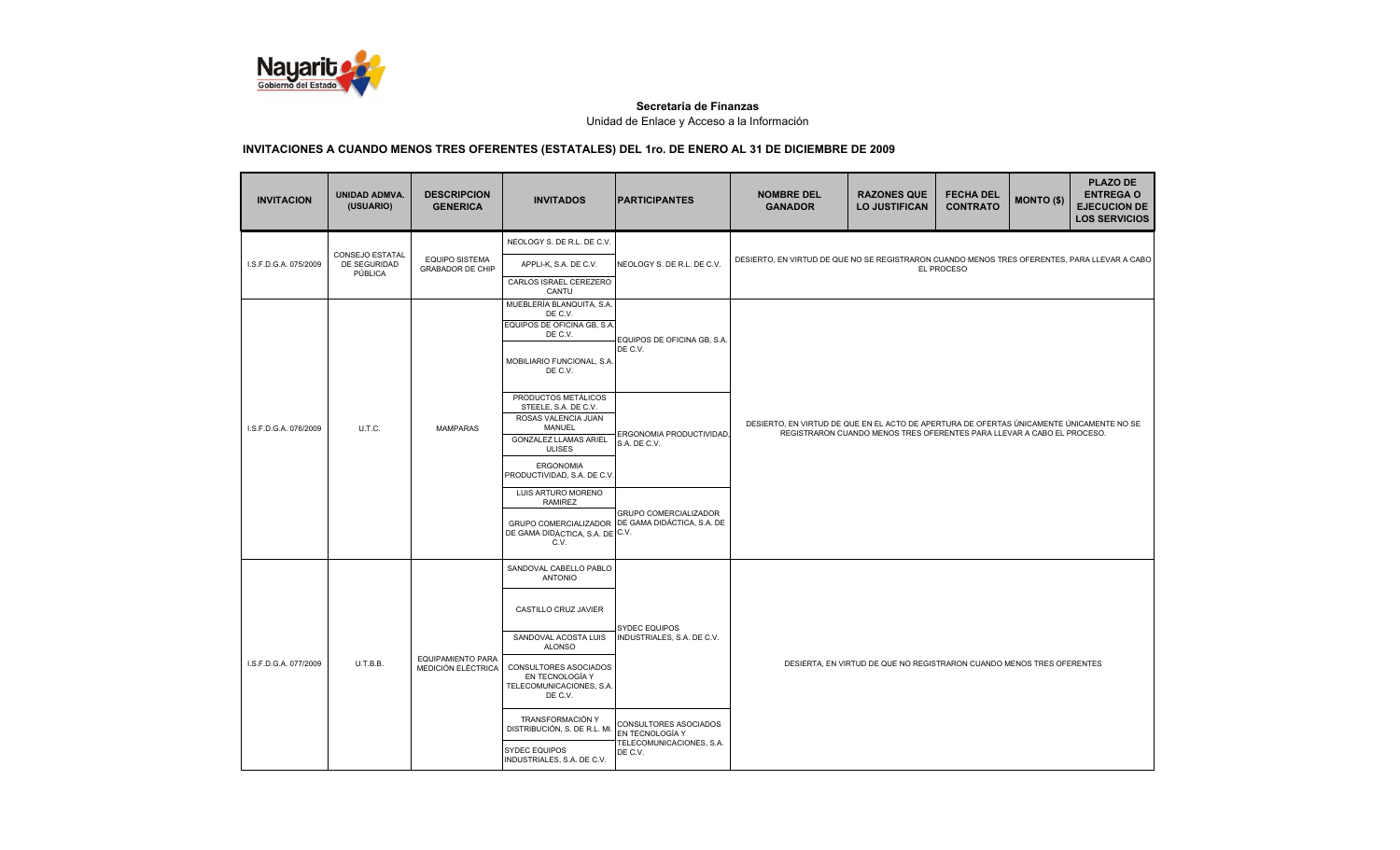

| <b>INVITACION</b>               | UNIDAD ADMVA.<br>(USUARIO)                 | <b>DESCRIPCION</b><br><b>GENERICA</b>            | <b>INVITADOS</b>                                                                | <b>PARTICIPANTES</b>                                                      | <b>NOMBRE DEL</b><br><b>GANADOR</b>                                                                                                                                | <b>RAZONES QUE</b><br><b>LO JUSTIFICAN</b> | <b>FECHA DEL</b><br><b>CONTRATO</b> | <b>MONTO (\$)</b> | <b>PLAZO DE</b><br><b>ENTREGA O</b><br><b>EJECUCION DE</b><br><b>LOS SERVICIOS</b> |  |
|---------------------------------|--------------------------------------------|--------------------------------------------------|---------------------------------------------------------------------------------|---------------------------------------------------------------------------|--------------------------------------------------------------------------------------------------------------------------------------------------------------------|--------------------------------------------|-------------------------------------|-------------------|------------------------------------------------------------------------------------|--|
|                                 |                                            |                                                  | NEOLOGY S. DE R.L. DE C.V.                                                      |                                                                           |                                                                                                                                                                    |                                            |                                     |                   |                                                                                    |  |
| I.S.F.D.G.A. 075/2009           | CONSEJO ESTATAL<br>DE SEGURIDAD<br>PÚBLICA | <b>EQUIPO SISTEMA</b><br><b>GRABADOR DE CHIP</b> | APPLI-K, S.A. DE C.V.                                                           | NEOLOGY S. DE R.L. DE C.V.                                                | DESIERTO, EN VIRTUD DE QUE NO SE REGISTRARON CUANDO MENOS TRES OFERENTES, PARA LLEVAR A CABO                                                                       |                                            | EL PROCESO                          |                   |                                                                                    |  |
|                                 |                                            |                                                  | CARLOS ISRAEL CEREZERO<br>CANTU                                                 |                                                                           |                                                                                                                                                                    |                                            |                                     |                   |                                                                                    |  |
|                                 |                                            |                                                  | MUEBLERÍA BLANQUITA, S.A.<br>DE C.V.                                            |                                                                           |                                                                                                                                                                    |                                            |                                     |                   |                                                                                    |  |
|                                 |                                            |                                                  | EQUIPOS DE OFICINA GB, S.A.<br>DE C.V.                                          | EQUIPOS DE OFICINA GB, S.A                                                |                                                                                                                                                                    |                                            |                                     |                   |                                                                                    |  |
|                                 |                                            |                                                  | MOBILIARIO FUNCIONAL, S.A.<br>DE C.V.                                           | DE C.V.                                                                   |                                                                                                                                                                    |                                            |                                     |                   |                                                                                    |  |
| I.S.F.D.G.A. 076/2009<br>U.T.C. |                                            | <b>MAMPARAS</b>                                  | PRODUCTOS METÁLICOS<br>STEELE, S.A. DE C.V.                                     | ERGONOMIA PRODUCTIVIDAD,<br>S.A. DE C.V.                                  |                                                                                                                                                                    |                                            |                                     |                   |                                                                                    |  |
|                                 |                                            |                                                  | ROSAS VALENCIA JUAN<br>MANUEL<br><b>GONZALEZ LLAMAS ARIEL</b><br><b>ULISES</b>  |                                                                           | DESIERTO, EN VIRTUD DE QUE EN EL ACTO DE APERTURA DE OFERTAS ÚNICAMENTE ÚNICAMENTE NO SE<br>REGISTRARON CUANDO MENOS TRES OFERENTES PARA LLEVAR A CABO EL PROCESO. |                                            |                                     |                   |                                                                                    |  |
|                                 |                                            |                                                  | <b>ERGONOMIA</b><br>PRODUCTIVIDAD, S.A. DE C.V.                                 |                                                                           |                                                                                                                                                                    |                                            |                                     |                   |                                                                                    |  |
|                                 |                                            |                                                  | LUIS ARTURO MORENO<br><b>RAMIREZ</b>                                            | GRUPO COMERCIALIZADOR<br>GRUPO COMERCIALIZADOR DE GAMA DIDÁCTICA, S.A. DE |                                                                                                                                                                    |                                            |                                     |                   |                                                                                    |  |
|                                 |                                            |                                                  | DE GAMA DIDÁCTICA, S.A. DE C.V.<br>C.V.                                         |                                                                           |                                                                                                                                                                    |                                            |                                     |                   |                                                                                    |  |
|                                 |                                            |                                                  | SANDOVAL CABELLO PABLO<br><b>ANTONIO</b>                                        |                                                                           |                                                                                                                                                                    |                                            |                                     |                   |                                                                                    |  |
|                                 |                                            |                                                  | CASTILLO CRUZ JAVIER                                                            |                                                                           |                                                                                                                                                                    |                                            |                                     |                   |                                                                                    |  |
|                                 |                                            |                                                  | SANDOVAL ACOSTA LUIS<br><b>ALONSO</b>                                           | <b>SYDEC EQUIPOS</b><br>INDUSTRIALES, S.A. DE C.V.                        |                                                                                                                                                                    |                                            |                                     |                   |                                                                                    |  |
| I.S.F.D.G.A. 077/2009           | U.T.B.B.                                   | <b>EQUIPAMIENTO PARA</b><br>MEDICIÓN ELÉCTRICA   | CONSULTORES ASOCIADOS<br>EN TECNOLOGÍA Y<br>TELECOMUNICACIONES, S.A.<br>DE C.V. |                                                                           | DESIERTA, EN VIRTUD DE QUE NO REGISTRARON CUANDO MENOS TRES OFERENTES                                                                                              |                                            |                                     |                   |                                                                                    |  |
|                                 |                                            |                                                  | TRANSFORMACIÓN Y<br>DISTRIBUCIÓN, S. DE R.L. MI                                 | <b>CONSULTORES ASOCIADOS</b><br>EN TECNOLOGÍA Y                           |                                                                                                                                                                    |                                            |                                     |                   |                                                                                    |  |
|                                 |                                            |                                                  | <b>SYDEC EQUIPOS</b><br>INDUSTRIALES, S.A. DE C.V.                              | TELECOMUNICACIONES, S.A.<br>DE C.V.                                       |                                                                                                                                                                    |                                            |                                     |                   |                                                                                    |  |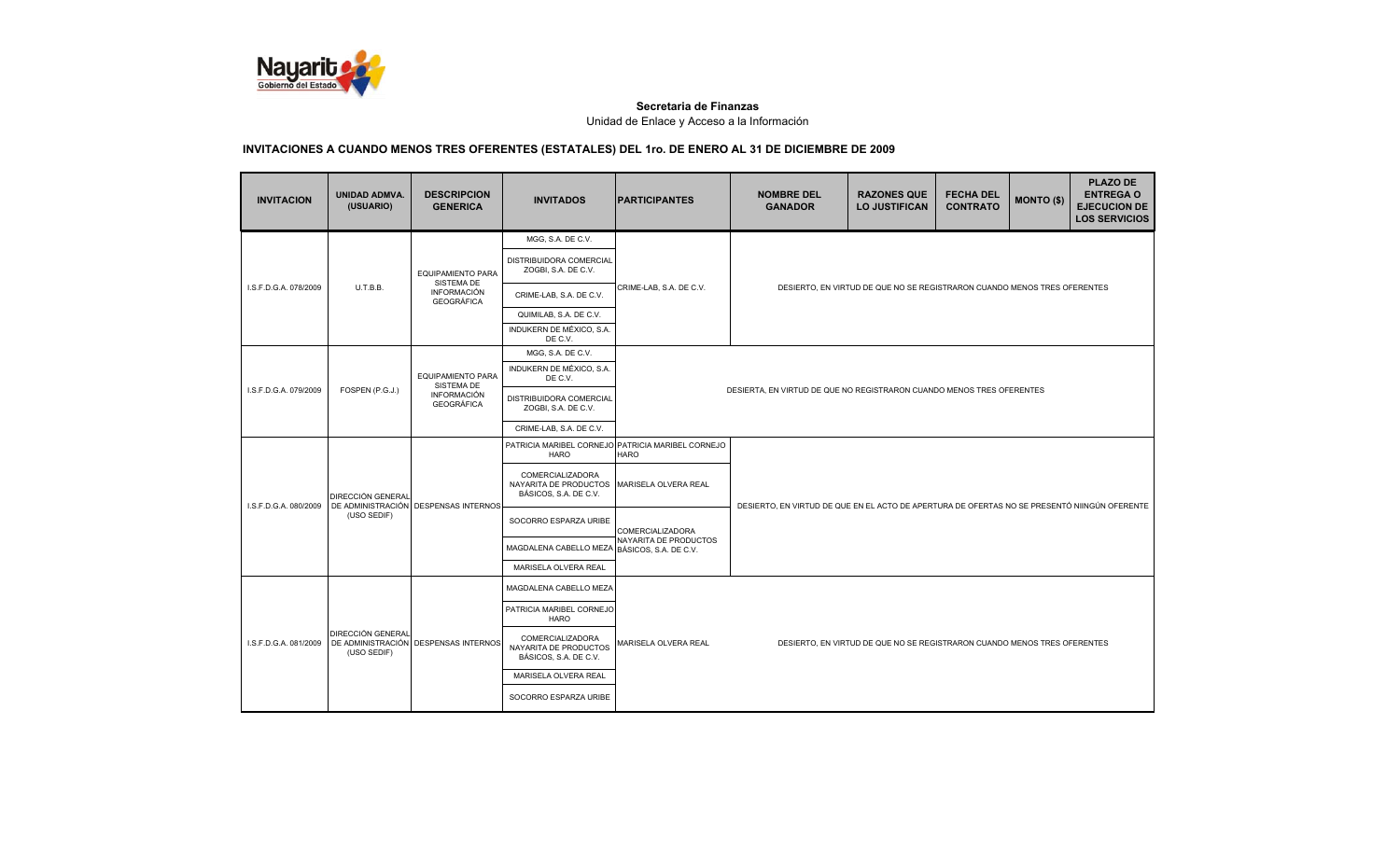

| <b>INVITACION</b>     | <b>UNIDAD ADMVA.</b><br>(USUARIO) | <b>DESCRIPCION</b><br><b>GENERICA</b>                                             | <b>INVITADOS</b>                                                   | <b>IPARTICIPANTES</b>                                                 | <b>NOMBRE DEL</b><br><b>GANADOR</b>                                      | <b>RAZONES QUE</b><br><b>LO JUSTIFICAN</b>                                                   | <b>FECHA DEL</b><br><b>CONTRATO</b> | <b>MONTO (\$)</b> | <b>PLAZO DE</b><br><b>ENTREGA O</b><br><b>EJECUCION DE</b><br><b>LOS SERVICIOS</b> |  |
|-----------------------|-----------------------------------|-----------------------------------------------------------------------------------|--------------------------------------------------------------------|-----------------------------------------------------------------------|--------------------------------------------------------------------------|----------------------------------------------------------------------------------------------|-------------------------------------|-------------------|------------------------------------------------------------------------------------|--|
|                       |                                   | <b>EQUIPAMIENTO PARA</b>                                                          | MGG, S.A. DE C.V.                                                  |                                                                       |                                                                          |                                                                                              |                                     |                   |                                                                                    |  |
| I.S.F.D.G.A. 078/2009 |                                   |                                                                                   | DISTRIBUIDORA COMERCIAL<br>ZOGBI, S.A. DE C.V.                     | CRIME-LAB, S.A. DE C.V.                                               |                                                                          |                                                                                              |                                     |                   |                                                                                    |  |
|                       | U.T.B.B.                          | SISTEMA DE<br><b>INFORMACIÓN</b><br><b>GEOGRÁFICA</b>                             | CRIME-LAB, S.A. DE C.V.                                            |                                                                       |                                                                          | DESIERTO, EN VIRTUD DE QUE NO SE REGISTRARON CUANDO MENOS TRES OFERENTES                     |                                     |                   |                                                                                    |  |
|                       |                                   |                                                                                   | QUIMILAB, S.A. DE C.V.                                             |                                                                       |                                                                          |                                                                                              |                                     |                   |                                                                                    |  |
|                       |                                   |                                                                                   | INDUKERN DE MÉXICO, S.A.<br>DE C.V.                                |                                                                       |                                                                          |                                                                                              |                                     |                   |                                                                                    |  |
|                       |                                   |                                                                                   | MGG, S.A. DE C.V.                                                  |                                                                       |                                                                          |                                                                                              |                                     |                   |                                                                                    |  |
| I.S.F.D.G.A. 079/2009 |                                   | <b>EQUIPAMIENTO PARA</b><br>SISTEMA DE<br><b>INFORMACIÓN</b><br><b>GEOGRÁFICA</b> | INDUKERN DE MÉXICO, S.A.<br>DE C.V.                                | DESIERTA, EN VIRTUD DE QUE NO REGISTRARON CUANDO MENOS TRES OFERENTES |                                                                          |                                                                                              |                                     |                   |                                                                                    |  |
|                       | FOSPEN (P.G.J.)                   |                                                                                   | DISTRIBUIDORA COMERCIAL<br>ZOGBI, S.A. DE C.V.                     |                                                                       |                                                                          |                                                                                              |                                     |                   |                                                                                    |  |
|                       |                                   |                                                                                   | CRIME-LAB, S.A. DE C.V.                                            |                                                                       |                                                                          |                                                                                              |                                     |                   |                                                                                    |  |
|                       | DIRECCIÓN GENERAL                 | DE ADMINISTRACIÓN DESPENSAS INTERNOS                                              | <b>HARO</b>                                                        | PATRICIA MARIBEL CORNEJO PATRICIA MARIBEL CORNEJO<br><b>HARO</b>      |                                                                          |                                                                                              |                                     |                   |                                                                                    |  |
| I.S.F.D.G.A. 080/2009 |                                   |                                                                                   | COMERCIALIZADORA<br>NAYARITA DE PRODUCTOS<br>BÁSICOS, S.A. DE C.V. | MARISELA OLVERA REAL                                                  |                                                                          | DESIERTO, EN VIRTUD DE QUE EN EL ACTO DE APERTURA DE OFERTAS NO SE PRESENTÓ NIINGÚN OFERENTE |                                     |                   |                                                                                    |  |
|                       | (USO SEDIF)                       |                                                                                   | SOCORRO ESPARZA URIBE                                              | <b>COMERCIALIZADORA</b>                                               |                                                                          |                                                                                              |                                     |                   |                                                                                    |  |
|                       |                                   |                                                                                   | MAGDALENA CABELLO MEZA                                             | NAYARITA DE PRODUCTOS<br>BÁSICOS, S.A. DE C.V.                        |                                                                          |                                                                                              |                                     |                   |                                                                                    |  |
|                       |                                   |                                                                                   | MARISELA OLVERA REAL                                               |                                                                       |                                                                          |                                                                                              |                                     |                   |                                                                                    |  |
|                       |                                   |                                                                                   | MAGDALENA CABELLO MEZA                                             |                                                                       |                                                                          |                                                                                              |                                     |                   |                                                                                    |  |
|                       |                                   |                                                                                   | PATRICIA MARIBEL CORNEJO<br><b>HARO</b>                            |                                                                       |                                                                          |                                                                                              |                                     |                   |                                                                                    |  |
| I.S.F.D.G.A. 081/2009 | DIRECCIÓN GENERAL<br>(USO SEDIF)  | DE ADMINISTRACIÓN DESPENSAS INTERNOS                                              | COMERCIALIZADORA<br>NAYARITA DE PRODUCTOS<br>BÁSICOS, S.A. DE C.V. | MARISELA OLVERA REAL                                                  | DESIERTO. EN VIRTUD DE QUE NO SE REGISTRARON CUANDO MENOS TRES OFERENTES |                                                                                              |                                     |                   |                                                                                    |  |
|                       |                                   |                                                                                   | MARISELA OLVERA REAL                                               |                                                                       |                                                                          |                                                                                              |                                     |                   |                                                                                    |  |
|                       |                                   |                                                                                   | SOCORRO ESPARZA URIBE                                              |                                                                       |                                                                          |                                                                                              |                                     |                   |                                                                                    |  |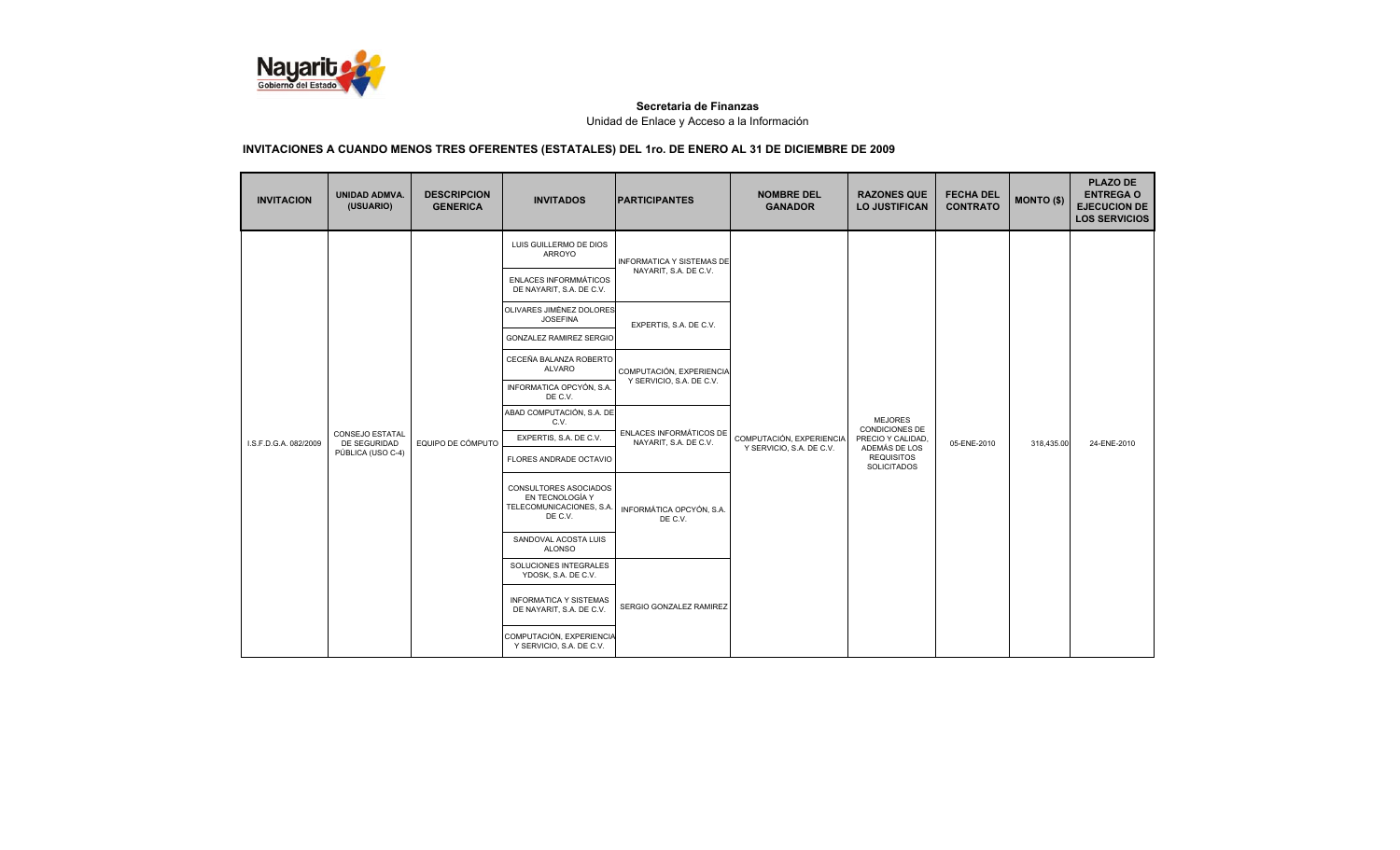

| <b>INVITACION</b>     | <b>UNIDAD ADMVA.</b><br>(USUARIO)      | <b>DESCRIPCION</b><br><b>GENERICA</b> | <b>INVITADOS</b>                                                                | <b>PARTICIPANTES</b>                                 | <b>NOMBRE DEL</b><br><b>GANADOR</b>                  | <b>RAZONES QUE</b><br><b>LO JUSTIFICAN</b>           | <b>FECHA DEL</b><br><b>CONTRATO</b> | <b>MONTO (\$)</b> | <b>PLAZO DE</b><br><b>ENTREGA O</b><br><b>EJECUCION DE</b><br><b>LOS SERVICIOS</b> |
|-----------------------|----------------------------------------|---------------------------------------|---------------------------------------------------------------------------------|------------------------------------------------------|------------------------------------------------------|------------------------------------------------------|-------------------------------------|-------------------|------------------------------------------------------------------------------------|
|                       |                                        |                                       | LUIS GUILLERMO DE DIOS<br>ARROYO                                                | INFORMATICA Y SISTEMAS DE<br>NAYARIT, S.A. DE C.V.   |                                                      |                                                      |                                     |                   |                                                                                    |
|                       |                                        |                                       | ENLACES INFORMMÁTICOS<br>DE NAYARIT, S.A. DE C.V.                               |                                                      |                                                      |                                                      |                                     |                   |                                                                                    |
|                       |                                        |                                       | OLIVARES JIMÉNEZ DOLORES<br><b>JOSEFINA</b>                                     | EXPERTIS, S.A. DE C.V.                               |                                                      |                                                      |                                     |                   |                                                                                    |
|                       |                                        | EQUIPO DE CÓMPUTO                     | <b>GONZALEZ RAMIREZ SERGIO</b>                                                  |                                                      |                                                      |                                                      |                                     |                   |                                                                                    |
|                       |                                        |                                       | CECEÑA BALANZA ROBERTO<br><b>ALVARO</b>                                         | COMPUTACIÓN, EXPERIENCIA<br>Y SERVICIO, S.A. DE C.V. |                                                      |                                                      |                                     |                   |                                                                                    |
|                       |                                        |                                       | INFORMATICA OPCYÓN, S.A.<br>DE C.V.                                             |                                                      |                                                      |                                                      |                                     |                   |                                                                                    |
|                       |                                        |                                       | ABAD COMPUTACIÓN, S.A. DE<br>C.V.                                               | ENLACES INFORMÁTICOS DE<br>NAYARIT, S.A. DE C.V.     | COMPUTACIÓN, EXPERIENCIA<br>Y SERVICIO, S.A. DE C.V. | <b>MEJORES</b>                                       |                                     |                   |                                                                                    |
| I.S.F.D.G.A. 082/2009 | <b>CONSEJO ESTATAL</b><br>DE SEGURIDAD |                                       | EXPERTIS, S.A. DE C.V.                                                          |                                                      |                                                      | CONDICIONES DE<br>PRECIO Y CALIDAD.<br>ADEMÁS DE LOS | 05-ENE-2010                         | 318,435.00        | 24-ENE-2010                                                                        |
|                       | PÚBLICA (USO C-4)                      |                                       | FLORES ANDRADE OCTAVIO                                                          |                                                      |                                                      | <b>REQUISITOS</b><br><b>SOLICITADOS</b>              |                                     |                   |                                                                                    |
|                       |                                        |                                       | CONSULTORES ASOCIADOS<br>EN TECNOLOGÍA Y<br>TELECOMUNICACIONES, S.A.<br>DE C.V. | INFORMÁTICA OPCYÓN, S.A.<br>DE C.V.                  |                                                      |                                                      |                                     |                   |                                                                                    |
|                       |                                        |                                       | SANDOVAL ACOSTA LUIS<br><b>ALONSO</b>                                           |                                                      |                                                      |                                                      |                                     |                   |                                                                                    |
|                       |                                        |                                       | SOLUCIONES INTEGRALES<br>YDOSK, S.A. DE C.V.                                    | SERGIO GONZALEZ RAMIREZ                              |                                                      |                                                      |                                     |                   |                                                                                    |
|                       |                                        |                                       | <b>INFORMATICA Y SISTEMAS</b><br>DE NAYARIT, S.A. DE C.V.                       |                                                      |                                                      |                                                      |                                     |                   |                                                                                    |
|                       |                                        |                                       | COMPUTACIÓN, EXPERIENCIA<br>Y SERVICIO, S.A. DE C.V.                            |                                                      |                                                      |                                                      |                                     |                   |                                                                                    |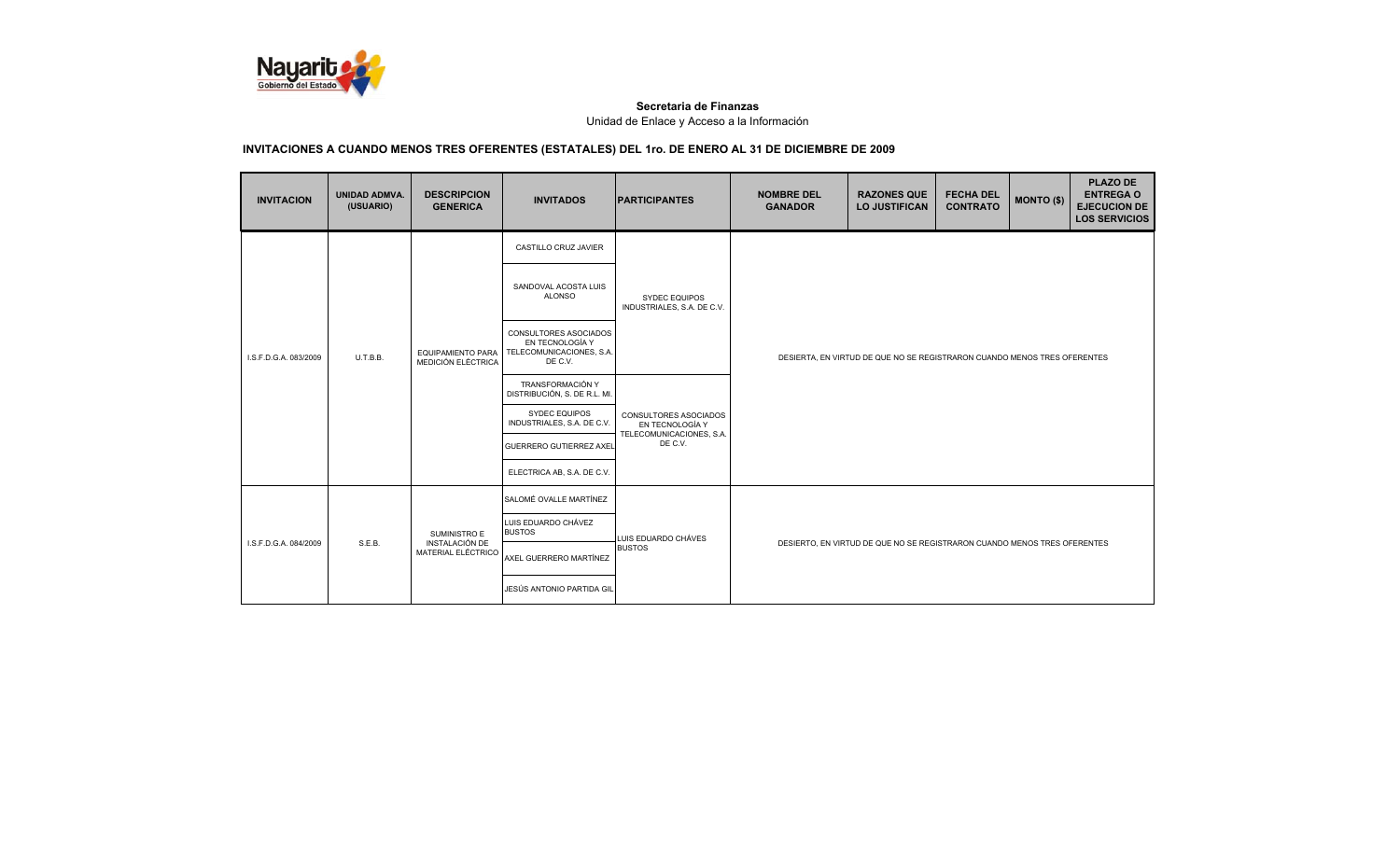

| <b>INVITACION</b>                 | UNIDAD ADMVA.<br>(USUARIO) | <b>DESCRIPCION</b><br><b>GENERICA</b>          | <b>INVITADOS</b>                                                                | <b>PARTICIPANTES</b>                                                            | <b>NOMBRE DEL</b><br><b>GANADOR</b>                                      | <b>RAZONES QUE</b><br><b>LO JUSTIFICAN</b> | <b>FECHA DEL</b><br><b>CONTRATO</b> | <b>MONTO (\$)</b> | <b>PLAZO DE</b><br><b>ENTREGA O</b><br><b>EJECUCION DE</b><br><b>LOS SERVICIOS</b> |  |
|-----------------------------------|----------------------------|------------------------------------------------|---------------------------------------------------------------------------------|---------------------------------------------------------------------------------|--------------------------------------------------------------------------|--------------------------------------------|-------------------------------------|-------------------|------------------------------------------------------------------------------------|--|
|                                   |                            |                                                | CASTILLO CRUZ JAVIER                                                            |                                                                                 | DESIERTA, EN VIRTUD DE QUE NO SE REGISTRARON CUANDO MENOS TRES OFERENTES |                                            |                                     |                   |                                                                                    |  |
| U.T.B.B.<br>I.S.F.D.G.A. 083/2009 |                            |                                                | SANDOVAL ACOSTA LUIS<br><b>ALONSO</b>                                           | <b>SYDEC EQUIPOS</b><br>INDUSTRIALES, S.A. DE C.V.                              |                                                                          |                                            |                                     |                   |                                                                                    |  |
|                                   |                            | <b>EQUIPAMIENTO PARA</b><br>MEDICIÓN ELÉCTRICA | CONSULTORES ASOCIADOS<br>EN TECNOLOGÍA Y<br>TELECOMUNICACIONES, S.A.<br>DE C.V. |                                                                                 |                                                                          |                                            |                                     |                   |                                                                                    |  |
|                                   |                            |                                                | TRANSFORMACIÓN Y<br>DISTRIBUCIÓN, S. DE R.L. MI.                                | CONSULTORES ASOCIADOS<br>EN TECNOLOGÍA Y<br>TELECOMUNICACIONES, S.A.<br>DE C.V. |                                                                          |                                            |                                     |                   |                                                                                    |  |
|                                   |                            |                                                | <b>SYDEC EQUIPOS</b><br>INDUSTRIALES, S.A. DE C.V.                              |                                                                                 |                                                                          |                                            |                                     |                   |                                                                                    |  |
|                                   |                            |                                                | <b>GUERRERO GUTIERREZ AXEL</b>                                                  |                                                                                 |                                                                          |                                            |                                     |                   |                                                                                    |  |
|                                   |                            |                                                | ELECTRICA AB, S.A. DE C.V.                                                      |                                                                                 |                                                                          |                                            |                                     |                   |                                                                                    |  |
|                                   |                            |                                                | SALOMÉ OVALLE MARTÍNEZ                                                          |                                                                                 |                                                                          |                                            |                                     |                   |                                                                                    |  |
| I.S.F.D.G.A. 084/2009             |                            | SUMINISTRO E                                   | LUIS EDUARDO CHÁVEZ<br><b>BUSTOS</b>                                            | LUIS EDUARDO CHÁVES<br><b>BUSTOS</b>                                            | DESIERTO, EN VIRTUD DE QUE NO SE REGISTRARON CUANDO MENOS TRES OFERENTES |                                            |                                     |                   |                                                                                    |  |
|                                   | S.E.B.                     | INSTALACIÓN DE<br>MATERIAL ELÉCTRICO           | AXEL GUERRERO MARTÍNEZ                                                          |                                                                                 |                                                                          |                                            |                                     |                   |                                                                                    |  |
|                                   |                            |                                                | JESÚS ANTONIO PARTIDA GIL                                                       |                                                                                 |                                                                          |                                            |                                     |                   |                                                                                    |  |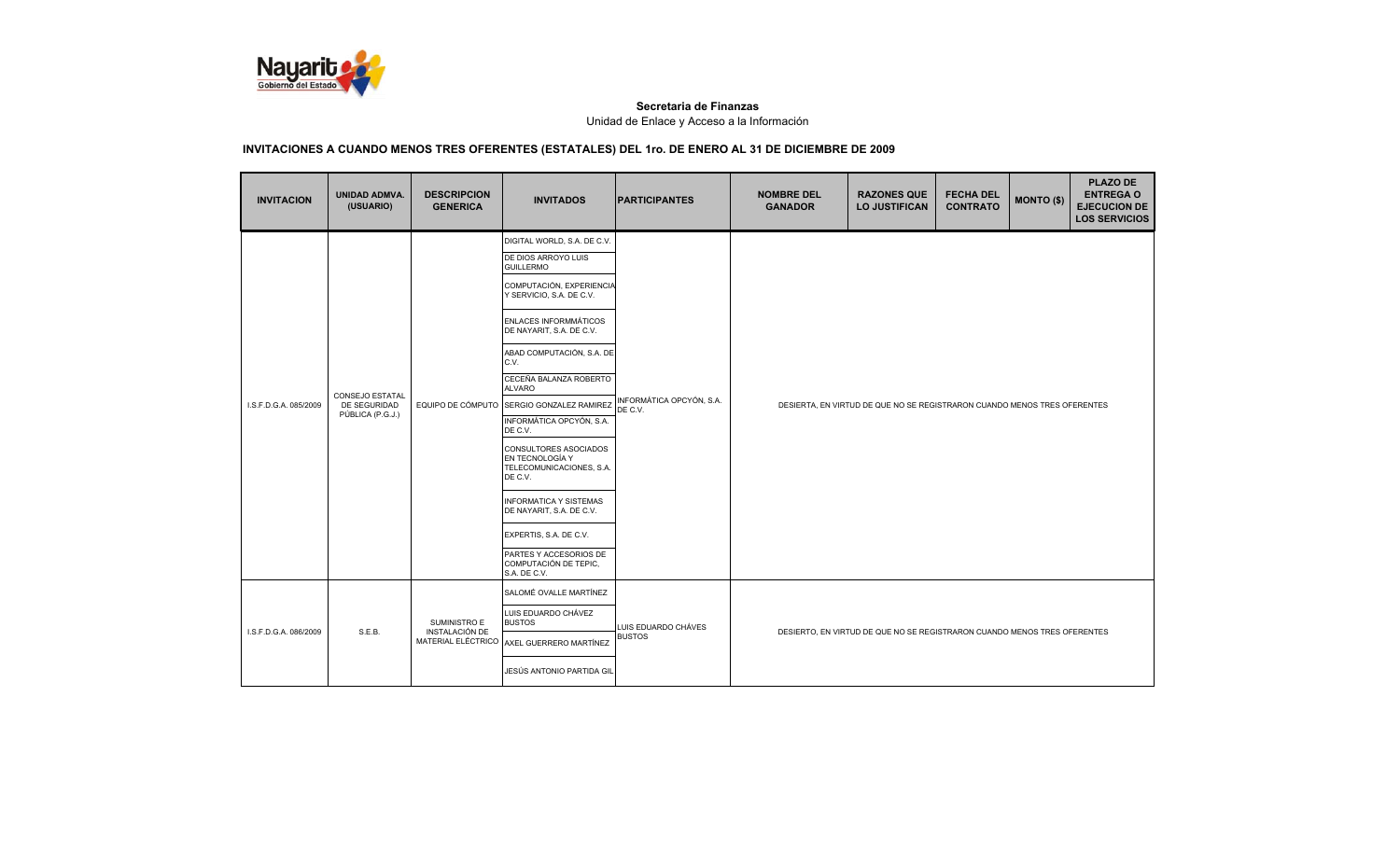

| <b>INVITACION</b>     | UNIDAD ADMVA.<br>(USUARIO)                                 | <b>DESCRIPCION</b><br><b>GENERICA</b>                | <b>INVITADOS</b>                                                                | <b>IPARTICIPANTES</b>                | <b>NOMBRE DEL</b><br><b>GANADOR</b>                                      | <b>RAZONES QUE</b><br><b>LO JUSTIFICAN</b> | <b>FECHA DEL</b><br><b>CONTRATO</b> | <b>MONTO (\$)</b> | <b>PLAZO DE</b><br><b>ENTREGA O</b><br><b>EJECUCION DE</b><br><b>LOS SERVICIOS</b> |  |
|-----------------------|------------------------------------------------------------|------------------------------------------------------|---------------------------------------------------------------------------------|--------------------------------------|--------------------------------------------------------------------------|--------------------------------------------|-------------------------------------|-------------------|------------------------------------------------------------------------------------|--|
|                       |                                                            |                                                      | DIGITAL WORLD, S.A. DE C.V.                                                     |                                      |                                                                          |                                            |                                     |                   |                                                                                    |  |
|                       |                                                            |                                                      | DE DIOS ARROYO LUIS<br><b>GUILLERMO</b>                                         |                                      |                                                                          |                                            |                                     |                   |                                                                                    |  |
|                       |                                                            |                                                      | COMPUTACIÓN, EXPERIENCIA<br>Y SERVICIO, S.A. DE C.V.                            |                                      |                                                                          |                                            |                                     |                   |                                                                                    |  |
| I.S.F.D.G.A. 085/2009 |                                                            | EQUIPO DE CÓMPUTO                                    | ENLACES INFORMMÁTICOS<br>DE NAYARIT, S.A. DE C.V.                               |                                      |                                                                          |                                            |                                     |                   |                                                                                    |  |
|                       | <b>CONSEJO ESTATAL</b><br>DE SEGURIDAD<br>PÚBLICA (P.G.J.) |                                                      | ABAD COMPUTACIÓN, S.A. DE<br>C.V.                                               |                                      |                                                                          |                                            |                                     |                   |                                                                                    |  |
|                       |                                                            |                                                      | CECEÑA BALANZA ROBERTO<br><b>ALVARO</b>                                         | INFORMÁTICA OPCYÓN, S.A.<br>DE C.V.  |                                                                          |                                            |                                     |                   |                                                                                    |  |
|                       |                                                            |                                                      | SERGIO GONZALEZ RAMIREZ                                                         |                                      | DESIERTA, EN VIRTUD DE QUE NO SE REGISTRARON CUANDO MENOS TRES OFERENTES |                                            |                                     |                   |                                                                                    |  |
|                       |                                                            |                                                      | INFORMÁTICA OPCYÓN, S.A.<br>DE C.V.                                             |                                      |                                                                          |                                            |                                     |                   |                                                                                    |  |
|                       |                                                            |                                                      | CONSULTORES ASOCIADOS<br>EN TECNOLOGÍA Y<br>TELECOMUNICACIONES, S.A.<br>DE C.V. |                                      |                                                                          |                                            |                                     |                   |                                                                                    |  |
|                       |                                                            |                                                      | <b>INFORMATICA Y SISTEMAS</b><br>DE NAYARIT, S.A. DE C.V.                       |                                      |                                                                          |                                            |                                     |                   |                                                                                    |  |
|                       |                                                            |                                                      | EXPERTIS, S.A. DE C.V.                                                          |                                      |                                                                          |                                            |                                     |                   |                                                                                    |  |
|                       |                                                            |                                                      | PARTES Y ACCESORIOS DE<br>COMPUTACIÓN DE TEPIC,<br>S.A. DE C.V.                 |                                      |                                                                          |                                            |                                     |                   |                                                                                    |  |
|                       |                                                            |                                                      | SALOMÉ OVALLE MARTÍNEZ                                                          |                                      |                                                                          |                                            |                                     |                   |                                                                                    |  |
|                       |                                                            | SUMINISTRO E<br>INSTALACIÓN DE<br>MATERIAL ELÉCTRICO | LUIS EDUARDO CHÁVEZ<br><b>BUSTOS</b>                                            | LUIS EDUARDO CHÁVES<br><b>BUSTOS</b> |                                                                          |                                            |                                     |                   |                                                                                    |  |
| I.S.F.D.G.A. 086/2009 | S.E.B.                                                     |                                                      | AXEL GUERRERO MARTÍNEZ                                                          |                                      | DESIERTO, EN VIRTUD DE QUE NO SE REGISTRARON CUANDO MENOS TRES OFERENTES |                                            |                                     |                   |                                                                                    |  |
|                       |                                                            |                                                      | JESÚS ANTONIO PARTIDA GIL                                                       |                                      |                                                                          |                                            |                                     |                   |                                                                                    |  |